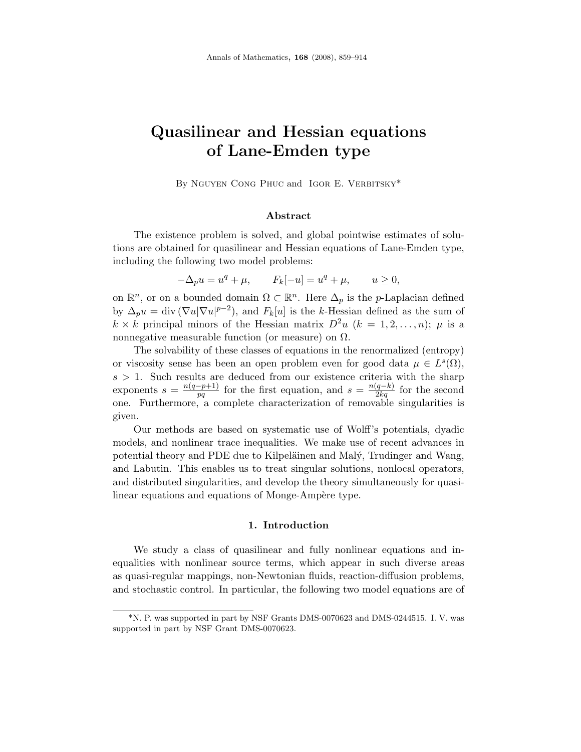# Quasilinear and Hessian equations of Lane-Emden type

By NGUYEN CONG PHUC and IGOR E. VERBITSKY\*

# Abstract

The existence problem is solved, and global pointwise estimates of solutions are obtained for quasilinear and Hessian equations of Lane-Emden type, including the following two model problems:

 $-\Delta_p u = u^q + \mu,$   $F_k[-u] = u^q + \mu,$   $u \ge 0,$ 

on  $\mathbb{R}^n$ , or on a bounded domain  $\Omega \subset \mathbb{R}^n$ . Here  $\Delta_p$  is the *p*-Laplacian defined by  $\Delta_p u = \text{div} (\nabla u |\nabla u|^{p-2})$ , and  $F_k[u]$  is the k-Hessian defined as the sum of  $k \times k$  principal minors of the Hessian matrix  $D^2u$   $(k = 1, 2, \ldots, n);$   $\mu$  is a nonnegative measurable function (or measure) on  $\Omega$ .

The solvability of these classes of equations in the renormalized (entropy) or viscosity sense has been an open problem even for good data  $\mu \in L^s(\Omega)$ ,  $s > 1$ . Such results are deduced from our existence criteria with the sharp exponents  $s = \frac{n(q-p+1)}{nq}$  $\frac{p-p+1}{pq}$  for the first equation, and  $s = \frac{n(q-k)}{2kq}$  for the second one. Furthermore, a complete characterization of removable singularities is given.

Our methods are based on systematic use of Wolff's potentials, dyadic models, and nonlinear trace inequalities. We make use of recent advances in potential theory and PDE due to Kilpeläinen and Malý, Trudinger and Wang, and Labutin. This enables us to treat singular solutions, nonlocal operators, and distributed singularities, and develop the theory simultaneously for quasilinear equations and equations of Monge-Ampère type.

### 1. Introduction

We study a class of quasilinear and fully nonlinear equations and inequalities with nonlinear source terms, which appear in such diverse areas as quasi-regular mappings, non-Newtonian fluids, reaction-diffusion problems, and stochastic control. In particular, the following two model equations are of

<sup>\*</sup>N. P. was supported in part by NSF Grants DMS-0070623 and DMS-0244515. I. V. was supported in part by NSF Grant DMS-0070623.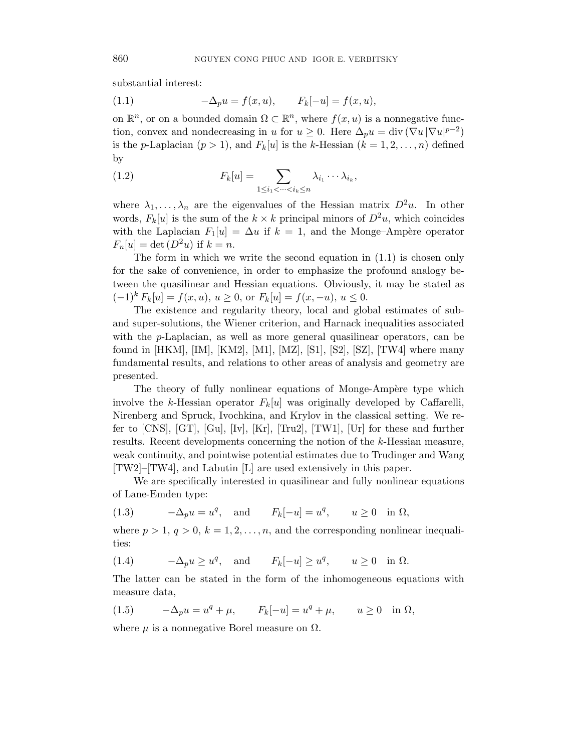substantial interest:

(1.1) 
$$
-\Delta_p u = f(x, u), \qquad F_k[-u] = f(x, u),
$$

on  $\mathbb{R}^n$ , or on a bounded domain  $\Omega \subset \mathbb{R}^n$ , where  $f(x, u)$  is a nonnegative function, convex and nondecreasing in u for  $u \geq 0$ . Here  $\Delta_p u = \text{div} (\nabla u |\nabla u|^{p-2})$ is the p-Laplacian  $(p > 1)$ , and  $F_k[u]$  is the k-Hessian  $(k = 1, 2, \ldots, n)$  defined by

(1.2) 
$$
F_k[u] = \sum_{1 \leq i_1 < \cdots < i_k \leq n} \lambda_{i_1} \cdots \lambda_{i_k},
$$

where  $\lambda_1, \ldots, \lambda_n$  are the eigenvalues of the Hessian matrix  $D^2u$ . In other words,  $F_k[u]$  is the sum of the  $k \times k$  principal minors of  $D^2u$ , which coincides with the Laplacian  $F_1[u] = \Delta u$  if  $k = 1$ , and the Monge–Ampère operator  $F_n[u] = \det(D^2u)$  if  $k = n$ .

The form in which we write the second equation in (1.1) is chosen only for the sake of convenience, in order to emphasize the profound analogy between the quasilinear and Hessian equations. Obviously, it may be stated as  $(-1)^k F_k[u] = f(x, u), u \ge 0$ , or  $F_k[u] = f(x, -u), u \le 0$ .

The existence and regularity theory, local and global estimates of suband super-solutions, the Wiener criterion, and Harnack inequalities associated with the p-Laplacian, as well as more general quasilinear operators, can be found in [HKM], [IM], [KM2], [M1], [MZ], [S1], [S2], [SZ], [TW4] where many fundamental results, and relations to other areas of analysis and geometry are presented.

The theory of fully nonlinear equations of Monge-Ampère type which involve the k-Hessian operator  $F_k[u]$  was originally developed by Caffarelli, Nirenberg and Spruck, Ivochkina, and Krylov in the classical setting. We refer to [CNS], [GT], [Gu], [Iv], [Kr], [Tru2], [TW1], [Ur] for these and further results. Recent developments concerning the notion of the k-Hessian measure, weak continuity, and pointwise potential estimates due to Trudinger and Wang [TW2]–[TW4], and Labutin [L] are used extensively in this paper.

We are specifically interested in quasilinear and fully nonlinear equations of Lane-Emden type:

(1.3) 
$$
-\Delta_p u = u^q
$$
, and  $F_k[-u] = u^q$ ,  $u \ge 0$  in  $\Omega$ ,

where  $p > 1, q > 0, k = 1, 2, ..., n$ , and the corresponding nonlinear inequalities:

(1.4) 
$$
-\Delta_p u \ge u^q
$$
, and  $F_k[-u] \ge u^q$ ,  $u \ge 0$  in  $\Omega$ .

The latter can be stated in the form of the inhomogeneous equations with measure data,

(1.5) 
$$
-\Delta_p u = u^q + \mu
$$
,  $F_k[-u] = u^q + \mu$ ,  $u \ge 0$  in  $\Omega$ ,

where  $\mu$  is a nonnegative Borel measure on  $\Omega$ .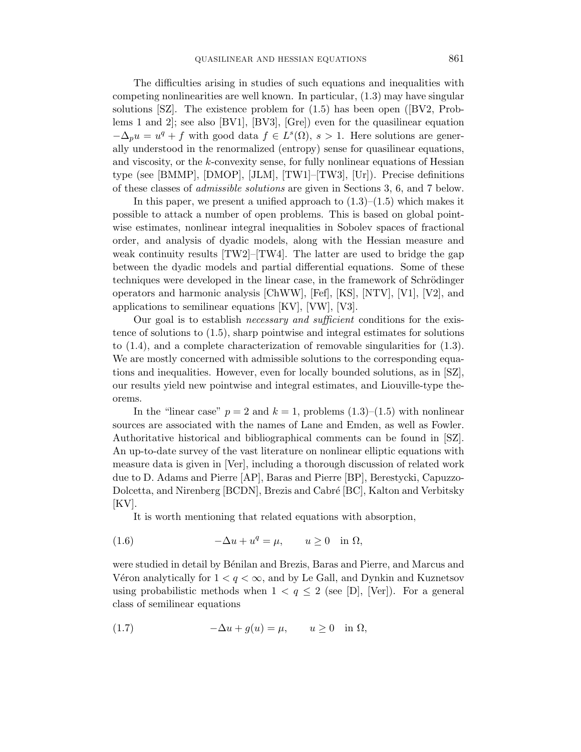The difficulties arising in studies of such equations and inequalities with competing nonlinearities are well known. In particular, (1.3) may have singular solutions [SZ]. The existence problem for (1.5) has been open ([BV2, Problems 1 and 2]; see also [BV1], [BV3], [Gre]) even for the quasilinear equation  $-\Delta_p u = u^q + f$  with good data  $f \in L^s(\Omega)$ ,  $s > 1$ . Here solutions are generally understood in the renormalized (entropy) sense for quasilinear equations, and viscosity, or the k-convexity sense, for fully nonlinear equations of Hessian type (see [BMMP], [DMOP], [JLM], [TW1]–[TW3], [Ur]). Precise definitions of these classes of admissible solutions are given in Sections 3, 6, and 7 below.

In this paper, we present a unified approach to  $(1.3)$ – $(1.5)$  which makes it possible to attack a number of open problems. This is based on global pointwise estimates, nonlinear integral inequalities in Sobolev spaces of fractional order, and analysis of dyadic models, along with the Hessian measure and weak continuity results  $[TW2]$ – $[TW4]$ . The latter are used to bridge the gap between the dyadic models and partial differential equations. Some of these techniques were developed in the linear case, in the framework of Schrödinger operators and harmonic analysis [ChWW], [Fef], [KS], [NTV], [V1], [V2], and applications to semilinear equations [KV], [VW], [V3].

Our goal is to establish *necessary and sufficient* conditions for the existence of solutions to (1.5), sharp pointwise and integral estimates for solutions to (1.4), and a complete characterization of removable singularities for (1.3). We are mostly concerned with admissible solutions to the corresponding equations and inequalities. However, even for locally bounded solutions, as in [SZ], our results yield new pointwise and integral estimates, and Liouville-type theorems.

In the "linear case"  $p = 2$  and  $k = 1$ , problems  $(1.3)$ – $(1.5)$  with nonlinear sources are associated with the names of Lane and Emden, as well as Fowler. Authoritative historical and bibliographical comments can be found in [SZ]. An up-to-date survey of the vast literature on nonlinear elliptic equations with measure data is given in [Ver], including a thorough discussion of related work due to D. Adams and Pierre [AP], Baras and Pierre [BP], Berestycki, Capuzzo-Dolcetta, and Nirenberg [BCDN], Brezis and Cabré [BC], Kalton and Verbitsky [KV].

It is worth mentioning that related equations with absorption,

(1.6) 
$$
-\Delta u + u^q = \mu, \qquad u \ge 0 \quad \text{in } \Omega,
$$

were studied in detail by Bénilan and Brezis, Baras and Pierre, and Marcus and Véron analytically for  $1 < q < \infty$ , and by Le Gall, and Dynkin and Kuznetsov using probabilistic methods when  $1 < q \le 2$  (see [D], [Ver]). For a general class of semilinear equations

(1.7) 
$$
-\Delta u + g(u) = \mu, \qquad u \ge 0 \quad \text{in } \Omega,
$$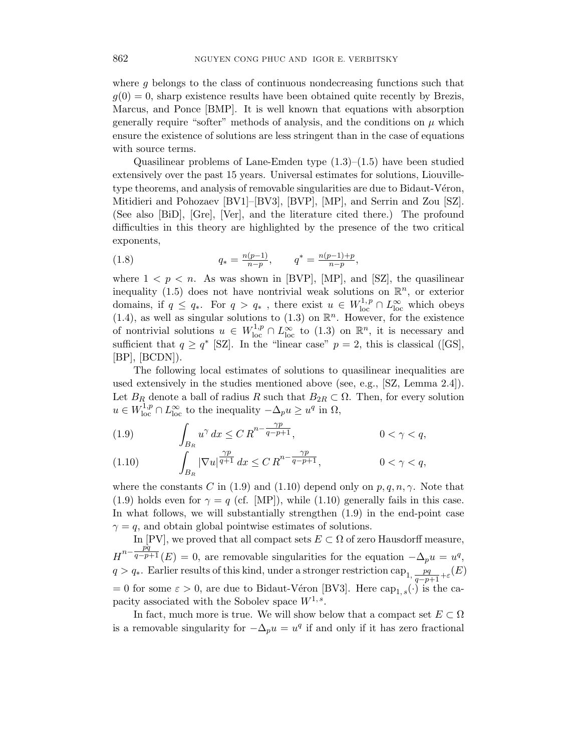where g belongs to the class of continuous nondecreasing functions such that  $g(0) = 0$ , sharp existence results have been obtained quite recently by Brezis, Marcus, and Ponce [BMP]. It is well known that equations with absorption generally require "softer" methods of analysis, and the conditions on  $\mu$  which ensure the existence of solutions are less stringent than in the case of equations with source terms.

Quasilinear problems of Lane-Emden type  $(1.3)$ – $(1.5)$  have been studied extensively over the past 15 years. Universal estimates for solutions, Liouvilletype theorems, and analysis of removable singularities are due to Bidaut-Véron, Mitidieri and Pohozaev [BV1]–[BV3], [BVP], [MP], and Serrin and Zou [SZ]. (See also [BiD], [Gre], [Ver], and the literature cited there.) The profound difficulties in this theory are highlighted by the presence of the two critical exponents,

(1.8) 
$$
q_* = \frac{n(p-1)}{n-p}, \qquad q^* = \frac{n(p-1)+p}{n-p},
$$

where  $1 < p < n$ . As was shown in [BVP], [MP], and [SZ], the quasilinear inequality (1.5) does not have nontrivial weak solutions on  $\mathbb{R}^n$ , or exterior domains, if  $q \le q_*$ . For  $q > q_*$ , there exist  $u \in W^{1,p}_{loc} \cap L^{\infty}_{loc}$  which obeys  $(1.4)$ , as well as singular solutions to  $(1.3)$  on  $\mathbb{R}^n$ . However, for the existence of nontrivial solutions  $u \in W^{1,p}_{loc} \cap L^{\infty}_{loc}$  to  $(1.3)$  on  $\mathbb{R}^n$ , it is necessary and sufficient that  $q \ge q^*$  [SZ]. In the "linear case"  $p = 2$ , this is classical ([GS],  $[BP]$ ,  $[BCDN]$ ).

The following local estimates of solutions to quasilinear inequalities are used extensively in the studies mentioned above (see, e.g., [SZ, Lemma 2.4]). Let  $B_R$  denote a ball of radius R such that  $B_{2R} \subset \Omega$ . Then, for every solution  $u \in W^{1,p}_{loc} \cap L^{\infty}_{loc}$  to the inequality  $-\Delta_p u \geq u^q$  in  $\Omega$ ,

(1.9) 
$$
\int_{B_R} u^{\gamma} dx \leq C R^{n - \frac{\gamma p}{q - p + 1}}, \qquad 0 < \gamma < q,
$$

(1.10) 
$$
\int_{B_R} |\nabla u|^{\frac{\gamma p}{q+1}} dx \leq C R^{n-\frac{\gamma p}{q-p+1}}, \qquad 0 < \gamma < q,
$$

where the constants C in (1.9) and (1.10) depend only on  $p, q, n, \gamma$ . Note that (1.9) holds even for  $\gamma = q$  (cf. [MP]), while (1.10) generally fails in this case. In what follows, we will substantially strengthen (1.9) in the end-point case  $\gamma = q$ , and obtain global pointwise estimates of solutions.

In [PV], we proved that all compact sets  $E \subset \Omega$  of zero Hausdorff measure,  $H^{n-\frac{p\bar{q}}{q-p-\bar{p}}}$  $\frac{q^2p+1}{q^2p+1}(E) = 0$ , are removable singularities for the equation  $-\Delta_p u = u^q$ ,  $q > q_*$ . Earlier results of this kind, under a stronger restriction cap<sub>1,  $\frac{pq}{q-p+1} + \varepsilon(E)$ </sub> = 0 for some  $\varepsilon > 0$ , are due to Bidaut-Véron [BV3]. Here cap<sub>1, s</sub>(·) is the capacity associated with the Sobolev space  $W^{1,s}$ .

In fact, much more is true. We will show below that a compact set  $E \subset \Omega$ is a removable singularity for  $-\Delta_p u = u^q$  if and only if it has zero fractional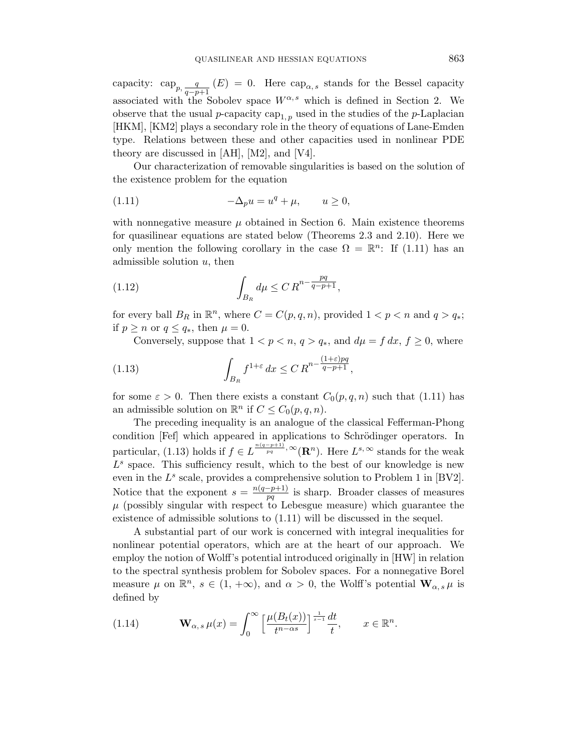capacity:  $\exp_{p,\frac{q}{q-p}}$  $\frac{q}{q-p+1}$  (E) = 0. Here cap<sub>α,s</sub> stands for the Bessel capacity associated with the Sobolev space  $W^{\alpha,s}$  which is defined in Section 2. We observe that the usual p-capacity cap<sub>1, p</sub> used in the studies of the p-Laplacian [HKM], [KM2] plays a secondary role in the theory of equations of Lane-Emden type. Relations between these and other capacities used in nonlinear PDE theory are discussed in [AH], [M2], and [V4].

Our characterization of removable singularities is based on the solution of the existence problem for the equation

(1.11) 
$$
-\Delta_p u = u^q + \mu, \qquad u \ge 0,
$$

with nonnegative measure  $\mu$  obtained in Section 6. Main existence theorems for quasilinear equations are stated below (Theorems 2.3 and 2.10). Here we only mention the following corollary in the case  $\Omega = \mathbb{R}^n$ : If (1.11) has an admissible solution  $u$ , then

(1.12) 
$$
\int_{B_R} d\mu \leq C R^{n - \frac{pq}{q - p + 1}},
$$

for every ball  $B_R$  in  $\mathbb{R}^n$ , where  $C = C(p, q, n)$ , provided  $1 < p < n$  and  $q > q_*$ ; if  $p \geq n$  or  $q \leq q_*$ , then  $\mu = 0$ .

Conversely, suppose that  $1 < p < n$ ,  $q > q_*$ , and  $d\mu = f dx$ ,  $f \ge 0$ , where

(1.13) 
$$
\int_{B_R} f^{1+\varepsilon} dx \leq C R^{n-\frac{(1+\varepsilon)pq}{q-p+1}},
$$

for some  $\varepsilon > 0$ . Then there exists a constant  $C_0(p,q,n)$  such that (1.11) has an admissible solution on  $\mathbb{R}^n$  if  $C \leq C_0(p,q,n)$ .

The preceding inequality is an analogue of the classical Fefferman-Phong condition [Fef] which appeared in applications to Schrödinger operators. In particular, (1.13) holds if  $f \in L^{\frac{n(q-p+1)}{pq}, \infty}(\mathbf{R}^n)$ . Here  $L^{s, \infty}$  stands for the weak  $L<sup>s</sup>$  space. This sufficiency result, which to the best of our knowledge is new even in the  $L^s$  scale, provides a comprehensive solution to Problem 1 in [BV2]. Notice that the exponent  $s = \frac{n(q-p+1)}{nq}$  $\frac{-p+1}{pq}$  is sharp. Broader classes of measures  $\mu$  (possibly singular with respect to Lebesgue measure) which guarantee the existence of admissible solutions to (1.11) will be discussed in the sequel.

A substantial part of our work is concerned with integral inequalities for nonlinear potential operators, which are at the heart of our approach. We employ the notion of Wolff's potential introduced originally in [HW] in relation to the spectral synthesis problem for Sobolev spaces. For a nonnegative Borel measure  $\mu$  on  $\mathbb{R}^n$ ,  $s \in (1, +\infty)$ , and  $\alpha > 0$ , the Wolff's potential  $\mathbf{W}_{\alpha,s} \mu$  is defined by

(1.14) 
$$
\mathbf{W}_{\alpha,s} \mu(x) = \int_0^\infty \left[ \frac{\mu(B_t(x))}{t^{n-\alpha s}} \right]^\frac{1}{s-1} \frac{dt}{t}, \qquad x \in \mathbb{R}^n.
$$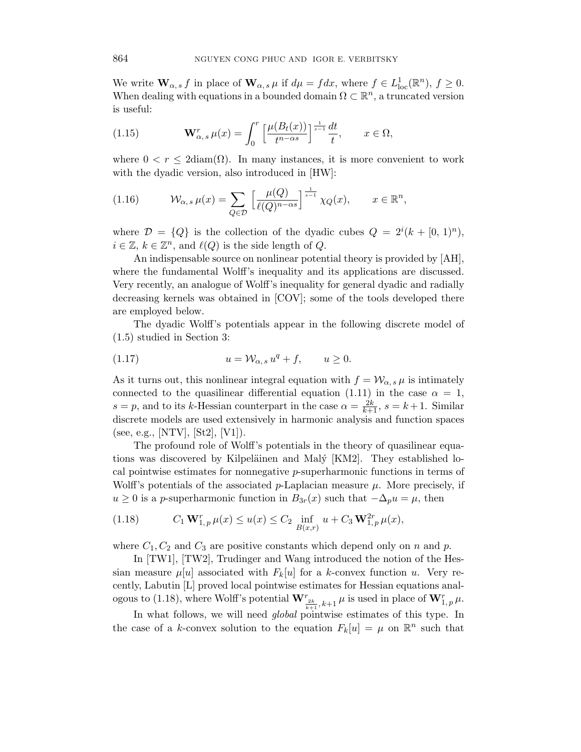We write  $\mathbf{W}_{\alpha,s} f$  in place of  $\mathbf{W}_{\alpha,s} \mu$  if  $d\mu = f dx$ , where  $f \in L^1_{loc}(\mathbb{R}^n)$ ,  $f \geq 0$ . When dealing with equations in a bounded domain  $\Omega \subset \mathbb{R}^n$ , a truncated version is useful:

(1.15) 
$$
\mathbf{W}_{\alpha,s}^r \mu(x) = \int_0^r \left[ \frac{\mu(B_t(x))}{t^{n-\alpha s}} \right]^{\frac{1}{s-1}} \frac{dt}{t}, \qquad x \in \Omega,
$$

where  $0 < r \leq 2 \text{diam}(\Omega)$ . In many instances, it is more convenient to work with the dyadic version, also introduced in [HW]:

(1.16) 
$$
\mathcal{W}_{\alpha,s}\,\mu(x) = \sum_{Q \in \mathcal{D}} \left[ \frac{\mu(Q)}{\ell(Q)^{n-\alpha s}} \right]^{\frac{1}{s-1}} \chi_Q(x), \qquad x \in \mathbb{R}^n,
$$

where  $\mathcal{D} = \{Q\}$  is the collection of the dyadic cubes  $Q = 2^{i}(k + [0, 1]^n)$ ,  $i \in \mathbb{Z}, k \in \mathbb{Z}^n$ , and  $\ell(Q)$  is the side length of Q.

An indispensable source on nonlinear potential theory is provided by [AH], where the fundamental Wolff's inequality and its applications are discussed. Very recently, an analogue of Wolff's inequality for general dyadic and radially decreasing kernels was obtained in [COV]; some of the tools developed there are employed below.

The dyadic Wolff's potentials appear in the following discrete model of (1.5) studied in Section 3:

$$
(1.17) \t u = \mathcal{W}_{\alpha,s} u^q + f, \t u \ge 0.
$$

As it turns out, this nonlinear integral equation with  $f = \mathcal{W}_{\alpha, s} \mu$  is intimately connected to the quasilinear differential equation (1.11) in the case  $\alpha = 1$ ,  $s = p$ , and to its k-Hessian counterpart in the case  $\alpha = \frac{2k}{k+1}$ ,  $s = k+1$ . Similar discrete models are used extensively in harmonic analysis and function spaces (see, e.g., [NTV], [St2], [V1]).

The profound role of Wolff's potentials in the theory of quasilinear equations was discovered by Kilpeläinen and Malý [KM2]. They established local pointwise estimates for nonnegative p-superharmonic functions in terms of Wolff's potentials of the associated  $p$ -Laplacian measure  $\mu$ . More precisely, if  $u \geq 0$  is a p-superharmonic function in  $B_{3r}(x)$  such that  $-\Delta_p u = \mu$ , then

(1.18) 
$$
C_1 \mathbf{W}_{1,p}^r \mu(x) \le u(x) \le C_2 \inf_{B(x,r)} u + C_3 \mathbf{W}_{1,p}^{2r} \mu(x),
$$

where  $C_1, C_2$  and  $C_3$  are positive constants which depend only on n and p.

In [TW1], [TW2], Trudinger and Wang introduced the notion of the Hessian measure  $\mu[u]$  associated with  $F_k[u]$  for a k-convex function u. Very recently, Labutin [L] proved local pointwise estimates for Hessian equations analogous to (1.18), where Wolff's potential  $\mathbf{W}^r_{\frac{2k}{k+1},k+1}\mu$  is used in place of  $\mathbf{W}^r_{1,p}\mu$ .

In what follows, we will need global pointwise estimates of this type. In the case of a k-convex solution to the equation  $F_k[u] = \mu$  on  $\mathbb{R}^n$  such that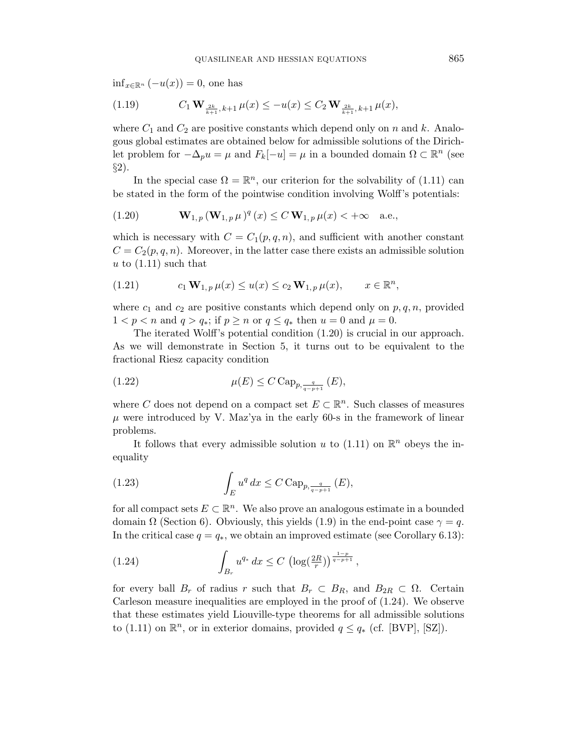$\inf_{x \in \mathbb{R}^n} (-u(x)) = 0$ , one has

(1.19) 
$$
C_1 \mathbf{W}_{\frac{2k}{k+1},k+1} \mu(x) \le -u(x) \le C_2 \mathbf{W}_{\frac{2k}{k+1},k+1} \mu(x),
$$

where  $C_1$  and  $C_2$  are positive constants which depend only on n and k. Analogous global estimates are obtained below for admissible solutions of the Dirichlet problem for  $-\Delta_p u = \mu$  and  $F_k[-u] = \mu$  in a bounded domain  $\Omega \subset \mathbb{R}^n$  (see  $\S2$ ).

In the special case  $\Omega = \mathbb{R}^n$ , our criterion for the solvability of (1.11) can be stated in the form of the pointwise condition involving Wolff's potentials:

(1.20) 
$$
\mathbf{W}_{1,p}(\mathbf{W}_{1,p} \mu)^q(x) \leq C \mathbf{W}_{1,p} \mu(x) < +\infty \quad \text{a.e.,}
$$

which is necessary with  $C = C_1(p,q,n)$ , and sufficient with another constant  $C = C_2(p,q,n)$ . Moreover, in the latter case there exists an admissible solution u to  $(1.11)$  such that

(1.21) 
$$
c_1 \mathbf{W}_{1,p} \mu(x) \leq u(x) \leq c_2 \mathbf{W}_{1,p} \mu(x), \qquad x \in \mathbb{R}^n,
$$

where  $c_1$  and  $c_2$  are positive constants which depend only on  $p, q, n$ , provided  $1 < p < n$  and  $q > q_*$ ; if  $p \ge n$  or  $q \le q_*$  then  $u = 0$  and  $\mu = 0$ .

The iterated Wolff's potential condition (1.20) is crucial in our approach. As we will demonstrate in Section 5, it turns out to be equivalent to the fractional Riesz capacity condition

(1.22) 
$$
\mu(E) \leq C \operatorname{Cap}_{p, \frac{q}{q-p+1}}(E),
$$

where C does not depend on a compact set  $E \subset \mathbb{R}^n$ . Such classes of measures  $\mu$  were introduced by V. Maz'ya in the early 60-s in the framework of linear problems.

It follows that every admissible solution u to  $(1.11)$  on  $\mathbb{R}^n$  obeys the inequality

(1.23) 
$$
\int_{E} u^{q} dx \leq C \operatorname{Cap}_{p, \frac{q}{q-p+1}}(E),
$$

for all compact sets  $E \subset \mathbb{R}^n$ . We also prove an analogous estimate in a bounded domain  $\Omega$  (Section 6). Obviously, this yields (1.9) in the end-point case  $\gamma = q$ . In the critical case  $q = q_*$ , we obtain an improved estimate (see Corollary 6.13):

(1.24) 
$$
\int_{B_r} u^{q_*} dx \le C \left( \log(\frac{2R}{r}) \right)^{\frac{1-p}{q-p+1}},
$$

for every ball  $B_r$  of radius r such that  $B_r \subset B_R$ , and  $B_{2R} \subset \Omega$ . Certain Carleson measure inequalities are employed in the proof of (1.24). We observe that these estimates yield Liouville-type theorems for all admissible solutions to (1.11) on  $\mathbb{R}^n$ , or in exterior domains, provided  $q \leq q_*$  (cf. [BVP], [SZ]).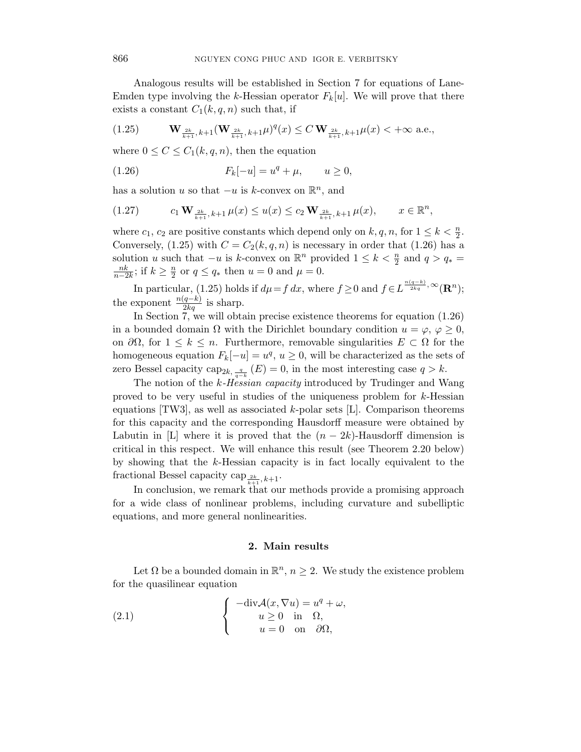Analogous results will be established in Section 7 for equations of Lane-Emden type involving the k-Hessian operator  $F_k[u]$ . We will prove that there exists a constant  $C_1(k, q, n)$  such that, if

$$
(1.25) \t\t \mathbf{W}_{\frac{2k}{k+1},k+1}(\mathbf{W}_{\frac{2k}{k+1},k+1}\mu)^q(x) \le C \mathbf{W}_{\frac{2k}{k+1},k+1}\mu(x) < +\infty \text{ a.e.},
$$

where  $0 \leq C \leq C_1(k, q, n)$ , then the equation

(1.26) 
$$
F_k[-u] = u^q + \mu, \qquad u \ge 0,
$$

has a solution u so that  $-u$  is k-convex on  $\mathbb{R}^n$ , and

$$
(1.27) \t c_1 \mathbf{W}_{\frac{2k}{k+1},k+1} \mu(x) \le u(x) \le c_2 \mathbf{W}_{\frac{2k}{k+1},k+1} \mu(x), \t x \in \mathbb{R}^n,
$$

where  $c_1, c_2$  are positive constants which depend only on  $k, q, n$ , for  $1 \leq k < \frac{n}{2}$ . Conversely, (1.25) with  $C = C_2(k, q, n)$  is necessary in order that (1.26) has a solution u such that  $-u$  is k-convex on  $\mathbb{R}^n$  provided  $1 \leq k < \frac{n}{2}$  and  $q > q_* =$  $\frac{nk}{n-2k}$ ; if  $k \geq \frac{n}{2}$  $\frac{n}{2}$  or  $q \le q_*$  then  $u = 0$  and  $\mu = 0$ .

In particular, (1.25) holds if  $d\mu = f dx$ , where  $f \geq 0$  and  $f \in L^{\frac{n(q-k)}{2kq}}, \infty(\mathbf{R}^n)$ ; the exponent  $\frac{n(q-k)}{2kq}$  is sharp.

In Section 7, we will obtain precise existence theorems for equation (1.26) in a bounded domain  $\Omega$  with the Dirichlet boundary condition  $u = \varphi, \varphi \geq 0$ , on  $\partial\Omega$ , for  $1 \leq k \leq n$ . Furthermore, removable singularities  $E \subset \Omega$  for the homogeneous equation  $F_k[-u] = u^q, u \ge 0$ , will be characterized as the sets of zero Bessel capacity cap<sub>2k</sub>,  $\frac{q}{q-k}$  (E) = 0, in the most interesting case  $q > k$ .

The notion of the k-Hessian capacity introduced by Trudinger and Wang proved to be very useful in studies of the uniqueness problem for k-Hessian equations [TW3], as well as associated k-polar sets [L]. Comparison theorems for this capacity and the corresponding Hausdorff measure were obtained by Labutin in [L] where it is proved that the  $(n-2k)$ -Hausdorff dimension is critical in this respect. We will enhance this result (see Theorem 2.20 below) by showing that the k-Hessian capacity is in fact locally equivalent to the fractional Bessel capacity cap  $_{\frac{2k}{k+1},k+1}$ .

In conclusion, we remark that our methods provide a promising approach for a wide class of nonlinear problems, including curvature and subelliptic equations, and more general nonlinearities.

### 2. Main results

Let  $\Omega$  be a bounded domain in  $\mathbb{R}^n$ ,  $n \geq 2$ . We study the existence problem for the quasilinear equation

(2.1) 
$$
\begin{cases}\n-\text{div}\mathcal{A}(x,\nabla u) = u^q + \omega, \\
u \ge 0 \text{ in } \Omega, \\
u = 0 \text{ on } \partial\Omega,\n\end{cases}
$$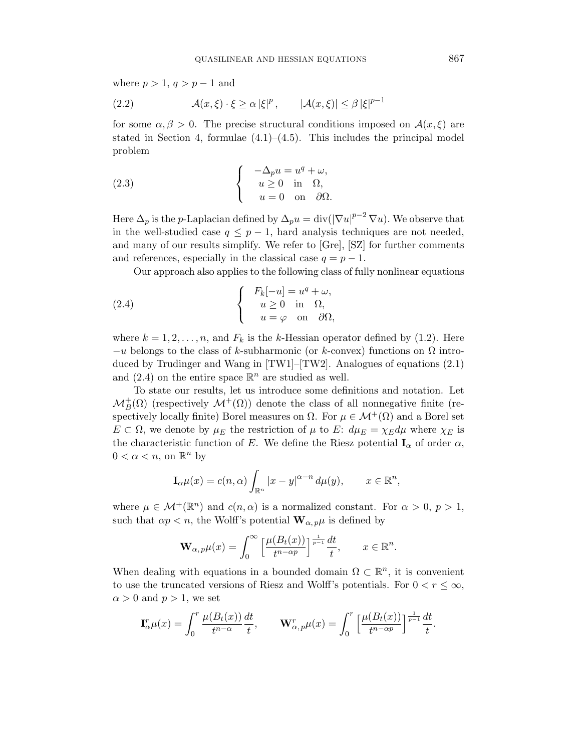where  $p > 1$ ,  $q > p - 1$  and

(2.2) 
$$
\mathcal{A}(x,\xi)\cdot\xi\geq\alpha|\xi|^p, \qquad |\mathcal{A}(x,\xi)|\leq\beta|\xi|^{p-1}
$$

for some  $\alpha, \beta > 0$ . The precise structural conditions imposed on  $\mathcal{A}(x, \xi)$  are stated in Section 4, formulae  $(4.1)$ – $(4.5)$ . This includes the principal model problem

(2.3) 
$$
\begin{cases}\n-\Delta_p u = u^q + \omega, \\
u \ge 0 \text{ in } \Omega, \\
u = 0 \text{ on } \partial\Omega.\n\end{cases}
$$

Here  $\Delta_p$  is the p-Laplacian defined by  $\Delta_p u = \text{div}(|\nabla u|^{p-2} \nabla u)$ . We observe that in the well-studied case  $q \leq p-1$ , hard analysis techniques are not needed, and many of our results simplify. We refer to [Gre], [SZ] for further comments and references, especially in the classical case  $q = p - 1$ .

Our approach also applies to the following class of fully nonlinear equations

(2.4) 
$$
\begin{cases}\nF_k[-u] = u^q + \omega, \\
u \ge 0 \text{ in } \Omega, \\
u = \varphi \text{ on } \partial\Omega,\n\end{cases}
$$

where  $k = 1, 2, \ldots, n$ , and  $F_k$  is the k-Hessian operator defined by (1.2). Here  $-u$  belongs to the class of k-subharmonic (or k-convex) functions on  $\Omega$  introduced by Trudinger and Wang in [TW1]–[TW2]. Analogues of equations (2.1) and  $(2.4)$  on the entire space  $\mathbb{R}^n$  are studied as well.

To state our results, let us introduce some definitions and notation. Let  $\mathcal{M}_B^+(\Omega)$  (respectively  $\mathcal{M}^+(\Omega)$ ) denote the class of all nonnegative finite (respectively locally finite) Borel measures on  $\Omega$ . For  $\mu \in \mathcal{M}^+(\Omega)$  and a Borel set  $E \subset \Omega$ , we denote by  $\mu_E$  the restriction of  $\mu$  to E:  $d\mu_E = \chi_E d\mu$  where  $\chi_E$  is the characteristic function of E. We define the Riesz potential  $I_{\alpha}$  of order  $\alpha$ ,  $0 < \alpha < n$ , on  $\mathbb{R}^n$  by

$$
\mathbf{I}_{\alpha}\mu(x) = c(n,\alpha) \int_{\mathbb{R}^n} |x - y|^{\alpha - n} d\mu(y), \qquad x \in \mathbb{R}^n,
$$

where  $\mu \in \mathcal{M}^+(\mathbb{R}^n)$  and  $c(n, \alpha)$  is a normalized constant. For  $\alpha > 0$ ,  $p > 1$ , such that  $\alpha p < n$ , the Wolff's potential  $\mathbf{W}_{\alpha, p} \mu$  is defined by

$$
\mathbf{W}_{\alpha,p}\mu(x) = \int_0^\infty \left[\frac{\mu(B_t(x))}{t^{n-\alpha p}}\right]^{\frac{1}{p-1}}\frac{dt}{t}, \qquad x \in \mathbb{R}^n.
$$

When dealing with equations in a bounded domain  $\Omega \subset \mathbb{R}^n$ , it is convenient to use the truncated versions of Riesz and Wolff's potentials. For  $0 < r \leq \infty$ ,  $\alpha > 0$  and  $p > 1$ , we set

$$
\mathbf{I}_{\alpha}^r \mu(x) = \int_0^r \frac{\mu(B_t(x))}{t^{n-\alpha}} \frac{dt}{t}, \qquad \mathbf{W}_{\alpha, p}^r \mu(x) = \int_0^r \left[ \frac{\mu(B_t(x))}{t^{n-\alpha p}} \right]^\frac{1}{p-1} \frac{dt}{t}.
$$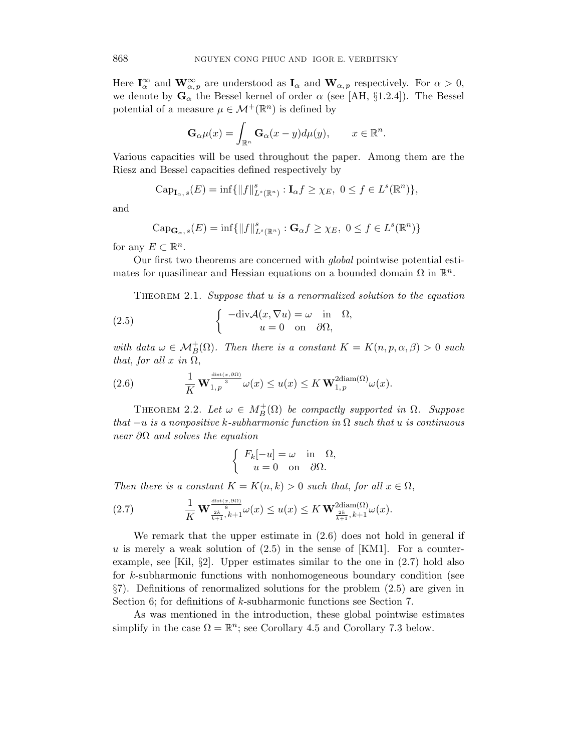Here  $I_{\alpha}^{\infty}$  and  $\mathbf{W}_{\alpha,p}^{\infty}$  are understood as  $\mathbf{I}_{\alpha}$  and  $\mathbf{W}_{\alpha,p}$  respectively. For  $\alpha > 0$ , we denote by  $\mathbf{G}_{\alpha}$  the Bessel kernel of order  $\alpha$  (see [AH, §1.2.4]). The Bessel potential of a measure  $\mu \in \mathcal{M}^+(\mathbb{R}^n)$  is defined by

$$
\mathbf{G}_{\alpha}\mu(x) = \int_{\mathbb{R}^n} \mathbf{G}_{\alpha}(x - y) d\mu(y), \qquad x \in \mathbb{R}^n.
$$

Various capacities will be used throughout the paper. Among them are the Riesz and Bessel capacities defined respectively by

$$
\mathrm{Cap}_{\mathbf{I}_{\alpha},s}(E)=\inf\{\|f\|_{L^s(\mathbb{R}^n)}^s:\mathbf{I}_{\alpha}f\geq\chi_E,\ 0\leq f\in L^s(\mathbb{R}^n)\},
$$

and

$$
\mathrm{Cap}_{\mathbf{G}_{\alpha},s}(E)=\inf\{\|f\|_{L^s(\mathbb{R}^n)}^s:\mathbf{G}_{\alpha}f\geq\chi_E,\ 0\leq f\in L^s(\mathbb{R}^n)\}\
$$

for any  $E \subset \mathbb{R}^n$ .

Our first two theorems are concerned with global pointwise potential estimates for quasilinear and Hessian equations on a bounded domain  $\Omega$  in  $\mathbb{R}^n$ .

THEOREM 2.1. Suppose that u is a renormalized solution to the equation

(2.5) 
$$
\begin{cases}\n-\text{div}\mathcal{A}(x,\nabla u) = \omega & \text{in} \quad \Omega, \\
u = 0 & \text{on} \quad \partial\Omega,\n\end{cases}
$$

with data  $\omega \in \mathcal{M}_B^+(\Omega)$ . Then there is a constant  $K = K(n, p, \alpha, \beta) > 0$  such that, for all  $x$  in  $\Omega$ ,

(2.6) 
$$
\frac{1}{K} \mathbf{W}_{1,p}^{\frac{\text{dist}(x,\partial\Omega)}{3}} \omega(x) \leq u(x) \leq K \mathbf{W}_{1,p}^{2\text{diam}(\Omega)} \omega(x).
$$

THEOREM 2.2. Let  $\omega \in M_B^+(\Omega)$  be compactly supported in  $\Omega$ . Suppose that  $-u$  is a nonpositive k-subharmonic function in  $\Omega$  such that u is continuous near  $\partial\Omega$  and solves the equation

$$
\begin{cases}\nF_k[-u] = \omega & \text{in } \Omega, \\
u = 0 & \text{on } \partial\Omega.\n\end{cases}
$$

Then there is a constant  $K = K(n, k) > 0$  such that, for all  $x \in \Omega$ ,

(2.7) 
$$
\frac{1}{K} \mathbf{W}^{\frac{dist(x,\partial\Omega)}{8}}_{\frac{2k}{k+1},k+1} \omega(x) \leq u(x) \leq K \mathbf{W}^{\frac{2\mathrm{diam}(\Omega)}{2k}}_{\frac{2k}{k+1},k+1} \omega(x).
$$

We remark that the upper estimate in (2.6) does not hold in general if u is merely a weak solution of  $(2.5)$  in the sense of [KM1]. For a counterexample, see [Kil, §2]. Upper estimates similar to the one in  $(2.7)$  hold also for k-subharmonic functions with nonhomogeneous boundary condition (see §7). Definitions of renormalized solutions for the problem (2.5) are given in Section 6; for definitions of k-subharmonic functions see Section 7.

As was mentioned in the introduction, these global pointwise estimates simplify in the case  $\Omega = \mathbb{R}^n$ ; see Corollary 4.5 and Corollary 7.3 below.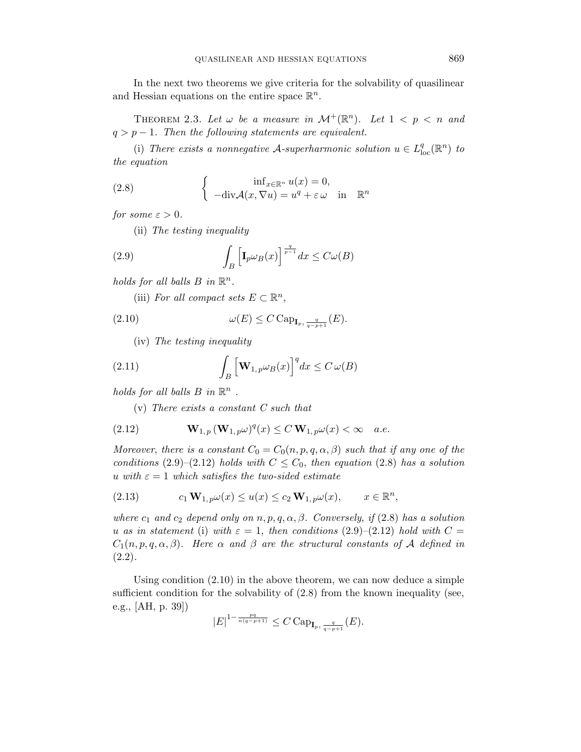In the next two theorems we give criteria for the solvability of quasilinear and Hessian equations on the entire space  $\mathbb{R}^n$ .

THEOREM 2.3. Let  $\omega$  be a measure in  $\mathcal{M}^+(\mathbb{R}^n)$ . Let  $1 < p < n$  and  $q > p - 1$ . Then the following statements are equivalent.

(i) There exists a nonnegative A-superharmonic solution  $u \in L^q_{loc}(\mathbb{R}^n)$  to the equation

(2.8) 
$$
\begin{cases} \inf_{x \in \mathbb{R}^n} u(x) = 0, \\ -\text{div}\mathcal{A}(x, \nabla u) = u^q + \varepsilon \omega \text{ in } \mathbb{R}^n \end{cases}
$$

for some  $\varepsilon > 0$ .

(ii) The testing inequality

(2.9) 
$$
\int_{B} \left[ \mathbf{I}_{p} \omega_{B}(x) \right]^{\frac{q}{p-1}} dx \leq C \omega(B)
$$

holds for all balls  $B$  in  $\mathbb{R}^n$ .

(iii) For all compact sets  $E \subset \mathbb{R}^n$ ,

(2.10) 
$$
\omega(E) \leq C \operatorname{Cap}_{\mathbf{I}_p, \frac{q}{q-p+1}}(E).
$$

(iv) The testing inequality

(2.11) 
$$
\int_{B} \left[ \mathbf{W}_{1, p} \omega_{B}(x) \right]^{q} dx \leq C \omega(B)
$$

holds for all balls  $B$  in  $\mathbb{R}^n$ .

(v) There exists a constant C such that

(2.12) 
$$
\mathbf{W}_{1,p}(\mathbf{W}_{1,p}\omega)^q(x) \leq C \mathbf{W}_{1,p}\omega(x) < \infty \quad a.e.
$$

Moreover, there is a constant  $C_0 = C_0(n, p, q, \alpha, \beta)$  such that if any one of the conditions (2.9)–(2.12) holds with  $C \leq C_0$ , then equation (2.8) has a solution u with  $\varepsilon = 1$  which satisfies the two-sided estimate

,

(2.13) 
$$
c_1 \mathbf{W}_{1,p} \omega(x) \leq u(x) \leq c_2 \mathbf{W}_{1,p} \omega(x), \qquad x \in \mathbb{R}^n
$$

where  $c_1$  and  $c_2$  depend only on  $n, p, q, \alpha, \beta$ . Conversely, if (2.8) has a solution u as in statement (i) with  $\varepsilon = 1$ , then conditions (2.9)–(2.12) hold with  $C =$  $C_1(n, p, q, \alpha, \beta)$ . Here  $\alpha$  and  $\beta$  are the structural constants of A defined in  $(2.2).$ 

Using condition (2.10) in the above theorem, we can now deduce a simple sufficient condition for the solvability of  $(2.8)$  from the known inequality (see, e.g., [AH, p. 39])

$$
|E|^{1-\frac{pq}{n(q-p+1)}} \leq C \, \text{Cap}_{\mathbf{I}_p, \frac{q}{q-p+1}}(E).
$$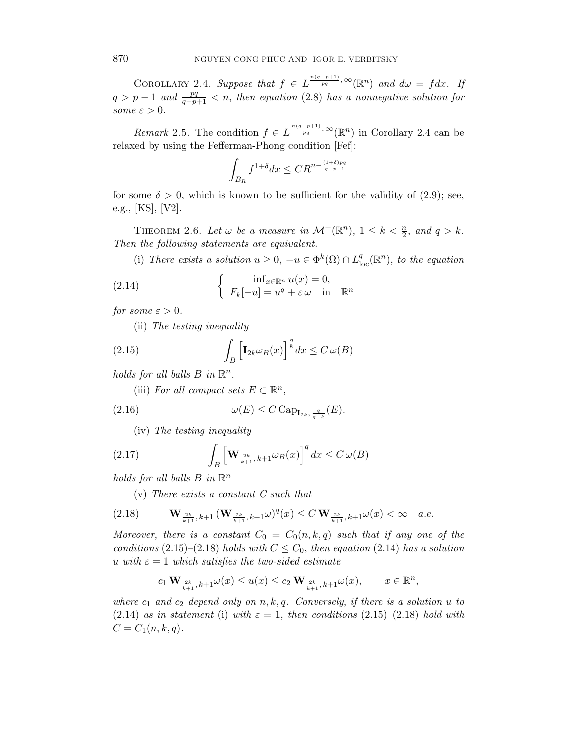COROLLARY 2.4. Suppose that  $f \in L^{\frac{n(q-p+1)}{pq}, \infty}(\mathbb{R}^n)$  and  $d\omega = f dx$ . If  $q > p - 1$  and  $\frac{pq}{q-p+1} < n$ , then equation (2.8) has a nonnegative solution for some  $\varepsilon > 0$ .

*Remark* 2.5. The condition  $f \in L^{\frac{n(q-p+1)}{pq}, \infty}(\mathbb{R}^n)$  in Corollary 2.4 can be relaxed by using the Fefferman-Phong condition [Fef]:

$$
\int_{B_R} f^{1+\delta} dx \le C R^{n - \frac{(1+\delta)pq}{q-p+1}}
$$

for some  $\delta > 0$ , which is known to be sufficient for the validity of (2.9); see, e.g., [KS], [V2].

THEOREM 2.6. Let  $\omega$  be a measure in  $\mathcal{M}^+(\mathbb{R}^n)$ ,  $1 \leq k < \frac{n}{2}$ , and  $q > k$ . Then the following statements are equivalent.

(i) There exists a solution  $u \geq 0$ ,  $-u \in \Phi^k(\Omega) \cap L^q_{loc}(\mathbb{R}^n)$ , to the equation

(2.14) 
$$
\begin{cases} \inf_{x \in \mathbb{R}^n} u(x) = 0, \\ F_k[-u] = u^q + \varepsilon \omega \quad \text{in} \quad \mathbb{R}^n \end{cases}
$$

for some  $\varepsilon > 0$ .

(ii) The testing inequality

(2.15) 
$$
\int_{B} \left[ \mathbf{I}_{2k} \omega_{B}(x) \right]^{\frac{q}{k}} dx \leq C \omega(B)
$$

holds for all balls  $B$  in  $\mathbb{R}^n$ .

(iii) For all compact sets  $E \subset \mathbb{R}^n$ ,

(2.16) 
$$
\omega(E) \leq C \operatorname{Cap}_{\mathbf{I}_{2k}, \frac{q}{q-k}}(E).
$$

(iv) The testing inequality

(2.17) 
$$
\int_{B} \left[ \mathbf{W}_{\frac{2k}{k+1},k+1} \omega_{B}(x) \right]^{q} dx \leq C \omega(B)
$$

holds for all balls  $B$  in  $\mathbb{R}^n$ 

(v) There exists a constant C such that

$$
(2.18) \t\t\t\t\t\mathbf{W}_{\frac{2k}{k+1},k+1}(\mathbf{W}_{\frac{2k}{k+1},k+1}\omega)^{q}(x) \le C\,\mathbf{W}_{\frac{2k}{k+1},k+1}\omega(x) < \infty \quad a.e.
$$

Moreover, there is a constant  $C_0 = C_0(n, k, q)$  such that if any one of the conditions (2.15)–(2.18) holds with  $C \leq C_0$ , then equation (2.14) has a solution u with  $\varepsilon = 1$  which satisfies the two-sided estimate

$$
c_1\,\mathbf{W}_{\frac{2k}{k+1},\,k+1}\omega(x)\leq u(x)\leq c_2\,\mathbf{W}_{\frac{2k}{k+1},\,k+1}\omega(x),\qquad x\in\mathbb{R}^n,
$$

where  $c_1$  and  $c_2$  depend only on  $n, k, q$ . Conversely, if there is a solution u to  $(2.14)$  as in statement (i) with  $\varepsilon = 1$ , then conditions  $(2.15)$ – $(2.18)$  hold with  $C = C_1(n, k, q).$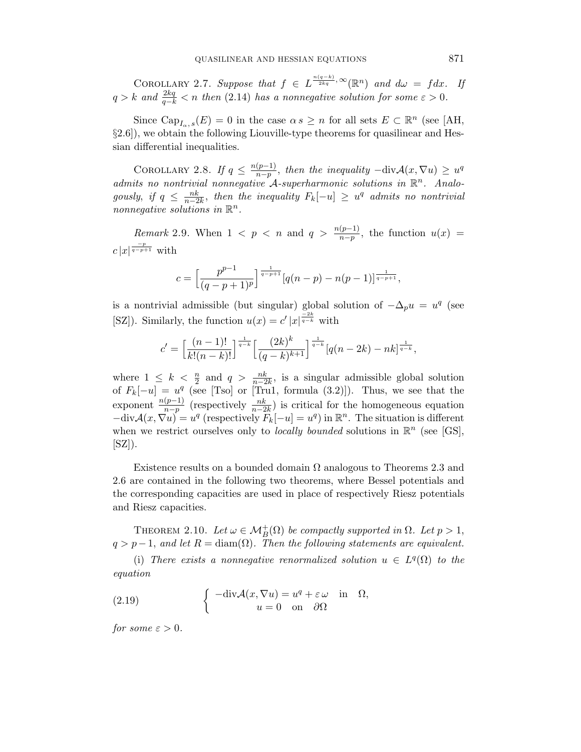COROLLARY 2.7. Suppose that  $f \in L^{\frac{n(q-k)}{2kq}}, \infty(\mathbb{R}^n)$  and  $d\omega = f dx$ . If  $q > k$  and  $\frac{2kq}{q-k} < n$  then (2.14) has a nonnegative solution for some  $\varepsilon > 0$ .

Since  $\text{Cap}_{I_{\alpha}, s}(E) = 0$  in the case  $\alpha s \geq n$  for all sets  $E \subset \mathbb{R}^n$  (see [AH, §2.6]), we obtain the following Liouville-type theorems for quasilinear and Hessian differential inequalities.

COROLLARY 2.8. If  $q \leq \frac{n(p-1)}{n-p}$  $\frac{(p-1)}{n-p}$ , then the inequality  $-\text{div}\mathcal{A}(x,\nabla u) \geq u^q$ admits no nontrivial nonnegative  $A$ -superharmonic solutions in  $\mathbb{R}^n$ . Analogously, if  $q \leq \frac{nk}{n-2k}$ , then the inequality  $F_k[-u] \geq u^q$  admits no nontrivial nonnegative solutions in  $\mathbb{R}^n$ .

*Remark* 2.9. When  $1 \leq p \leq n$  and  $q > \frac{n(p-1)}{n-p}$ , the function  $u(x) =$  $c|x|^{\frac{-p}{q-p+1}}$  with

$$
c = \left[\frac{p^{p-1}}{(q-p+1)^p}\right]^{\frac{1}{q-p+1}} [q(n-p) - n(p-1)]^{\frac{1}{q-p+1}},
$$

is a nontrivial admissible (but singular) global solution of  $-\Delta_p u = u^q$  (see [SZ]). Similarly, the function  $u(x) = c' |x|^{\frac{-2k}{q-k}}$  with

$$
c' = \left[\frac{(n-1)!}{k!(n-k)!}\right]^{\frac{1}{q-k}} \left[\frac{(2k)^k}{(q-k)^{k+1}}\right]^{\frac{1}{q-k}} [q(n-2k) - nk]^{\frac{1}{q-k}},
$$

where  $1 \leq k < \frac{n}{2}$  and  $q > \frac{nk}{n-2k}$ , is a singular admissible global solution of  $F_k[-u] = u^q$  (see [Tso] or [Tru1, formula (3.2)]). Thus, we see that the exponent  $\frac{n(p-1)}{n-p}$  (respectively  $\frac{nk}{n-2k}$ ) is critical for the homogeneous equation  $-\text{div}\mathcal{A}(x,\nabla u) = u^q$  (respectively  $F_k[-u] = u^q$ ) in  $\mathbb{R}^n$ . The situation is different when we restrict ourselves only to *locally bounded* solutions in  $\mathbb{R}^n$  (see [GS],  $[SZ]$ ).

Existence results on a bounded domain  $\Omega$  analogous to Theorems 2.3 and 2.6 are contained in the following two theorems, where Bessel potentials and the corresponding capacities are used in place of respectively Riesz potentials and Riesz capacities.

THEOREM 2.10. Let  $\omega \in \mathcal{M}_B^+(\Omega)$  be compactly supported in  $\Omega$ . Let  $p > 1$ ,  $q > p-1$ , and let  $R = \text{diam}(\Omega)$ . Then the following statements are equivalent.

(i) There exists a nonnegative renormalized solution  $u \in L^q(\Omega)$  to the equation

(2.19) 
$$
\begin{cases}\n-\text{div}\mathcal{A}(x,\nabla u) = u^q + \varepsilon \,\omega & \text{in} \quad \Omega, \\
u = 0 & \text{on} \quad \partial\Omega\n\end{cases}
$$

for some  $\varepsilon > 0$ .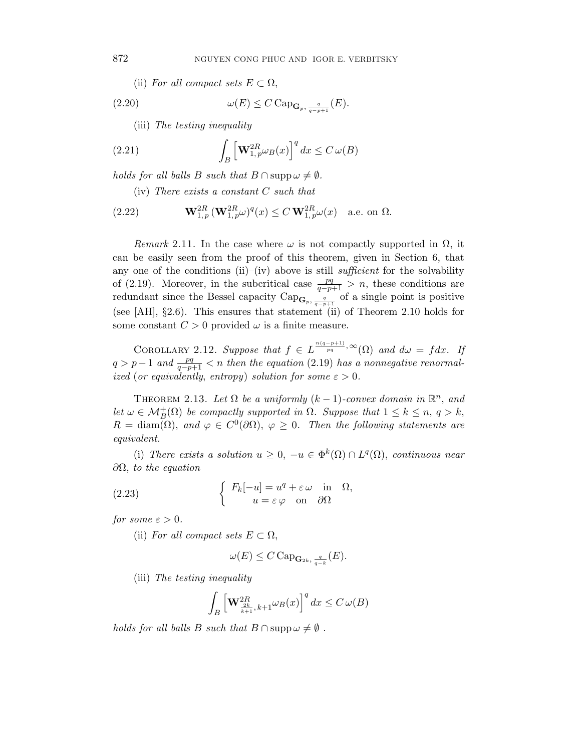(ii) For all compact sets  $E \subset \Omega$ ,

(2.20) 
$$
\omega(E) \leq C \operatorname{Cap}_{\mathbf{G}_p, \frac{q}{q-p+1}}(E).
$$

(iii) The testing inequality

(2.21) 
$$
\int_{B} \left[ \mathbf{W}_{1,p}^{2R} \omega_{B}(x) \right]^{q} dx \leq C \omega(B)
$$

holds for all balls B such that  $B \cap \text{supp}\omega \neq \emptyset$ .

(iv) There exists a constant C such that

(2.22) 
$$
\mathbf{W}_{1,p}^{2R}(\mathbf{W}_{1,p}^{2R}\omega)^{q}(x) \leq C \mathbf{W}_{1,p}^{2R}\omega(x) \text{ a.e. on } \Omega.
$$

Remark 2.11. In the case where  $\omega$  is not compactly supported in  $\Omega$ , it can be easily seen from the proof of this theorem, given in Section 6, that any one of the conditions (ii)–(iv) above is still *sufficient* for the solvability of (2.19). Moreover, in the subcritical case  $\frac{pq}{q-p+1} > n$ , these conditions are redundant since the Bessel capacity  $\text{Cap}_{\mathbf{G}_p, \frac{q}{q-p+1}}$  of a single point is positive (see [AH], §2.6). This ensures that statement (ii) of Theorem 2.10 holds for some constant  $C > 0$  provided  $\omega$  is a finite measure.

COROLLARY 2.12. Suppose that  $f \in L^{\frac{n(q-p+1)}{pq}, \infty}(\Omega)$  and  $d\omega = f dx$ . If  $q > p-1$  and  $\frac{pq}{q-p+1} < n$  then the equation (2.19) has a nonnegative renormalized (or equivalently, entropy) solution for some  $\varepsilon > 0$ .

THEOREM 2.13. Let  $\Omega$  be a uniformly  $(k-1)$ -convex domain in  $\mathbb{R}^n$ , and let  $\omega \in \mathcal{M}_B^+(\Omega)$  be compactly supported in  $\Omega$ . Suppose that  $1 \leq k \leq n$ ,  $q > k$ ,  $R = \text{diam}(\Omega)$ , and  $\varphi \in C^0(\partial \Omega)$ ,  $\varphi \geq 0$ . Then the following statements are equivalent.

(i) There exists a solution  $u \geq 0$ ,  $-u \in \Phi^k(\Omega) \cap L^q(\Omega)$ , continuous near  $\partial Ω$ , to the equation

(2.23) 
$$
\begin{cases} F_k[-u] = u^q + \varepsilon \omega & \text{in } \Omega, \\ u = \varepsilon \varphi & \text{on } \partial \Omega \end{cases}
$$

for some  $\varepsilon > 0$ .

(ii) For all compact sets  $E \subset \Omega$ ,

$$
\omega(E) \leq C \, \text{Cap}_{\mathbf{G}_{2k}, \, \frac{q}{q-k}}(E).
$$

(iii) The testing inequality

$$
\int_B \left[ \mathbf{W}_{\frac{2k}{k+1},k+1}^{2R} \omega_B(x) \right]^q dx \le C \,\omega(B)
$$

holds for all balls B such that  $B \cap \text{supp}\omega \neq \emptyset$ .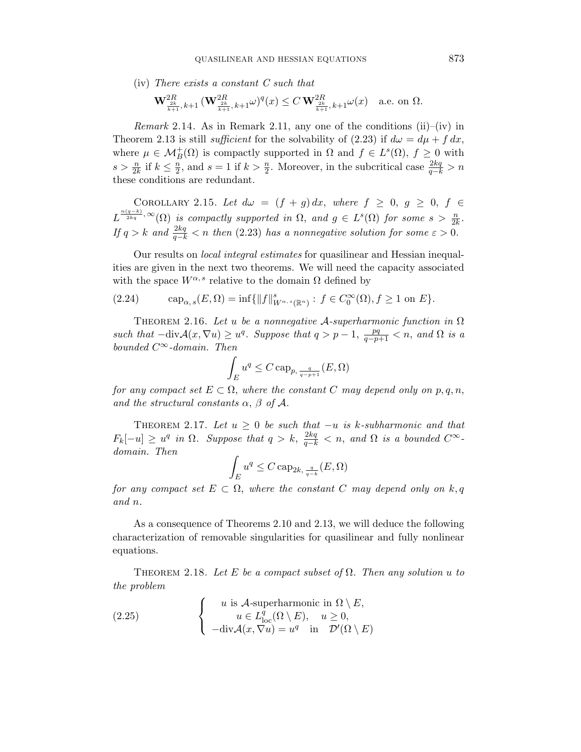(iv) There exists a constant C such that

$$
\mathbf{W}^{2R}_{\frac{2k}{k+1},k+1}(\mathbf{W}^{2R}_{\frac{2k}{k+1},k+1}\omega)^q(x) \le C \mathbf{W}^{2R}_{\frac{2k}{k+1},k+1}\omega(x) \quad \text{a.e. on } \Omega.
$$

*Remark* 2.14. As in Remark 2.11, any one of the conditions (ii)–(iv) in Theorem 2.13 is still *sufficient* for the solvability of (2.23) if  $d\omega = d\mu + f dx$ , where  $\mu \in \mathcal{M}_B^+(\Omega)$  is compactly supported in  $\Omega$  and  $f \in L^s(\Omega)$ ,  $f \geq 0$  with  $s > \frac{n}{2k}$  if  $k \leq \frac{n}{2}$  $\frac{n}{2}$ , and  $s = 1$  if  $k > \frac{n}{2}$ . Moreover, in the subcritical case  $\frac{2kq}{q-k} > n$ these conditions are redundant.

COROLLARY 2.15. Let  $d\omega = (f + g) dx$ , where  $f \ge 0$ ,  $g \ge 0$ ,  $f \in$  $L^{\frac{n(q-k)}{2kq},\infty}(\Omega)$  is compactly supported in  $\Omega$ , and  $g \in L^s(\Omega)$  for some  $s > \frac{n}{2k}$ . If  $q > k$  and  $\frac{2kq}{q-k} < n$  then (2.23) has a nonnegative solution for some  $\varepsilon > 0$ .

Our results on local integral estimates for quasilinear and Hessian inequalities are given in the next two theorems. We will need the capacity associated with the space  $W^{\alpha,s}$  relative to the domain  $\Omega$  defined by

(2.24) 
$$
\text{cap}_{\alpha, s}(E, \Omega) = \inf \{ ||f||^s_{W^{\alpha, s}(\mathbb{R}^n)} : f \in C_0^{\infty}(\Omega), f \ge 1 \text{ on } E \}.
$$

THEOREM 2.16. Let u be a nonnegative A-superharmonic function in  $\Omega$ such that  $-\text{div}\mathcal{A}(x,\nabla u) \geq u^q$ . Suppose that  $q > p - 1$ ,  $\frac{pq}{q-p+1} < n$ , and  $\Omega$  is a bounded  $C^{\infty}\textrm{-}domain.$  Then

$$
\int_E u^q \leq C \operatorname{cap}_{p, \frac{q}{q-p+1}}(E, \Omega)
$$

for any compact set  $E \subset \Omega$ , where the constant C may depend only on p, q, n, and the structural constants  $\alpha$ ,  $\beta$  of  $\mathcal{A}$ .

THEOREM 2.17. Let  $u \geq 0$  be such that  $-u$  is k-subharmonic and that  $F_k[-u] \geq u^q$  in  $\Omega$ . Suppose that  $q > k$ ,  $\frac{2kq}{q-k} < n$ , and  $\Omega$  is a bounded  $C^{\infty}$ domain. Then

$$
\int_{E} u^{q} \leq C \operatorname{cap}_{2k, \frac{q}{q-k}}(E, \Omega)
$$

for any compact set  $E \subset \Omega$ , where the constant C may depend only on k, q and n.

As a consequence of Theorems 2.10 and 2.13, we will deduce the following characterization of removable singularities for quasilinear and fully nonlinear equations.

THEOREM 2.18. Let E be a compact subset of  $\Omega$ . Then any solution u to the problem

(2.25) 
$$
\begin{cases}\nu \text{ is } A\text{-superharmonic in } \Omega \setminus E, \\
u \in L^q_{\text{loc}}(\Omega \setminus E), \quad u \ge 0, \\
-\text{div}\mathcal{A}(x, \nabla u) = u^q \quad \text{in } \mathcal{D}'(\Omega \setminus E)\n\end{cases}
$$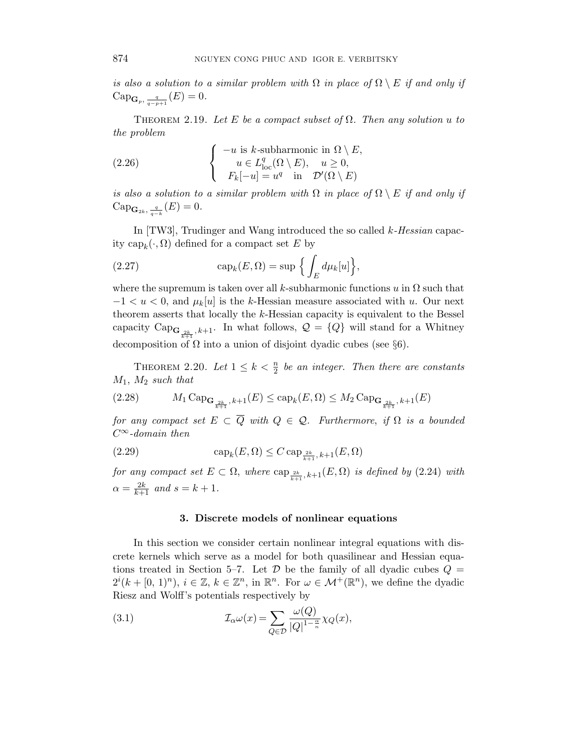is also a solution to a similar problem with  $\Omega$  in place of  $\Omega \setminus E$  if and only if  $\mathrm{Cap}_{\mathbf{G}_p, \frac{q}{q-p+1}}(E) = 0.$ 

THEOREM 2.19. Let E be a compact subset of  $\Omega$ . Then any solution u to the problem

(2.26) 
$$
\begin{cases}\n-u \text{ is } k\text{-subharmonic in } \Omega \setminus E, \\
u \in L_{\text{loc}}^q(\Omega \setminus E), \quad u \ge 0, \\
F_k[-u] = u^q \quad \text{in } \mathcal{D}'(\Omega \setminus E)\n\end{cases}
$$

is also a solution to a similar problem with  $\Omega$  in place of  $\Omega \setminus E$  if and only if  $\mathrm{Cap}_{\mathbf{G}_{2k},\frac{q}{q-k}}(E)=0.$ 

In [TW3], Trudinger and Wang introduced the so called  $k$ -Hessian capacity  $\text{cap}_k(\cdot, \Omega)$  defined for a compact set E by

(2.27) 
$$
\operatorname{cap}_k(E,\Omega)=\sup\Big\{\int_E d\mu_k[u]\Big\},\
$$

where the supremum is taken over all k-subharmonic functions u in  $\Omega$  such that  $-1 < u < 0$ , and  $\mu_k[u]$  is the k-Hessian measure associated with u. Our next theorem asserts that locally the k-Hessian capacity is equivalent to the Bessel capacity  $\text{Cap}_{\mathbf{G}_{\frac{2k}{k+1}},k+1}$ . In what follows,  $\mathcal{Q} = \{Q\}$  will stand for a Whitney decomposition of  $\Omega$  into a union of disjoint dyadic cubes (see §6).

THEOREM 2.20. Let  $1 \leq k < \frac{n}{2}$  be an integer. Then there are constants  $M_1$ ,  $M_2$  such that

(2.28) 
$$
M_1 \text{Cap}_{\mathbf{G}_{\frac{2k}{k+1}}, k+1}(E) \leq \text{cap}_k(E, \Omega) \leq M_2 \text{Cap}_{\mathbf{G}_{\frac{2k}{k+1}}, k+1}(E)
$$

for any compact set  $E \subset \overline{Q}$  with  $Q \in \mathcal{Q}$ . Furthermore, if  $\Omega$  is a bounded  $C^{\infty}$ -domain then

(2.29) 
$$
\operatorname{cap}_k(E,\Omega) \le C \operatorname{cap}_{\frac{2k}{k+1},k+1}(E,\Omega)
$$

for any compact set  $E \subset \Omega$ , where  $\text{cap}_{\frac{2k}{k+1},k+1}(E,\Omega)$  is defined by  $(2.24)$  with  $\alpha = \frac{2k}{k+1}$  and  $s = k+1$ .

## 3. Discrete models of nonlinear equations

In this section we consider certain nonlinear integral equations with discrete kernels which serve as a model for both quasilinear and Hessian equations treated in Section 5–7. Let  $\mathcal D$  be the family of all dyadic cubes  $Q =$  $2^{i}(k + [0, 1]^{n}), i \in \mathbb{Z}, k \in \mathbb{Z}^{n}$ , in  $\mathbb{R}^{n}$ . For  $\omega \in \mathcal{M}^{+}(\mathbb{R}^{n})$ , we define the dyadic Riesz and Wolff's potentials respectively by

(3.1) 
$$
\mathcal{I}_{\alpha}\omega(x) = \sum_{Q \in \mathcal{D}} \frac{\omega(Q)}{|Q|^{1-\frac{\alpha}{n}}}\chi_Q(x),
$$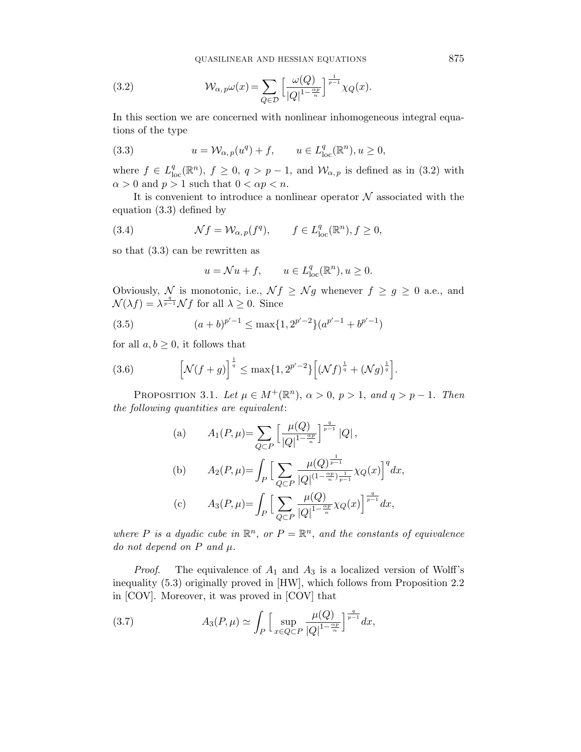QUASILINEAR AND HESSIAN EQUATIONS 875

(3.2) 
$$
\mathcal{W}_{\alpha, p}\omega(x) = \sum_{Q \in \mathcal{D}} \left[ \frac{\omega(Q)}{|Q|^{1-\frac{\alpha p}{n}}}\right]^{\frac{1}{p-1}} \chi_Q(x).
$$

In this section we are concerned with nonlinear inhomogeneous integral equations of the type

(3.3) 
$$
u = \mathcal{W}_{\alpha, p}(u^q) + f, \qquad u \in L^q_{loc}(\mathbb{R}^n), u \ge 0,
$$

where  $f \in L^q_{loc}(\mathbb{R}^n)$ ,  $f \geq 0$ ,  $q > p-1$ , and  $\mathcal{W}_{\alpha, p}$  is defined as in (3.2) with  $\alpha > 0$  and  $p > 1$  such that  $0 < \alpha p < n$ .

It is convenient to introduce a nonlinear operator  ${\cal N}$  associated with the equation (3.3) defined by

(3.4) 
$$
\mathcal{N}f = \mathcal{W}_{\alpha, p}(f^q), \qquad f \in L^q_{\text{loc}}(\mathbb{R}^n), f \ge 0,
$$

so that (3.3) can be rewritten as

$$
u = \mathcal{N}u + f, \qquad u \in L^{q}_{\text{loc}}(\mathbb{R}^{n}), u \ge 0.
$$

Obviously, N is monotonic, i.e.,  $\mathcal{N}f \geq \mathcal{N}g$  whenever  $f \geq g \geq 0$  a.e., and  $\mathcal{N}(\lambda f) = \lambda^{\frac{q}{p-1}} \mathcal{N} f$  for all  $\lambda \geq 0$ . Since

(3.5) 
$$
(a+b)^{p'-1} \le \max\{1, 2^{p'-2}\}(a^{p'-1} + b^{p'-1})
$$

for all  $a, b \geq 0$ , it follows that

(3.6) 
$$
\left[\mathcal{N}(f+g)\right]^{\frac{1}{q}} \leq \max\{1, 2^{p'-2}\}\left[\left(\mathcal{N}f\right)^{\frac{1}{q}} + \left(\mathcal{N}g\right)^{\frac{1}{q}}\right].
$$

PROPOSITION 3.1. Let  $\mu \in M^+(\mathbb{R}^n)$ ,  $\alpha > 0$ ,  $p > 1$ , and  $q > p - 1$ . Then the following quantities are equivalent:

(a) 
$$
A_1(P, \mu) = \sum_{Q \subset P} \left[ \frac{\mu(Q)}{|Q|^{1 - \frac{\alpha_P}{n}}} \right]^{\frac{q}{p-1}} |Q|,
$$
  
\n(b)  $A_2(P, \mu) = \int_P \left[ \sum_{Q \subset P} \frac{\mu(Q)^{\frac{1}{p-1}}}{|Q|^{(1 - \frac{\alpha_P}{n})\frac{1}{p-1}}} \chi_Q(x) \right]^q dx,$   
\n(c)  $A_3(P, \mu) = \int_P \left[ \sum_{Q \subset P} \frac{\mu(Q)}{|Q|^{1 - \frac{\alpha_P}{n}}} \chi_Q(x) \right]^{\frac{q}{p-1}} dx,$ 

where P is a dyadic cube in  $\mathbb{R}^n$ , or  $P = \mathbb{R}^n$ , and the constants of equivalence do not depend on  $P$  and  $\mu$ .

*Proof.* The equivalence of  $A_1$  and  $A_3$  is a localized version of Wolff's inequality (5.3) originally proved in [HW], which follows from Proposition 2.2 in [COV]. Moreover, it was proved in [COV] that

(3.7) 
$$
A_3(P,\mu) \simeq \int_P \left[ \sup_{x \in Q \subset P} \frac{\mu(Q)}{|Q|^{1-\frac{\alpha p}{n}}} \right]^{\frac{q}{p-1}} dx,
$$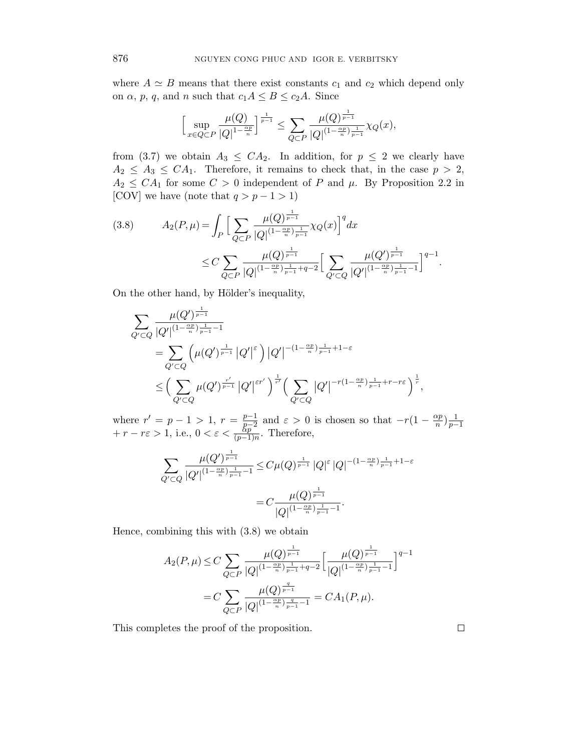where  $A \simeq B$  means that there exist constants  $c_1$  and  $c_2$  which depend only on  $\alpha$ ,  $p$ ,  $q$ , and  $n$  such that  $c_1A \leq B \leq c_2A$ . Since

$$
\Big[\sup_{x\in Q\subset P}\frac{\mu(Q)}{|Q|^{1-\frac{\alpha p}{n}}}\Big]^{\frac{1}{p-1}}\leq \sum_{Q\subset P}\frac{\mu(Q)^{\frac{1}{p-1}}}{|Q|^{(1-\frac{\alpha p}{n})\frac{1}{p-1}}}\chi_Q(x),
$$

from (3.7) we obtain  $A_3 \leq CA_2$ . In addition, for  $p \leq 2$  we clearly have  $A_2 \leq A_3 \leq CA_1$ . Therefore, it remains to check that, in the case  $p > 2$ ,  $A_2 \leq CA_1$  for some  $C > 0$  independent of P and  $\mu$ . By Proposition 2.2 in [COV] we have (note that  $q > p - 1 > 1$ )

$$
(3.8) \qquad A_2(P,\mu) = \int_P \Big[ \sum_{Q \subset P} \frac{\mu(Q)^{\frac{1}{p-1}}}{|Q|^{(1-\frac{\alpha p}{n})\frac{1}{p-1}}} \chi_Q(x) \Big]^q dx
$$
  

$$
\leq C \sum_{Q \subset P} \frac{\mu(Q)^{\frac{1}{p-1}}}{|Q|^{(1-\frac{\alpha p}{n})\frac{1}{p-1}+q-2}} \Big[ \sum_{Q' \subset Q} \frac{\mu(Q')^{\frac{1}{p-1}}}{|Q'|^{(1-\frac{\alpha p}{n})\frac{1}{p-1}-1}} \Big]^{q-1}.
$$

On the other hand, by Hölder's inequality,

$$
\sum_{Q' \subset Q} \frac{\mu(Q')^{\frac{1}{p-1}}}{|Q'|^{(1-\frac{\alpha p}{n})\frac{1}{p-1}-1}} \\
= \sum_{Q' \subset Q} \left( \mu(Q')^{\frac{1}{p-1}} |Q'|^{\varepsilon} \right) |Q'|^{-(1-\frac{\alpha p}{n})\frac{1}{p-1}+1-\varepsilon} \\
\leq \left( \sum_{Q' \subset Q} \mu(Q')^{\frac{r'}{p-1}} |Q'|^{\varepsilon r'} \right)^{\frac{1}{r'}} \left( \sum_{Q' \subset Q} |Q'|^{-r(1-\frac{\alpha p}{n})\frac{1}{p-1}+r-r\varepsilon} \right)^{\frac{1}{r}},
$$

where  $r' = p - 1 > 1$ ,  $r = \frac{p-1}{p-2}$  $\frac{p-1}{p-2}$  and  $\varepsilon > 0$  is chosen so that  $-r(1-\frac{\alpha p}{n})$ where  $r' = p - 1 > 1$ ,  $r = \frac{p-1}{p-2}$  and  $\varepsilon > 0$  is chosen so that  $-r(1 - \frac{\alpha p}{n})\frac{1}{p-1} + r - r\varepsilon > 1$ , i.e.,  $0 < \varepsilon < \frac{p-1}{(p-1)n}$ . Therefore,

$$
\sum_{Q' \subset Q} \frac{\mu(Q')^{\frac{1}{p-1}}}{|Q'|^{(1-\frac{\alpha p}{n})\frac{1}{p-1}-1}} \leq C\mu(Q)^{\frac{1}{p-1}}\left|Q\right|^{\varepsilon} \left|Q\right|^{-(1-\frac{\alpha p}{n})\frac{1}{p-1}+1-\varepsilon}
$$

$$
= C\frac{\mu(Q)^{\frac{1}{p-1}}}{\left|Q\right|^{(1-\frac{\alpha p}{n})\frac{1}{p-1}-1}}.
$$

Hence, combining this with (3.8) we obtain

$$
A_2(P,\mu) \le C \sum_{Q \subset P} \frac{\mu(Q)^{\frac{1}{p-1}}}{|Q|^{(1-\frac{\alpha p}{n})\frac{1}{p-1}+q-2}} \Big[\frac{\mu(Q)^{\frac{1}{p-1}}}{|Q|^{(1-\frac{\alpha p}{n})\frac{1}{p-1}-1}}\Big]^{q-1}
$$
  
=  $C \sum_{Q \subset P} \frac{\mu(Q)^{\frac{q}{p-1}}}{|Q|^{(1-\frac{\alpha p}{n})\frac{q}{p-1}-1}} = CA_1(P,\mu).$ 

This completes the proof of the proposition.

 $\Box$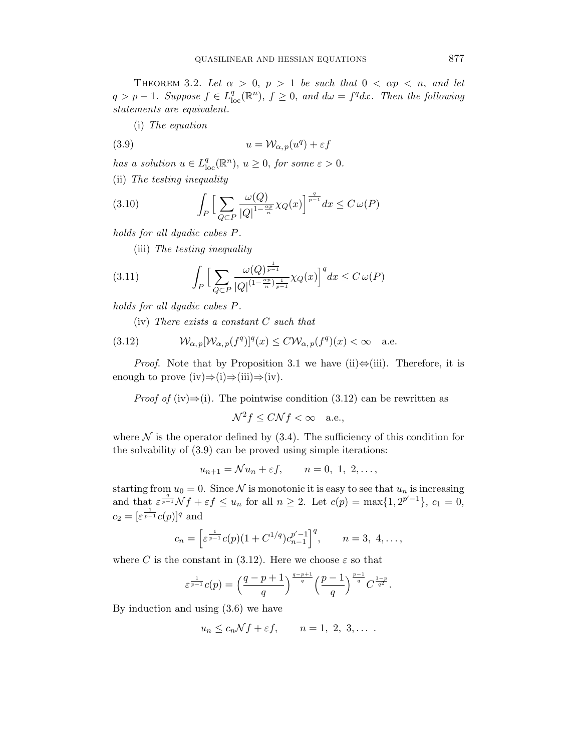THEOREM 3.2. Let  $\alpha > 0$ ,  $p > 1$  be such that  $0 < \alpha p < n$ , and let  $q > p - 1$ . Suppose  $f \in L^q_{loc}(\mathbb{R}^n)$ ,  $f \geq 0$ , and  $d\omega = f^q dx$ . Then the following statements are equivalent.

(i) The equation

(3.9) 
$$
u = \mathcal{W}_{\alpha, p}(u^q) + \varepsilon f
$$

has a solution  $u \in L^q_{loc}(\mathbb{R}^n)$ ,  $u \geq 0$ , for some  $\varepsilon > 0$ .

(ii) The testing inequality

(3.10) 
$$
\int_P \Big[ \sum_{Q \subset P} \frac{\omega(Q)}{|Q|^{1 - \frac{\alpha p}{n}} \chi_Q(x)} \Big]^{\frac{q}{p-1}} dx \leq C \omega(P)
$$

holds for all dyadic cubes P.

(iii) The testing inequality

(3.11) 
$$
\int_{P} \Big[ \sum_{Q \subset P} \frac{\omega(Q)^{\frac{1}{p-1}}}{|Q|^{(1-\frac{\alpha p}{n})\frac{1}{p-1}}} \chi_Q(x) \Big]^q dx \leq C \,\omega(P)
$$

holds for all dyadic cubes P.

(iv) There exists a constant C such that

(3.12) 
$$
\mathcal{W}_{\alpha,p}[\mathcal{W}_{\alpha,p}(f^q)]^q(x) \leq C \mathcal{W}_{\alpha,p}(f^q)(x) < \infty \quad \text{a.e.}
$$

*Proof.* Note that by Proposition 3.1 we have (ii) $\Leftrightarrow$ (iii). Therefore, it is enough to prove  $(iv) \Rightarrow (i) \Rightarrow (iii) \Rightarrow (iv)$ .

*Proof of* (iv) $\Rightarrow$ (i). The pointwise condition (3.12) can be rewritten as

$$
\mathcal{N}^2 f \le C \mathcal{N} f < \infty \quad \text{a.e.,}
$$

where  $\mathcal N$  is the operator defined by (3.4). The sufficiency of this condition for the solvability of (3.9) can be proved using simple iterations:

$$
u_{n+1} = \mathcal{N}u_n + \varepsilon f, \qquad n = 0, 1, 2, \dots,
$$

starting from  $u_0 = 0$ . Since N is monotonic it is easy to see that  $u_n$  is increasing and that  $\varepsilon^{\frac{q}{p-1}} \mathcal{N} f + \varepsilon f \leq u_n$  for all  $n \geq 2$ . Let  $c(p) = \max\{1, 2^{p'-1}\}, c_1 = 0$ ,  $c_2 = [\varepsilon^{\frac{1}{p-1}}c(p)]^q$  and

$$
c_n = \left[\varepsilon^{\frac{1}{p-1}}c(p)(1+C^{1/q})c_{n-1}^{p'-1}\right]^q, \qquad n=3, 4, \ldots,
$$

where C is the constant in (3.12). Here we choose  $\varepsilon$  so that

$$
\varepsilon^{\frac{1}{p-1}}c(p) = \left(\frac{q-p+1}{q}\right)^{\frac{q-p+1}{q}} \left(\frac{p-1}{q}\right)^{\frac{p-1}{q}} C^{\frac{1-p}{q^2}}.
$$

By induction and using (3.6) we have

$$
u_n \le c_n \mathcal{N}f + \varepsilon f, \qquad n = 1, 2, 3, \dots.
$$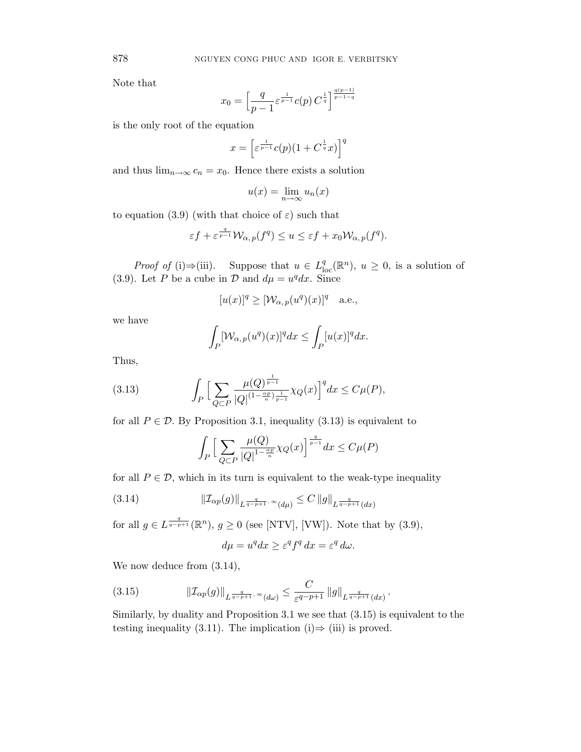Note that

$$
x_0 = \left[\frac{q}{p-1} \varepsilon^{\frac{1}{p-1}} c(p) \, C^{\frac{1}{q}}\right]^{\frac{q(p-1)}{p-1-q}}
$$

is the only root of the equation

$$
x = \left[\varepsilon^{\frac{1}{p-1}}c(p)(1+C^{\frac{1}{q}}x)\right]^q
$$

and thus  $\lim_{n\to\infty} c_n = x_0$ . Hence there exists a solution

$$
u(x) = \lim_{n \to \infty} u_n(x)
$$

to equation (3.9) (with that choice of  $\varepsilon$ ) such that

$$
\varepsilon f + \varepsilon^{\frac{q}{p-1}} \mathcal{W}_{\alpha, p}(f^q) \le u \le \varepsilon f + x_0 \mathcal{W}_{\alpha, p}(f^q).
$$

*Proof of* (i) $\Rightarrow$ (iii). Suppose that  $u \in L^q_{loc}(\mathbb{R}^n)$ ,  $u \geq 0$ , is a solution of (3.9). Let P be a cube in D and  $d\mu = u^q dx$ . Since

$$
[u(x)]^q \geq [\mathcal{W}_{\alpha, p}(u^q)(x)]^q
$$
 a.e.,

we have

$$
\int_P [W_{\alpha,p}(u^q)(x)]^q dx \le \int_P [u(x)]^q dx.
$$

Thus,

(3.13) 
$$
\int_P \Big[ \sum_{Q \subset P} \frac{\mu(Q)^{\frac{1}{p-1}}}{|Q|^{(1-\frac{\alpha p}{n})\frac{1}{p-1}}} \chi_Q(x) \Big]^q dx \le C\mu(P),
$$

for all  $P \in \mathcal{D}$ . By Proposition 3.1, inequality (3.13) is equivalent to

$$
\int_P \Big[ \sum_{Q \subset P} \frac{\mu(Q)}{|Q|^{1 - \frac{\alpha p}{n}} \chi_Q(x)} \Big]^{\frac{q}{p-1}} dx \le C\mu(P)
$$

for all  $P \in \mathcal{D}$ , which in its turn is equivalent to the weak-type inequality

(3.14) 
$$
\|\mathcal{I}_{\alpha p}(g)\|_{L^{\frac{q}{q-p+1}, \infty}(d\mu)} \leq C \|g\|_{L^{\frac{q}{q-p+1}}(dx)}
$$

for all  $g \in L^{\frac{q}{q-p+1}}(\mathbb{R}^n)$ ,  $g \ge 0$  (see [NTV], [VW]). Note that by (3.9),

$$
d\mu = u^q dx \ge \varepsilon^q f^q dx = \varepsilon^q d\omega.
$$

We now deduce from  $(3.14)$ ,

$$
(3.15) \t\t ||\mathcal{I}_{\alpha p}(g)||_{L^{\frac{q}{q-p+1}, \infty}(d\omega)} \leq \frac{C}{\varepsilon^{q-p+1}} \, ||g||_{L^{\frac{q}{q-p+1}}(dx)}.
$$

Similarly, by duality and Proposition 3.1 we see that (3.15) is equivalent to the testing inequality (3.11). The implication (i) $\Rightarrow$  (iii) is proved.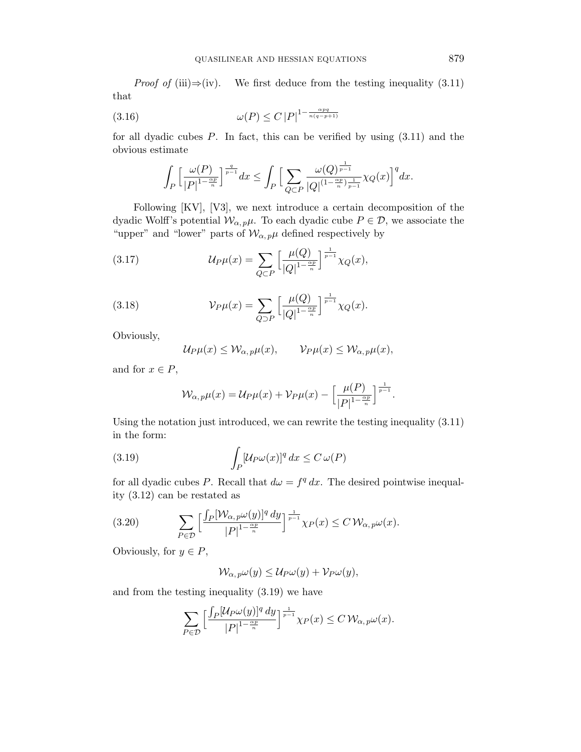*Proof of* (iii)⇒(iv). We first deduce from the testing inequality  $(3.11)$ that

$$
(3.16)\qquad \qquad \omega(P) \le C \left|P\right|^{1-\frac{\alpha pq}{n(q-p+1)}}
$$

for all dyadic cubes  $P$ . In fact, this can be verified by using  $(3.11)$  and the obvious estimate

$$
\int_P\Big[\frac{\omega(P)}{|P|^{1-\frac{\alpha p}n}}\Big]^{\frac{q}{p-1}}dx\leq \int_P\Big[\sum_{Q\subset P}\frac{\omega(Q)^{\frac1{p-1}}}{|Q|^{(1-\frac{\alpha p}n)\frac1{p-1}}}\chi_Q(x)\Big]^q dx.
$$

Following [KV], [V3], we next introduce a certain decomposition of the dyadic Wolff's potential  $\mathcal{W}_{\alpha, p} \mu$ . To each dyadic cube  $P \in \mathcal{D}$ , we associate the "upper" and "lower" parts of  $\mathcal{W}_{\alpha, p}$  defined respectively by

(3.17) 
$$
\mathcal{U}_P \mu(x) = \sum_{Q \subset P} \left[ \frac{\mu(Q)}{|Q|^{1 - \frac{\alpha p}{n}}} \right]^{\frac{1}{p-1}} \chi_Q(x),
$$

(3.18) 
$$
\mathcal{V}_{P}\mu(x) = \sum_{Q \supset P} \left[ \frac{\mu(Q)}{|Q|^{1-\frac{\alpha p}{n}}} \right]^{\frac{1}{p-1}} \chi_{Q}(x).
$$

Obviously,

$$
\mathcal{U}_P\mu(x) \leq \mathcal{W}_{\alpha, p}\mu(x), \qquad \mathcal{V}_P\mu(x) \leq \mathcal{W}_{\alpha, p}\mu(x),
$$

and for  $x \in P$ ,

$$
\mathcal{W}_{\alpha,p}\mu(x) = \mathcal{U}_P\mu(x) + \mathcal{V}_P\mu(x) - \left[\frac{\mu(P)}{|P|^{1-\frac{\alpha p}{n}}}\right]^{\frac{1}{p-1}}.
$$

Using the notation just introduced, we can rewrite the testing inequality (3.11) in the form:

(3.19) 
$$
\int_P [\mathcal{U}_P \omega(x)]^q dx \leq C \,\omega(P)
$$

for all dyadic cubes P. Recall that  $d\omega = f^q dx$ . The desired pointwise inequality (3.12) can be restated as

(3.20) 
$$
\sum_{P \in \mathcal{D}} \left[ \frac{\int_P [\mathcal{W}_{\alpha, p} \omega(y)]^q dy}{|P|^{1 - \frac{\alpha p}{n}}} \right]^{\frac{1}{p-1}} \chi_P(x) \leq C \mathcal{W}_{\alpha, p} \omega(x).
$$

Obviously, for  $y \in P$ ,

$$
\mathcal{W}_{\alpha, p}\omega(y) \leq \mathcal{U}_P\omega(y) + \mathcal{V}_P\omega(y),
$$

and from the testing inequality (3.19) we have

$$
\sum_{P\in\mathcal{D}}\Big[\frac{\int_P[\mathcal{U}_P\omega(y)]^q\,dy}{|P|^{1-\frac{\alpha p}{n}}}\Big]^{\frac{1}{p-1}}\chi_P(x)\leq C\,\mathcal{W}_{\alpha,\,p}\omega(x).
$$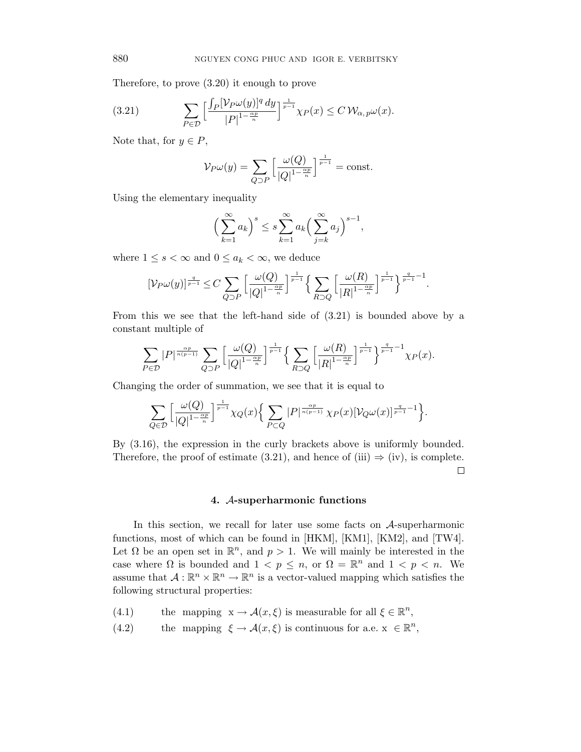Therefore, to prove (3.20) it enough to prove

(3.21) 
$$
\sum_{P \in \mathcal{D}} \left[ \frac{\int_P [\mathcal{V}_P \omega(y)]^q dy}{|P|^{1 - \frac{\alpha p}{n}}} \right]^{\frac{1}{p-1}} \chi_P(x) \leq C \mathcal{W}_{\alpha, p} \omega(x).
$$

Note that, for  $y \in P$ ,

$$
\mathcal{V}_{P}\omega(y) = \sum_{Q \supset P} \left[ \frac{\omega(Q)}{|Q|^{1-\frac{\alpha_P}{n}}} \right]^{\frac{1}{p-1}} = \text{const.}
$$

Using the elementary inequality

$$
\left(\sum_{k=1}^{\infty} a_k\right)^s \le s \sum_{k=1}^{\infty} a_k \left(\sum_{j=k}^{\infty} a_j\right)^{s-1},
$$

where  $1 \leq s < \infty$  and  $0 \leq a_k < \infty$ , we deduce

$$
[\mathcal{V}_{P}\omega(y)]^{\frac{q}{p-1}} \leq C \sum_{Q \supset P} \left[\frac{\omega(Q)}{|Q|^{1-\frac{\alpha p}{n}}}\right]^{\frac{1}{p-1}} \left\{\sum_{R \supset Q} \left[\frac{\omega(R)}{|R|^{1-\frac{\alpha p}{n}}}\right]^{\frac{1}{p-1}}\right\}^{\frac{q}{p-1}-1}.
$$

From this we see that the left-hand side of (3.21) is bounded above by a constant multiple of

$$
\sum_{P \in \mathcal{D}} |P|^{\frac{\alpha p}{n(p-1)}} \sum_{Q \supset P} \left[ \frac{\omega(Q)}{|Q|^{1-\frac{\alpha p}{n}}} \right]^{\frac{1}{p-1}} \left\{ \sum_{R \supset Q} \left[ \frac{\omega(R)}{|R|^{1-\frac{\alpha p}{n}}} \right]^{\frac{1}{p-1}} \right\}^{\frac{q}{p-1}-1} \chi_P(x).
$$

Changing the order of summation, we see that it is equal to

$$
\sum_{Q\in\mathcal{D}}\Big[\frac{\omega(Q)}{|Q|^{1-\frac{\alpha p}{n}}}\Big]^{\frac{1}{p-1}}\chi_Q(x)\Big\{\sum_{P\subset Q}|P|^{\frac{\alpha p}{n(p-1)}}\chi_P(x)[\mathcal{V}_Q\omega(x)]^{\frac{q}{p-1}-1}\Big\}.
$$

By (3.16), the expression in the curly brackets above is uniformly bounded. Therefore, the proof of estimate (3.21), and hence of (iii)  $\Rightarrow$  (iv), is complete.  $\Box$ 

# 4. A-superharmonic functions

In this section, we recall for later use some facts on A-superharmonic functions, most of which can be found in [HKM], [KM1], [KM2], and [TW4]. Let  $\Omega$  be an open set in  $\mathbb{R}^n$ , and  $p > 1$ . We will mainly be interested in the case where  $\Omega$  is bounded and  $1 < p \leq n$ , or  $\Omega = \mathbb{R}^n$  and  $1 < p < n$ . We assume that  $A: \mathbb{R}^n \times \mathbb{R}^n \to \mathbb{R}^n$  is a vector-valued mapping which satisfies the following structural properties:

- (4.1) the mapping  $x \to \mathcal{A}(x,\xi)$  is measurable for all  $\xi \in \mathbb{R}^n$ ,
- (4.2) the mapping  $\xi \to \mathcal{A}(x,\xi)$  is continuous for a.e.  $x \in \mathbb{R}^n$ ,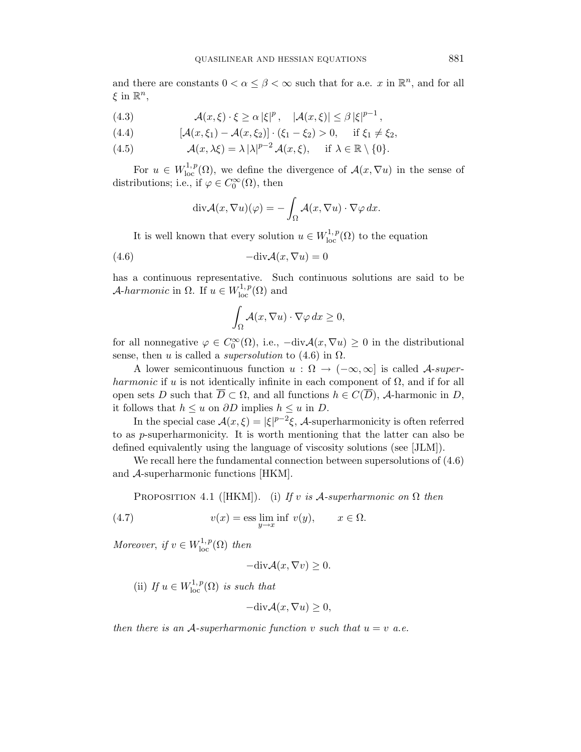and there are constants  $0 < \alpha \leq \beta < \infty$  such that for a.e. x in  $\mathbb{R}^n$ , and for all  $\xi$  in  $\mathbb{R}^n$ ,

(4.3) 
$$
\mathcal{A}(x,\xi)\cdot\xi\geq\alpha|\xi|^p, \quad |\mathcal{A}(x,\xi)|\leq\beta|\xi|^{p-1},
$$

(4.4) 
$$
[\mathcal{A}(x,\xi_1) - \mathcal{A}(x,\xi_2)] \cdot (\xi_1 - \xi_2) > 0, \quad \text{if } \xi_1 \neq \xi_2,
$$

(4.5) 
$$
\mathcal{A}(x,\lambda\xi)=\lambda |\lambda|^{p-2}\mathcal{A}(x,\xi), \quad \text{if } \lambda\in\mathbb{R}\setminus\{0\}.
$$

For  $u \in W^{1,p}_{loc}(\Omega)$ , we define the divergence of  $\mathcal{A}(x,\nabla u)$  in the sense of distributions; i.e., if  $\varphi \in C_0^{\infty}(\Omega)$ , then

$$
\operatorname{div} \mathcal{A}(x, \nabla u)(\varphi) = -\int_{\Omega} \mathcal{A}(x, \nabla u) \cdot \nabla \varphi \, dx.
$$

It is well known that every solution  $u \in W^{1,p}_{loc}(\Omega)$  to the equation

$$
(4.6) \t -div\mathcal{A}(x,\nabla u) = 0
$$

has a continuous representative. Such continuous solutions are said to be A-harmonic in  $\Omega$ . If  $u \in W^{1,p}_{loc}(\Omega)$  and

$$
\int_{\Omega} \mathcal{A}(x, \nabla u) \cdot \nabla \varphi \, dx \ge 0,
$$

for all nonnegative  $\varphi \in C_0^{\infty}(\Omega)$ , i.e.,  $-\text{div}\mathcal{A}(x,\nabla u) \geq 0$  in the distributional sense, then u is called a *supersolution* to  $(4.6)$  in  $\Omega$ .

A lower semicontinuous function  $u : \Omega \to (-\infty, \infty]$  is called A-superharmonic if u is not identically infinite in each component of  $\Omega$ , and if for all open sets D such that  $\overline{D} \subset \Omega$ , and all functions  $h \in C(\overline{D})$ , A-harmonic in D, it follows that  $h \leq u$  on  $\partial D$  implies  $h \leq u$  in  $D$ .

In the special case  $\mathcal{A}(x,\xi) = |\xi|^{p-2}\xi$ , A-superharmonicity is often referred to as p-superharmonicity. It is worth mentioning that the latter can also be defined equivalently using the language of viscosity solutions (see [JLM]).

We recall here the fundamental connection between supersolutions of (4.6) and A-superharmonic functions [HKM].

PROPOSITION 4.1 ([HKM]). (i) If v is  $A$ -superharmonic on  $\Omega$  then

(4.7) 
$$
v(x) = \operatorname{ess} \lim_{y \to x} \inf v(y), \qquad x \in \Omega.
$$

Moreover, if  $v \in W^{1,p}_{loc}(\Omega)$  then

$$
-\text{div}\mathcal{A}(x,\nabla v)\geq 0.
$$

(ii) If  $u \in W^{1,p}_{loc}(\Omega)$  is such that

$$
-\text{div}\mathcal{A}(x,\nabla u)\geq 0,
$$

then there is an A-superharmonic function v such that  $u = v$  a.e.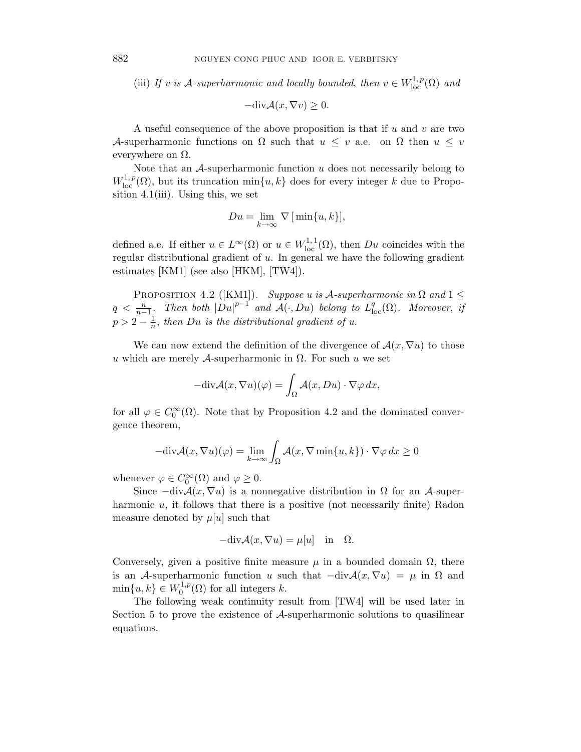(iii) If v is A-superharmonic and locally bounded, then  $v \in W^{1,p}_{loc}(\Omega)$  and

$$
-\text{div}\mathcal{A}(x,\nabla v)\geq 0.
$$

A useful consequence of the above proposition is that if  $u$  and  $v$  are two A-superharmonic functions on  $\Omega$  such that  $u \leq v$  a.e. on  $\Omega$  then  $u \leq v$ everywhere on  $\Omega$ .

Note that an  $A$ -superharmonic function  $u$  does not necessarily belong to  $W^{1,p}_{loc}(\Omega)$ , but its truncation  $\min\{u, k\}$  does for every integer k due to Proposition 4.1(iii). Using this, we set

$$
Du = \lim_{k \to \infty} \nabla \left[ \min\{u, k\} \right],
$$

defined a.e. If either  $u \in L^{\infty}(\Omega)$  or  $u \in W^{1,1}_{loc}(\Omega)$ , then  $Du$  coincides with the regular distributional gradient of  $u$ . In general we have the following gradient estimates [KM1] (see also [HKM], [TW4]).

PROPOSITION 4.2 ([KM1]). Suppose u is A-superharmonic in  $\Omega$  and  $1 \leq$  $q \leq \frac{n}{n-1}$ . Then both  $|Du|^{p-1}$  and  $\mathcal{A}(\cdot, Du)$  belong to  $L^q_{loc}(\Omega)$ . Moreover, if  $p > 2 - \frac{1}{n}$  $\frac{1}{n}$ , then Du is the distributional gradient of u.

We can now extend the definition of the divergence of  $\mathcal{A}(x,\nabla u)$  to those u which are merely A-superharmonic in  $\Omega$ . For such u we set

$$
-\text{div}\mathcal{A}(x,\nabla u)(\varphi) = \int_{\Omega} \mathcal{A}(x,Du) \cdot \nabla \varphi \, dx,
$$

for all  $\varphi \in C_0^{\infty}(\Omega)$ . Note that by Proposition 4.2 and the dominated convergence theorem,

$$
-\text{div}\mathcal{A}(x,\nabla u)(\varphi) = \lim_{k \to \infty} \int_{\Omega} \mathcal{A}(x,\nabla \min\{u,k\}) \cdot \nabla \varphi \, dx \ge 0
$$

whenever  $\varphi \in C_0^{\infty}(\Omega)$  and  $\varphi \geq 0$ .

Since  $-\text{div}\mathcal{A}(x,\nabla u)$  is a nonnegative distribution in  $\Omega$  for an  $\mathcal{A}$ -superharmonic  $u$ , it follows that there is a positive (not necessarily finite) Radon measure denoted by  $\mu[u]$  such that

$$
-\text{div}\mathcal{A}(x,\nabla u) = \mu[u] \text{ in } \Omega.
$$

Conversely, given a positive finite measure  $\mu$  in a bounded domain  $\Omega$ , there is an A-superharmonic function u such that  $-\text{div}\mathcal{A}(x,\nabla u) = \mu$  in  $\Omega$  and  $\min\{u, k\} \in W_0^{1,p}$  $L_0^{1,p}(\Omega)$  for all integers k.

The following weak continuity result from [TW4] will be used later in Section 5 to prove the existence of A-superharmonic solutions to quasilinear equations.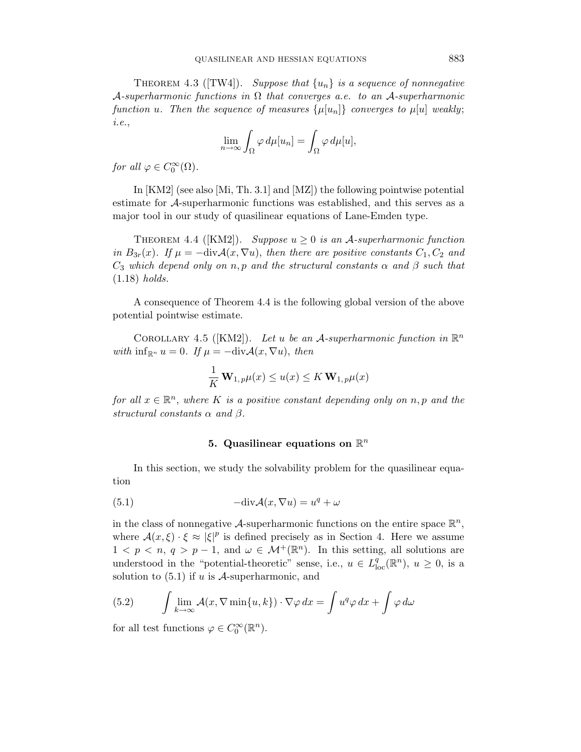THEOREM 4.3 ([TW4]). Suppose that  $\{u_n\}$  is a sequence of nonnegative A-superharmonic functions in  $\Omega$  that converges a.e. to an A-superharmonic function u. Then the sequence of measures  $\{\mu[u_n]\}$  converges to  $\mu[u]$  weakly; i.e.,

$$
\lim_{n \to \infty} \int_{\Omega} \varphi \, d\mu[u_n] = \int_{\Omega} \varphi \, d\mu[u],
$$

for all  $\varphi \in C_0^{\infty}(\Omega)$ .

In [KM2] (see also [Mi, Th. 3.1] and [MZ]) the following pointwise potential estimate for A-superharmonic functions was established, and this serves as a major tool in our study of quasilinear equations of Lane-Emden type.

THEOREM 4.4 ([KM2]). Suppose  $u \geq 0$  is an A-superharmonic function in  $B_{3r}(x)$ . If  $\mu = -\text{div}\mathcal{A}(x,\nabla u)$ , then there are positive constants  $C_1, C_2$  and  $C_3$  which depend only on n, p and the structural constants  $\alpha$  and  $\beta$  such that (1.18) holds.

A consequence of Theorem 4.4 is the following global version of the above potential pointwise estimate.

COROLLARY 4.5 ([KM2]). Let u be an A-superharmonic function in  $\mathbb{R}^n$ with  $\inf_{\mathbb{R}^n} u = 0$ . If  $\mu = -\text{div}\mathcal{A}(x, \nabla u)$ , then

$$
\frac{1}{K} \mathbf{W}_{1,p} \mu(x) \le u(x) \le K \mathbf{W}_{1,p} \mu(x)
$$

for all  $x \in \mathbb{R}^n$ , where K is a positive constant depending only on n, p and the structural constants  $\alpha$  and  $\beta$ .

# 5. Quasilinear equations on  $\mathbb{R}^n$

In this section, we study the solvability problem for the quasilinear equation

(5.1) 
$$
-\text{div}\mathcal{A}(x,\nabla u) = u^q + \omega
$$

in the class of nonnegative A-superharmonic functions on the entire space  $\mathbb{R}^n$ , where  $\mathcal{A}(x,\xi) \cdot \xi \approx |\xi|^p$  is defined precisely as in Section 4. Here we assume  $1 < p < n, q > p-1$ , and  $\omega \in \mathcal{M}^+(\mathbb{R}^n)$ . In this setting, all solutions are understood in the "potential-theoretic" sense, i.e.,  $u \in L^q_{loc}(\mathbb{R}^n)$ ,  $u \ge 0$ , is a solution to  $(5.1)$  if u is A-superharmonic, and

(5.2) 
$$
\int \lim_{k \to \infty} \mathcal{A}(x, \nabla \min\{u, k\}) \cdot \nabla \varphi \, dx = \int u^q \varphi \, dx + \int \varphi \, d\omega
$$

for all test functions  $\varphi \in C_0^{\infty}(\mathbb{R}^n)$ .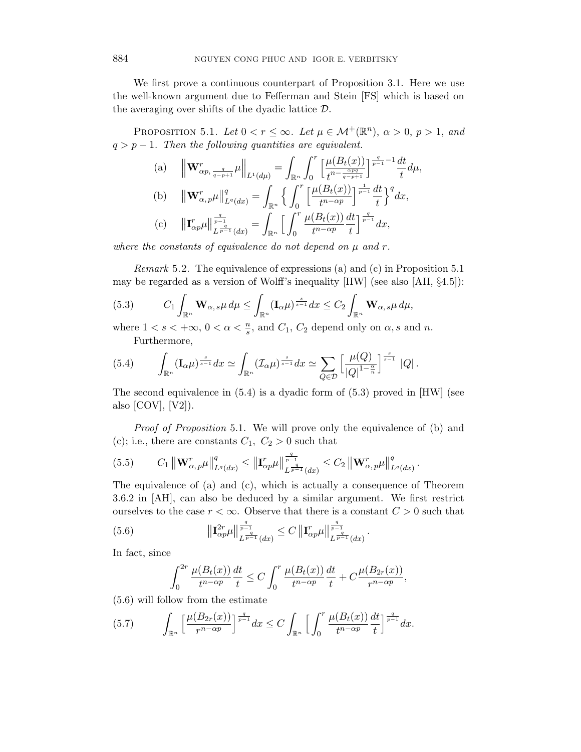We first prove a continuous counterpart of Proposition 3.1. Here we use the well-known argument due to Fefferman and Stein [FS] which is based on the averaging over shifts of the dyadic lattice  $D$ .

PROPOSITION 5.1. Let  $0 < r \leq \infty$ . Let  $\mu \in \mathcal{M}^+(\mathbb{R}^n)$ ,  $\alpha > 0$ ,  $p > 1$ , and  $q > p - 1$ . Then the following quantities are equivalent.

(a) 
$$
\|\mathbf{W}_{\alpha p, \frac{q}{q-p+1}}^{r} \mu\|_{L^{1}(d\mu)} = \int_{\mathbb{R}^{n}} \int_{0}^{r} \left[\frac{\mu(B_{t}(x))}{t^{n-\frac{\alpha pq}{q-p+1}}}\right]^{\frac{q}{p-1}-1} \frac{dt}{t} d\mu,
$$
  
\n(b)  $\|\mathbf{W}_{\alpha, p}^{r} \mu\|_{L^{q}(dx)}^{q} = \int_{\mathbb{R}^{n}} \left\{ \int_{0}^{r} \left[\frac{\mu(B_{t}(x))}{t^{n-\alpha p}}\right]^{\frac{1}{p-1}} \frac{dt}{t} \right\}^{q} dx,$   
\n(c)  $\|\mathbf{I}_{\alpha p}^{r} \mu\|_{L^{\frac{q}{p-1}}(dx)}^{\frac{q}{p-1}} = \int_{\mathbb{R}^{n}} \left[\int_{0}^{r} \frac{\mu(B_{t}(x))}{t^{n-\alpha p}} \frac{dt}{t}\right]^{\frac{q}{p-1}} dx,$ 

where the constants of equivalence do not depend on  $\mu$  and  $r$ .

Remark 5.2. The equivalence of expressions (a) and (c) in Proposition 5.1 may be regarded as a version of Wolff's inequality [HW] (see also [AH, §4.5]):

(5.3) 
$$
C_1 \int_{\mathbb{R}^n} \mathbf{W}_{\alpha,s} \mu \, d\mu \leq \int_{\mathbb{R}^n} (\mathbf{I}_{\alpha} \mu)^{\frac{s}{s-1}} dx \leq C_2 \int_{\mathbb{R}^n} \mathbf{W}_{\alpha,s} \mu \, d\mu,
$$

where  $1 < s < +\infty$ ,  $0 < \alpha < \frac{n}{s}$ , and  $C_1$ ,  $C_2$  depend only on  $\alpha$ , s and n. Furthermore,

$$
(5.4) \qquad \int_{\mathbb{R}^n} (\mathbf{I}_{\alpha}\mu)^{\frac{s}{s-1}} dx \simeq \int_{\mathbb{R}^n} (\mathcal{I}_{\alpha}\mu)^{\frac{s}{s-1}} dx \simeq \sum_{Q \in \mathcal{D}} \left[ \frac{\mu(Q)}{|Q|^{1-\frac{\alpha}{n}}}\right]^{\frac{s}{s-1}} |Q|.
$$

The second equivalence in  $(5.4)$  is a dyadic form of  $(5.3)$  proved in [HW] (see also  $[COV]$ ,  $[V2]$ ).

Proof of Proposition 5.1. We will prove only the equivalence of (b) and (c); i.e., there are constants  $C_1, C_2 > 0$  such that

$$
(5.5) \t C_1 \| \mathbf{W}_{\alpha,p}^r \mu \|_{L^q(dx)}^q \le \| \mathbf{I}_{\alpha p}^r \mu \|_{L^{\frac{q}{p-1}}(dx)}^{\frac{q}{p-1}} \le C_2 \| \mathbf{W}_{\alpha,p}^r \mu \|_{L^q(dx)}^q.
$$

The equivalence of (a) and (c), which is actually a consequence of Theorem 3.6.2 in [AH], can also be deduced by a similar argument. We first restrict ourselves to the case  $r < \infty$ . Observe that there is a constant  $C > 0$  such that

(5.6) 
$$
\|\mathbf{I}_{\alpha p}^{2r}\mu\|_{L^{\frac{q}{p-1}}(dx)}^{\frac{q}{p-1}} \leq C \|\mathbf{I}_{\alpha p}^{r}\mu\|_{L^{\frac{q}{p-1}}(dx)}^{\frac{q}{p-1}}.
$$

In fact, since

$$
\int_0^{2r} \frac{\mu(B_t(x))}{t^{n-\alpha p}} \frac{dt}{t} \le C \int_0^r \frac{\mu(B_t(x))}{t^{n-\alpha p}} \frac{dt}{t} + C \frac{\mu(B_{2r}(x))}{r^{n-\alpha p}},
$$

(5.6) will follow from the estimate

$$
(5.7) \qquad \int_{\mathbb{R}^n} \left[ \frac{\mu(B_{2r}(x))}{r^{n-\alpha p}} \right]^{\frac{q}{p-1}} dx \le C \int_{\mathbb{R}^n} \left[ \int_0^r \frac{\mu(B_t(x))}{t^{n-\alpha p}} \frac{dt}{t} \right]^{\frac{q}{p-1}} dx.
$$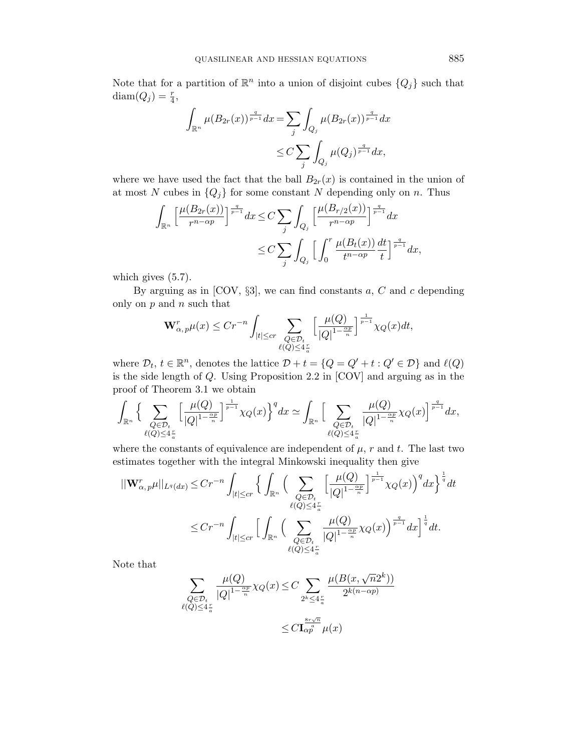Note that for a partition of  $\mathbb{R}^n$  into a union of disjoint cubes  $\{Q_j\}$  such that  $\text{diam}(Q_j) = \frac{r}{4},$ 

$$
\int_{\mathbb{R}^n} \mu(B_{2r}(x))^{\frac{q}{p-1}} dx = \sum_j \int_{Q_j} \mu(B_{2r}(x))^{\frac{q}{p-1}} dx
$$
  

$$
\leq C \sum_j \int_{Q_j} \mu(Q_j)^{\frac{q}{p-1}} dx,
$$

where we have used the fact that the ball  $B_{2r}(x)$  is contained in the union of at most N cubes in  ${Q_j}$  for some constant N depending only on n. Thus

$$
\int_{\mathbb{R}^n} \left[ \frac{\mu(B_{2r}(x))}{r^{n-\alpha p}} \right]^{\frac{q}{p-1}} dx \le C \sum_j \int_{Q_j} \left[ \frac{\mu(B_{r/2}(x))}{r^{n-\alpha p}} \right]^{\frac{q}{p-1}} dx
$$
  

$$
\le C \sum_j \int_{Q_j} \left[ \int_0^r \frac{\mu(B_t(x))}{t^{n-\alpha p}} \frac{dt}{t} \right]^{\frac{q}{p-1}} dx,
$$

which gives  $(5.7)$ .

By arguing as in [COV,  $\S3$ ], we can find constants a, C and c depending only on  $p$  and  $n$  such that

$$
\mathbf{W}_{\alpha,p}^r\mu(x) \le Cr^{-n} \int_{|t| \le cr} \sum_{\substack{Q \in \mathcal{D}_t \\ \ell(Q) \le 4\frac{r}{\alpha}}} \Big[ \frac{\mu(Q)}{|Q|^{1-\frac{\alpha p}{n}}}\Big]^{\frac{1}{p-1}} \chi_Q(x) dt,
$$

where  $\mathcal{D}_t$ ,  $t \in \mathbb{R}^n$ , denotes the lattice  $\mathcal{D} + t = \{Q = Q' + t : Q' \in \mathcal{D}\}\$ and  $\ell(Q)$ is the side length of Q. Using Proposition 2.2 in [COV] and arguing as in the proof of Theorem 3.1 we obtain

$$
\int_{\mathbb{R}^n} \Big\{ \sum_{\substack{Q \in \mathcal{D}_t \\ \ell(Q) \le 4\frac{r}{a}}} \Big[ \frac{\mu(Q)}{|Q|^{1-\frac{\alpha p}{n}}} \Big]^{\frac{1}{p-1}} \chi_Q(x) \Big\}^q dx \simeq \int_{\mathbb{R}^n} \Big[ \sum_{\substack{Q \in \mathcal{D}_t \\ \ell(Q) \le 4\frac{r}{a}}} \frac{\mu(Q)}{|Q|^{1-\frac{\alpha p}{n}}} \chi_Q(x) \Big]^{\frac{q}{p-1}} dx,
$$

where the constants of equivalence are independent of  $\mu$ , r and t. The last two estimates together with the integral Minkowski inequality then give

$$
\begin{split} ||\mathbf{W}_{\alpha,p}^{r}\mu||_{L^{q}(dx)} &\leq Cr^{-n}\int_{|t|\leq cr}\Big\{\int_{\mathbb{R}^{n}}\Big(\sum_{\substack{Q\in\mathcal{D}_{t}\\ \ell(Q)\leq 4\frac{r}{a}}}\Big[\frac{\mu(Q)}{|Q|^{1-\frac{\alpha p}{n}}}\Big]^{\frac{1}{p-1}}\chi_{Q}(x)\Big)^{q}dx\Big\}^{\frac{1}{q}}dt\\ &\leq Cr^{-n}\int_{|t|\leq cr}\Big[\int_{\mathbb{R}^{n}}\Big(\sum_{\substack{Q\in\mathcal{D}_{t}\\ \ell(Q)\leq 4\frac{r}{a}}}\frac{\mu(Q)}{|Q|^{1-\frac{\alpha p}{n}}}\chi_{Q}(x)\Big)^{\frac{q}{p-1}}dx\Big]^{\frac{1}{q}}dt.\end{split}
$$

Note that

$$
\sum_{\substack{Q \in \mathcal{D}_t \\ \ell(Q) \le 4\frac{r}{a}}} \frac{\mu(Q)}{|Q|^{1 - \frac{\alpha p}{n}}} \chi_Q(x) \le C \sum_{2^k \le 4\frac{r}{a}} \frac{\mu(B(x, \sqrt{n}2^k))}{2^{k(n - \alpha p)}}
$$

$$
\le C \mathbf{I}_{\alpha p}^{\frac{8r\sqrt{n}}{n}} \mu(x)
$$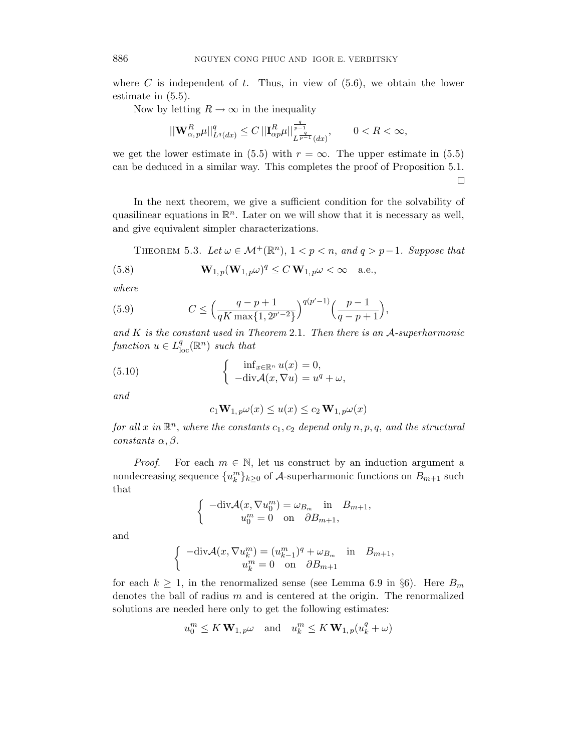where  $C$  is independent of  $t$ . Thus, in view of  $(5.6)$ , we obtain the lower estimate in (5.5).

Now by letting  $R \to \infty$  in the inequality

$$
||\mathbf{W}^R_{\alpha,p}\mu||_{L^q(dx)}^q\leq C\, ||\mathbf{I}^R_{\alpha p}\mu||^{\frac{q}{p-1}}_{L^{\frac{q}{p-1}}(dx)},\qquad 0
$$

we get the lower estimate in (5.5) with  $r = \infty$ . The upper estimate in (5.5) can be deduced in a similar way. This completes the proof of Proposition 5.1.  $\Box$ 

In the next theorem, we give a sufficient condition for the solvability of quasilinear equations in  $\mathbb{R}^n$ . Later on we will show that it is necessary as well, and give equivalent simpler characterizations.

THEOREM 5.3. Let  $\omega \in \mathcal{M}^+(\mathbb{R}^n)$ ,  $1 < p < n$ , and  $q > p-1$ . Suppose that

(5.8) 
$$
\mathbf{W}_{1,p}(\mathbf{W}_{1,p}\omega)^q \leq C \mathbf{W}_{1,p}\omega < \infty \quad \text{a.e.,}
$$

where

(5.9) 
$$
C \le \left(\frac{q-p+1}{qK\max\{1, 2^{p'-2}\}}\right)^{q(p'-1)} \left(\frac{p-1}{q-p+1}\right),
$$

and  $K$  is the constant used in Theorem 2.1. Then there is an  $A$ -superharmonic function  $u \in L^q_{loc}(\mathbb{R}^n)$  such that

(5.10) 
$$
\begin{cases} \inf_{x \in \mathbb{R}^n} u(x) = 0, \\ -\text{div}\mathcal{A}(x, \nabla u) = u^q + \omega, \end{cases}
$$

and

$$
c_1 \mathbf{W}_{1,p} \omega(x) \le u(x) \le c_2 \mathbf{W}_{1,p} \omega(x)
$$

for all x in  $\mathbb{R}^n$ , where the constants  $c_1, c_2$  depend only  $n, p, q$ , and the structural constants  $\alpha, \beta$ .

*Proof.* For each  $m \in \mathbb{N}$ , let us construct by an induction argument a nondecreasing sequence  $\{u_k^m\}_{k\geq 0}$  of A-superharmonic functions on  $B_{m+1}$  such that

$$
\begin{cases}\n-\text{div}\mathcal{A}(x,\nabla u_0^m) = \omega_{B_m} & \text{in} \quad B_{m+1}, \\
u_0^m = 0 & \text{on} \quad \partial B_{m+1},\n\end{cases}
$$

and

$$
\begin{cases}\n-\text{div}\mathcal{A}(x,\nabla u_k^m) = (u_{k-1}^m)^q + \omega_{B_m} & \text{in} \quad B_{m+1}, \\
u_k^m = 0 & \text{on} \quad \partial B_{m+1}\n\end{cases}
$$

for each  $k \geq 1$ , in the renormalized sense (see Lemma 6.9 in §6). Here  $B_m$ denotes the ball of radius m and is centered at the origin. The renormalized solutions are needed here only to get the following estimates:

$$
u_0^m \le K \mathbf{W}_{1,p} \omega \quad \text{and} \quad u_k^m \le K \mathbf{W}_{1,p}(u_k^q + \omega)
$$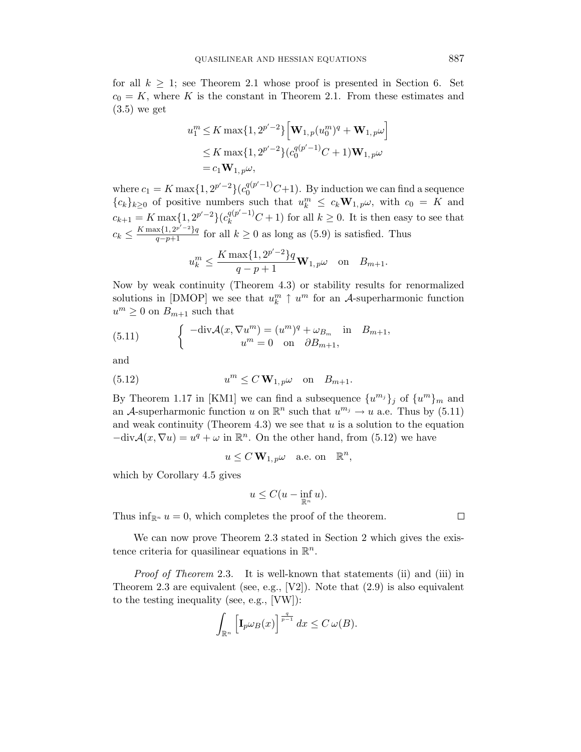for all  $k \geq 1$ ; see Theorem 2.1 whose proof is presented in Section 6. Set  $c_0 = K$ , where K is the constant in Theorem 2.1. From these estimates and (3.5) we get

$$
u_1^m \le K \max\{1, 2^{p'-2}\} \Big[ \mathbf{W}_{1,p}(u_0^m)^q + \mathbf{W}_{1,p}\omega \Big] \le K \max\{1, 2^{p'-2}\} (c_0^{q(p'-1)}C + 1) \mathbf{W}_{1,p}\omega = c_1 \mathbf{W}_{1,p}\omega,
$$

where  $c_1 = K \max\{1, 2^{p'-2}\} (c_0^{q(p'-1)}C+1)$ . By induction we can find a sequence  ${c_k}_{k\geq 0}$  of positive numbers such that  $u_k^m \leq c_k \mathbf{W}_{1,p} \omega$ , with  $c_0 = K$  and  $c_{k+1} = K \max\{1, 2^{p'-2}\} (c_k^{q(p'-1)}C + 1)$  for all  $k \ge 0$ . It is then easy to see that  $c_k \leq \frac{K \max\{1, 2^{p'-2}\}q}{q-p+1}$  for all  $k \geq 0$  as long as (5.9) is satisfied. Thus

$$
u_k^m \le \frac{K \max\{1, 2^{p'-2}\} q}{q-p+1} \mathbf{W}_{1, p} \omega \quad \text{on} \quad B_{m+1}.
$$

Now by weak continuity (Theorem 4.3) or stability results for renormalized solutions in [DMOP] we see that  $u_k^m \uparrow u^m$  for an A-superharmonic function  $u^m \geq 0$  on  $B_{m+1}$  such that

(5.11) 
$$
\begin{cases}\n-\text{div}\mathcal{A}(x,\nabla u^m) = (u^m)^q + \omega_{B_m} & \text{in } B_{m+1}, \\
u^m = 0 & \text{on } \partial B_{m+1},\n\end{cases}
$$

and

(5.12) 
$$
u^m \le C \mathbf{W}_{1,p} \omega \quad \text{on} \quad B_{m+1}.
$$

By Theorem 1.17 in [KM1] we can find a subsequence  $\{u^{m_j}\}_j$  of  $\{u^m\}_m$  and an A-superharmonic function u on  $\mathbb{R}^n$  such that  $u^{m_j} \to u$  a.e. Thus by (5.11) and weak continuity (Theorem 4.3) we see that  $u$  is a solution to the equation  $-\text{div}\mathcal{A}(x,\nabla u)=u^q+\omega$  in  $\mathbb{R}^n$ . On the other hand, from (5.12) we have

$$
u \le C \mathbf{W}_{1,p} \omega \quad \text{a.e. on} \quad \mathbb{R}^n,
$$

which by Corollary 4.5 gives

$$
u \leq C(u - \inf_{\mathbb{R}^n} u).
$$

Thus  $\inf_{\mathbb{R}^n} u = 0$ , which completes the proof of the theorem.

We can now prove Theorem 2.3 stated in Section 2 which gives the existence criteria for quasilinear equations in  $\mathbb{R}^n$ .

Proof of Theorem 2.3. It is well-known that statements (ii) and (iii) in Theorem 2.3 are equivalent (see, e.g.,  $[V2]$ ). Note that  $(2.9)$  is also equivalent to the testing inequality (see, e.g., [VW]):

$$
\int_{\mathbb{R}^n} \left[ \mathbf{I}_p \omega_B(x) \right]^{\frac{q}{p-1}} dx \leq C \,\omega(B).
$$

 $\Box$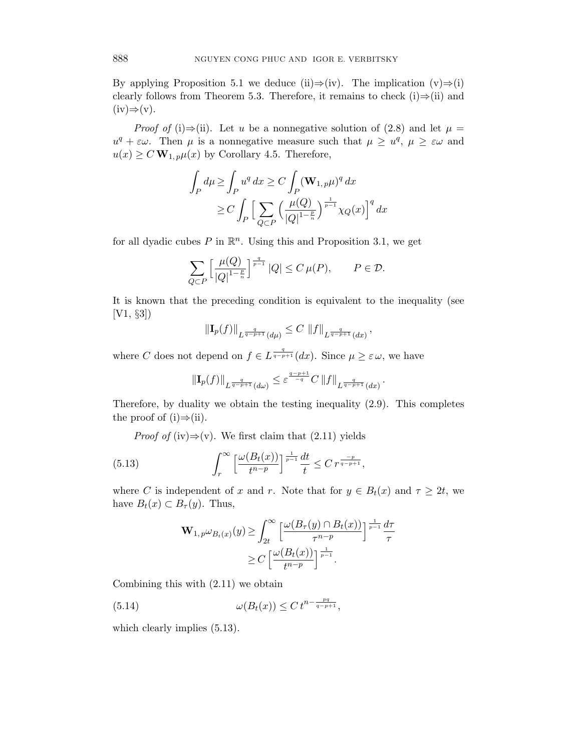By applying Proposition 5.1 we deduce (ii)⇒(iv). The implication  $(v) \Rightarrow (i)$ clearly follows from Theorem 5.3. Therefore, it remains to check  $(i) \Rightarrow (ii)$  and  $(iv) \Rightarrow (v)$ .

*Proof of* (i)⇒(ii). Let u be a nonnegative solution of (2.8) and let  $\mu =$  $u^q + \varepsilon \omega$ . Then  $\mu$  is a nonnegative measure such that  $\mu \geq u^q$ ,  $\mu \geq \varepsilon \omega$  and  $u(x) \ge C \mathbf{W}_{1,p} \mu(x)$  by Corollary 4.5. Therefore,

$$
\int_P d\mu \ge \int_P u^q dx \ge C \int_P (\mathbf{W}_{1,p}\mu)^q dx
$$
  
\n
$$
\ge C \int_P \Big[ \sum_{Q \subset P} \Big( \frac{\mu(Q)}{|Q|^{1-\frac{p}{n}}}\Big)^{\frac{1}{p-1}} \chi_Q(x) \Big]^q dx
$$

for all dyadic cubes  $P$  in  $\mathbb{R}^n$ . Using this and Proposition 3.1, we get

$$
\sum_{Q \subset P} \left[ \frac{\mu(Q)}{|Q|^{1-\frac{p}{n}}}\right]^{\frac{q}{p-1}} |Q| \leq C \, \mu(P), \qquad P \in \mathcal{D}.
$$

It is known that the preceding condition is equivalent to the inequality (see [V1, §3])

$$
\|\mathbf{I}_p(f)\|_{L^{\frac{q}{q-p+1}}(d\mu)} \leq C \, \|f\|_{L^{\frac{q}{q-p+1}}(dx)},
$$

where C does not depend on  $f \in L^{\frac{q}{q-p+1}}(dx)$ . Since  $\mu \geq \varepsilon \omega$ , we have

$$
\|\mathbf{I}_p(f)\|_{L^{\frac{q}{q-p+1}}(d\omega)} \leq \varepsilon^{\frac{q-p+1}{q}}C\,\|f\|_{L^{\frac{q}{q-p+1}}(dx)}
$$

.

Therefore, by duality we obtain the testing inequality (2.9). This completes the proof of (i) $\Rightarrow$ (ii).

*Proof of* (iv) $\Rightarrow$ (v). We first claim that (2.11) yields

(5.13) 
$$
\int_r^{\infty} \left[\frac{\omega(B_t(x))}{t^{n-p}}\right]^{\frac{1}{p-1}} \frac{dt}{t} \leq C r^{\frac{-p}{q-p+1}},
$$

where C is independent of x and r. Note that for  $y \in B_t(x)$  and  $\tau \geq 2t$ , we have  $B_t(x) \subset B_{\tau}(y)$ . Thus,

$$
\mathbf{W}_{1,p}\omega_{B_t(x)}(y) \ge \int_{2t}^{\infty} \left[ \frac{\omega(B_{\tau}(y) \cap B_t(x))}{\tau^{n-p}} \right]^{\frac{1}{p-1}} \frac{d\tau}{\tau}
$$

$$
\ge C \left[ \frac{\omega(B_t(x))}{t^{n-p}} \right]^{\frac{1}{p-1}}.
$$

Combining this with (2.11) we obtain

(5.14) 
$$
\omega(B_t(x)) \le C t^{n - \frac{pq}{q-p+1}},
$$

which clearly implies  $(5.13)$ .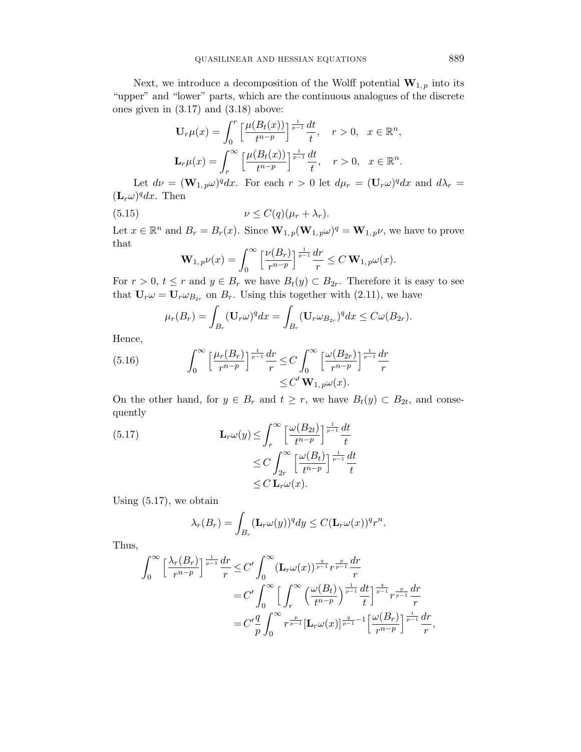Next, we introduce a decomposition of the Wolff potential  $\mathbf{W}_{1,p}$  into its "upper" and "lower" parts, which are the continuous analogues of the discrete ones given in (3.17) and (3.18) above:

$$
\mathbf{U}_r \mu(x) = \int_0^r \left[ \frac{\mu(B_t(x))}{t^{n-p}} \right]_{\frac{r}{p-1}} \frac{dt}{t}, \quad r > 0, \quad x \in \mathbb{R}^n,
$$
  

$$
\mathbf{L}_r \mu(x) = \int_r^\infty \left[ \frac{\mu(B_t(x))}{t^{n-p}} \right]_{\frac{r}{p-1}} \frac{dt}{t}, \quad r > 0, \quad x \in \mathbb{R}^n.
$$

Let  $d\nu = (\mathbf{W}_{1,p}\omega)^{q}dx$ . For each  $r > 0$  let  $d\mu_{r} = (\mathbf{U}_{r}\omega)^{q}dx$  and  $d\lambda_{r} =$  $(L_r\omega)^q dx$ . Then

(5.15) 
$$
\nu \leq C(q)(\mu_r + \lambda_r).
$$

Let  $x \in \mathbb{R}^n$  and  $B_r = B_r(x)$ . Since  $\mathbf{W}_{1,p}(\mathbf{W}_{1,p}\omega)^q = \mathbf{W}_{1,p}\nu$ , we have to prove that

$$
\mathbf{W}_{1,p}\nu(x) = \int_0^\infty \left[\frac{\nu(B_r)}{r^{n-p}}\right]^{\frac{1}{p-1}}\frac{dr}{r} \le C \mathbf{W}_{1,p}\omega(x).
$$

For  $r > 0$ ,  $t \leq r$  and  $y \in B_r$  we have  $B_t(y) \subset B_{2r}$ . Therefore it is easy to see that  $U_r \omega = U_r \omega_{B_{2r}}$  on  $B_r$ . Using this together with (2.11), we have

$$
\mu_r(B_r) = \int_{B_r} (\mathbf{U}_r \omega)^q dx = \int_{B_r} (\mathbf{U}_r \omega_{B_{2r}})^q dx \leq C \omega(B_{2r}).
$$

Hence,

(5.16) 
$$
\int_0^\infty \left[ \frac{\mu_r(B_r)}{r^{n-p}} \right]^\frac{1}{p-1} \frac{dr}{r} \leq C \int_0^\infty \left[ \frac{\omega(B_{2r})}{r^{n-p}} \right]^\frac{1}{p-1} \frac{dr}{r} \leq C' \mathbf{W}_{1,p} \omega(x).
$$

On the other hand, for  $y \in B_r$  and  $t \geq r$ , we have  $B_t(y) \subset B_{2t}$ , and consequently

(5.17) 
$$
\mathbf{L}_r \omega(y) \leq \int_r^{\infty} \left[ \frac{\omega(B_{2t})}{t^{n-p}} \right]^{\frac{1}{p-1}} \frac{dt}{t}
$$

$$
\leq C \int_{2r}^{\infty} \left[ \frac{\omega(B_t)}{t^{n-p}} \right]^{\frac{1}{p-1}} \frac{dt}{t}
$$

$$
\leq C \mathbf{L}_r \omega(x).
$$

Using (5.17), we obtain

$$
\lambda_r(B_r) = \int_{B_r} (\mathbf{L}_r \omega(y))^q dy \le C (\mathbf{L}_r \omega(x))^{q} r^n.
$$

Thus,

$$
\int_0^{\infty} \left[ \frac{\lambda_r(B_r)}{r^{n-p}} \right]^{\frac{1}{p-1}} \frac{dr}{r} \leq C' \int_0^{\infty} (\mathbf{L}_r \omega(x))^{\frac{q}{p-1}} r^{\frac{p}{p-1}} \frac{dr}{r}
$$
  
\n
$$
= C' \int_0^{\infty} \left[ \int_r^{\infty} \left( \frac{\omega(B_t)}{t^{n-p}} \right)^{\frac{1}{p-1}} \frac{dt}{t} \right]^{\frac{q}{p-1}} r^{\frac{p}{p-1}} \frac{dr}{r}
$$
  
\n
$$
= C' \frac{q}{p} \int_0^{\infty} r^{\frac{p}{p-1}} \left[ \mathbf{L}_r \omega(x) \right]^{\frac{q}{p-1}-1} \left[ \frac{\omega(B_r)}{r^{n-p}} \right]^{\frac{1}{p-1}} \frac{dr}{r},
$$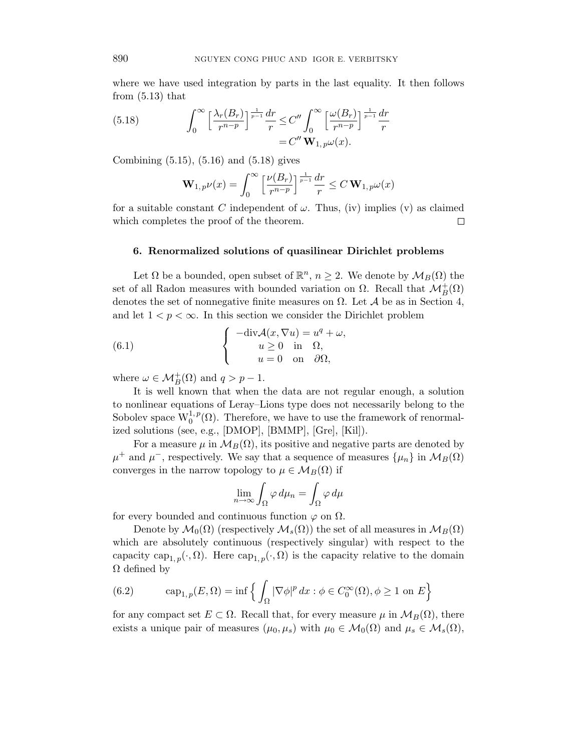where we have used integration by parts in the last equality. It then follows from  $(5.13)$  that

(5.18) 
$$
\int_0^\infty \left[ \frac{\lambda_r(B_r)}{r^{n-p}} \right] \frac{dr}{r} \leq C'' \int_0^\infty \left[ \frac{\omega(B_r)}{r^{n-p}} \right] \frac{1}{r-1} dr
$$

$$
= C'' \mathbf{W}_{1,p} \omega(x).
$$

Combining (5.15), (5.16) and (5.18) gives

$$
\mathbf{W}_{1,\,p}\nu(x)=\int_0^\infty\Big[\frac{\nu(B_r)}{r^{n-p}}\Big]^{\frac{1}{p-1}}\frac{dr}{r}\leq C\,\mathbf{W}_{1,\,p}\omega(x)
$$

for a suitable constant C independent of  $\omega$ . Thus, (iv) implies (v) as claimed which completes the proof of the theorem.  $\Box$ 

# 6. Renormalized solutions of quasilinear Dirichlet problems

Let  $\Omega$  be a bounded, open subset of  $\mathbb{R}^n$ ,  $n \geq 2$ . We denote by  $\mathcal{M}_B(\Omega)$  the set of all Radon measures with bounded variation on  $\Omega$ . Recall that  $\mathcal{M}_{B}^{+}(\Omega)$ denotes the set of nonnegative finite measures on  $\Omega$ . Let A be as in Section 4, and let  $1 < p < \infty$ . In this section we consider the Dirichlet problem

(6.1) 
$$
\begin{cases}\n-\text{div}\mathcal{A}(x,\nabla u) = u^q + \omega, \\
u \ge 0 \text{ in } \Omega, \\
u = 0 \text{ on } \partial\Omega,\n\end{cases}
$$

where  $\omega \in \mathcal{M}_B^+(\Omega)$  and  $q > p - 1$ .

It is well known that when the data are not regular enough, a solution to nonlinear equations of Leray–Lions type does not necessarily belong to the Sobolev space  $W_0^{1,p}(\Omega)$ . Therefore, we have to use the framework of renormalized solutions (see, e.g., [DMOP], [BMMP], [Gre], [Kil]).

For a measure  $\mu$  in  $\mathcal{M}_B(\Omega)$ , its positive and negative parts are denoted by  $\mu^+$  and  $\mu^-$ , respectively. We say that a sequence of measures  $\{\mu_n\}$  in  $\mathcal{M}_B(\Omega)$ converges in the narrow topology to  $\mu \in \mathcal{M}_B(\Omega)$  if

$$
\lim_{n \to \infty} \int_{\Omega} \varphi \, d\mu_n = \int_{\Omega} \varphi \, d\mu
$$

for every bounded and continuous function  $\varphi$  on  $\Omega$ .

Denote by  $\mathcal{M}_0(\Omega)$  (respectively  $\mathcal{M}_s(\Omega)$ ) the set of all measures in  $\mathcal{M}_B(\Omega)$ which are absolutely continuous (respectively singular) with respect to the capacity cap<sub>1, p</sub>(·, Ω). Here cap<sub>1, p</sub>(·, Ω) is the capacity relative to the domain  $\Omega$  defined by

(6.2) 
$$
\operatorname{cap}_{1,p}(E,\Omega) = \inf \left\{ \int_{\Omega} |\nabla \phi|^p dx : \phi \in C_0^{\infty}(\Omega), \phi \ge 1 \text{ on } E \right\}
$$

for any compact set  $E \subset \Omega$ . Recall that, for every measure  $\mu$  in  $\mathcal{M}_B(\Omega)$ , there exists a unique pair of measures  $(\mu_0, \mu_s)$  with  $\mu_0 \in \mathcal{M}_0(\Omega)$  and  $\mu_s \in \mathcal{M}_s(\Omega)$ ,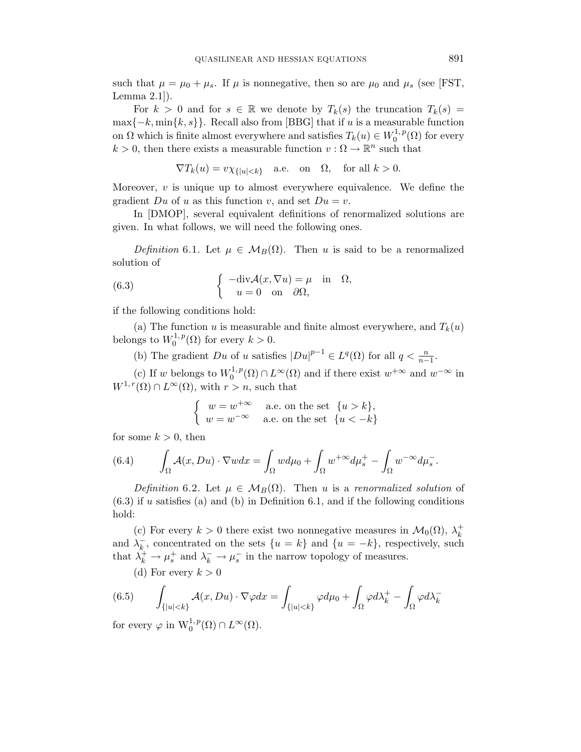such that  $\mu = \mu_0 + \mu_s$ . If  $\mu$  is nonnegative, then so are  $\mu_0$  and  $\mu_s$  (see [FST, Lemma 2.1]).

For  $k > 0$  and for  $s \in \mathbb{R}$  we denote by  $T_k(s)$  the truncation  $T_k(s) =$  $\max\{-k, \min\{k, s\}\}.$  Recall also from [BBG] that if u is a measurable function on  $\Omega$  which is finite almost everywhere and satisfies  $T_k(u) \in W_0^{1,p}$  $\binom{1}{0}^{\{1\}}$  for every  $k > 0$ , then there exists a measurable function  $v : \Omega \to \mathbb{R}^n$  such that

$$
\nabla T_k(u) = v\chi_{\{|u| < k\}} \quad \text{a.e. on} \quad \Omega, \quad \text{for all } k > 0.
$$

Moreover,  $v$  is unique up to almost everywhere equivalence. We define the gradient Du of u as this function v, and set  $Du = v$ .

In [DMOP], several equivalent definitions of renormalized solutions are given. In what follows, we will need the following ones.

Definition 6.1. Let  $\mu \in \mathcal{M}_B(\Omega)$ . Then u is said to be a renormalized solution of

(6.3) 
$$
\begin{cases}\n-\text{div}\mathcal{A}(x,\nabla u) = \mu & \text{in} \quad \Omega, \\
u = 0 & \text{on} \quad \partial\Omega,\n\end{cases}
$$

if the following conditions hold:

(a) The function u is measurable and finite almost everywhere, and  $T_k(u)$ belongs to  $W_0^{1,p}$  $C_0^{1,p}(\Omega)$  for every  $k > 0$ .

(b) The gradient Du of u satisfies  $|Du|^{p-1} \in L^q(\Omega)$  for all  $q < \frac{n}{n-1}$ .

(c) If w belongs to  $W_0^{1,p}$  $v_0^{1,p}(\Omega) \cap L^{\infty}(\Omega)$  and if there exist  $w^{+\infty}$  and  $w^{-\infty}$  in  $W^{1,r}(\Omega) \cap L^{\infty}(\Omega)$ , with  $r > n$ , such that

$$
\begin{cases}\nw = w^{+\infty} & \text{a.e. on the set } \{u > k\}, \\
w = w^{-\infty} & \text{a.e. on the set } \{u < -k\}\n\end{cases}
$$

for some  $k > 0$ , then

(6.4) 
$$
\int_{\Omega} \mathcal{A}(x, Du) \cdot \nabla w dx = \int_{\Omega} w d\mu_0 + \int_{\Omega} w^{+\infty} d\mu_s^+ - \int_{\Omega} w^{-\infty} d\mu_s^-.
$$

Definition 6.2. Let  $\mu \in \mathcal{M}_B(\Omega)$ . Then u is a renormalized solution of  $(6.3)$  if u satisfies (a) and (b) in Definition 6.1, and if the following conditions hold:

(c) For every  $k > 0$  there exist two nonnegative measures in  $\mathcal{M}_0(\Omega)$ ,  $\lambda_k^+$ k and  $\lambda_k^ \overline{k}$ , concentrated on the sets  $\{u = k\}$  and  $\{u = -k\}$ , respectively, such that  $\lambda_k^+ \to \mu_s^+$  and  $\lambda_k^- \to \mu_s^-$  in the narrow topology of measures.

(d) For every  $k > 0$ 

(6.5) 
$$
\int_{\{|u|<\hat{k}\}} \mathcal{A}(x, Du) \cdot \nabla \varphi dx = \int_{\{|u|<\hat{k}\}} \varphi d\mu_0 + \int_{\Omega} \varphi d\lambda_k^+ - \int_{\Omega} \varphi d\lambda_k^-
$$
for some  $u$  in  $\mathbf{M}^{1,p}(\Omega) \cap L^{\infty}(\Omega)$ .

for every  $\varphi$  in  $\mathrm{W}^{1,p}_0(\Omega) \cap L^{\infty}(\Omega)$ .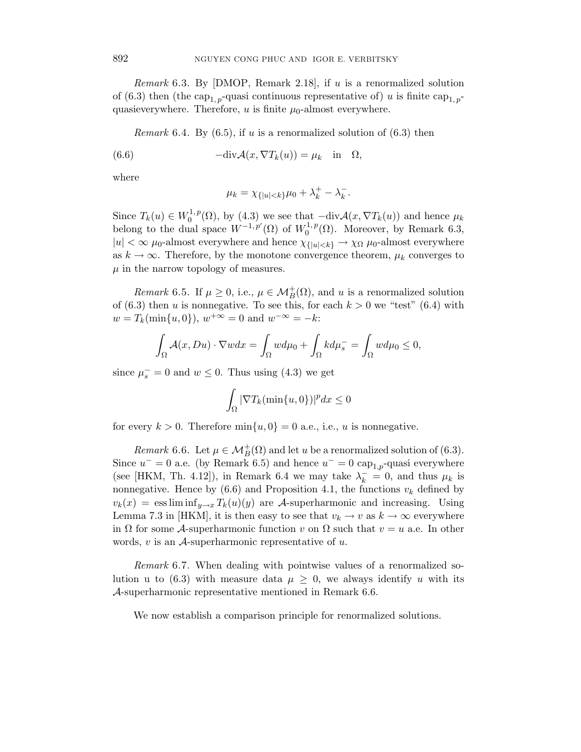Remark 6.3. By  $[DMOP,$  Remark 2.18], if u is a renormalized solution of (6.3) then (the cap<sub>1, p</sub>-quasi continuous representative of) u is finite cap<sub>1, p</sub>quasieverywhere. Therefore,  $u$  is finite  $\mu_0$ -almost everywhere.

*Remark* 6.4. By  $(6.5)$ , if u is a renormalized solution of  $(6.3)$  then

(6.6) 
$$
-\text{div}\mathcal{A}(x,\nabla T_k(u)) = \mu_k \text{ in } \Omega
$$

where

$$
\mu_k = \chi_{\{|u| < k\}} \mu_0 + \lambda_k^+ - \lambda_k^-.
$$

Since  $T_k(u) \in W_0^{1,p}$  $\mathcal{O}_0^{1,p}(\Omega)$ , by (4.3) we see that  $-\text{div}\mathcal{A}(x,\nabla T_k(u))$  and hence  $\mu_k$ belong to the dual space  $W^{-1,p'}(\Omega)$  of  $W_0^{1,p'}$  $_{0}^{\prime 1,p}(\Omega)$ . Moreover, by Remark 6.3,  $|u| < \infty$   $\mu_0$ -almost everywhere and hence  $\chi_{\{|u| < k\}} \to \chi_{\Omega}$   $\mu_0$ -almost everywhere as  $k \to \infty$ . Therefore, by the monotone convergence theorem,  $\mu_k$  converges to  $\mu$  in the narrow topology of measures.

Remark 6.5. If  $\mu \geq 0$ , i.e.,  $\mu \in \mathcal{M}_B^+(\Omega)$ , and u is a renormalized solution of  $(6.3)$  then u is nonnegative. To see this, for each  $k > 0$  we "test"  $(6.4)$  with  $w = T_k(\min\{u, 0\}), w^{+\infty} = 0 \text{ and } w^{-\infty} = -k:$ 

$$
\int_{\Omega} \mathcal{A}(x, Du) \cdot \nabla w dx = \int_{\Omega} w d\mu_0 + \int_{\Omega} k d\mu_s = \int_{\Omega} w d\mu_0 \le 0,
$$

since  $\mu_s^- = 0$  and  $w \le 0$ . Thus using (4.3) we get

$$
\int_{\Omega} |\nabla T_k(\min\{u,0\})|^p dx \le 0
$$

for every  $k > 0$ . Therefore  $\min\{u, 0\} = 0$  a.e., i.e., u is nonnegative.

Remark 6.6. Let  $\mu \in \mathcal{M}_B^+(\Omega)$  and let u be a renormalized solution of (6.3). Since  $u^- = 0$  a.e. (by Remark 6.5) and hence  $u^- = 0$  cap<sub>1,p</sub>-quasi everywhere (see [HKM, Th. 4.12]), in Remark 6.4 we may take  $\lambda_k^- = 0$ , and thus  $\mu_k$  is nonnegative. Hence by  $(6.6)$  and Proposition 4.1, the functions  $v_k$  defined by  $v_k(x) = \text{ess lim inf}_{y\to x} T_k(u)(y)$  are A-superharmonic and increasing. Using Lemma 7.3 in [HKM], it is then easy to see that  $v_k \to v$  as  $k \to \infty$  everywhere in  $\Omega$  for some A-superharmonic function v on  $\Omega$  such that  $v = u$  a.e. In other words,  $v$  is an  $A$ -superharmonic representative of  $u$ .

Remark 6.7. When dealing with pointwise values of a renormalized solution u to (6.3) with measure data  $\mu \geq 0$ , we always identify u with its A-superharmonic representative mentioned in Remark 6.6.

We now establish a comparison principle for renormalized solutions.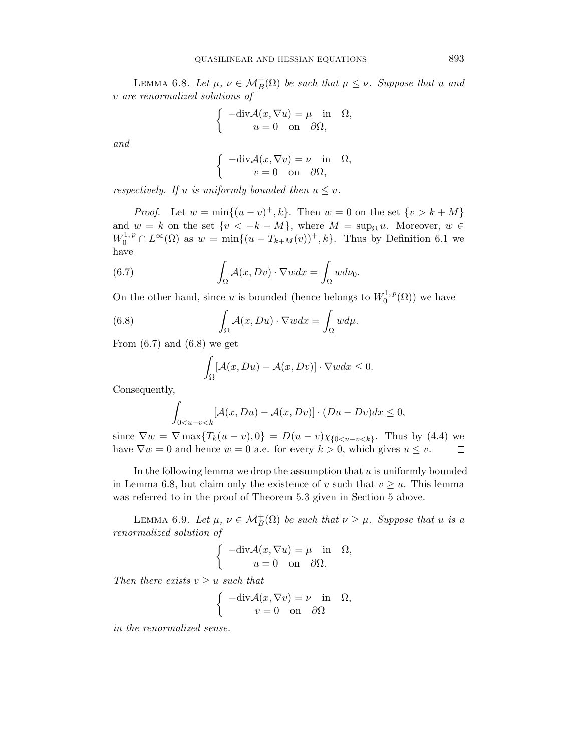LEMMA 6.8. Let  $\mu, \nu \in \mathcal{M}_B^+(\Omega)$  be such that  $\mu \leq \nu$ . Suppose that u and v are renormalized solutions of

$$
\begin{cases}\n-\text{div}\mathcal{A}(x,\nabla u) = \mu & \text{in} \quad \Omega, \\
u = 0 & \text{on} \quad \partial\Omega,\n\end{cases}
$$

and

$$
\begin{cases}\n-\text{div}\mathcal{A}(x,\nabla v) = \nu \quad \text{in} \quad \Omega, \\
v = 0 \quad \text{on} \quad \partial\Omega,\n\end{cases}
$$

respectively. If u is uniformly bounded then  $u \leq v$ .

*Proof.* Let  $w = \min\{(u - v)^+, k\}$ . Then  $w = 0$  on the set  $\{v > k + M\}$ and  $w = k$  on the set  $\{v < -k - M\}$ , where  $M = \sup_{\Omega} u$ . Moreover,  $w \in$  $W_0^{1,p} \cap L^{\infty}(\Omega)$  as  $w = \min\{(u - T_{k+M}(v))^+, k\}$ . Thus by Definition 6.1 we have

(6.7) 
$$
\int_{\Omega} \mathcal{A}(x, Dv) \cdot \nabla w dx = \int_{\Omega} w d\nu_0.
$$

On the other hand, since u is bounded (hence belongs to  $W_0^{1,p}$  $\binom{1}{0}$  we have

(6.8) 
$$
\int_{\Omega} \mathcal{A}(x, Du) \cdot \nabla w dx = \int_{\Omega} w d\mu.
$$

From  $(6.7)$  and  $(6.8)$  we get

$$
\int_{\Omega} [\mathcal{A}(x, Du) - \mathcal{A}(x, Dv)] \cdot \nabla w dx \le 0.
$$

Consequently,

$$
\int_{0
$$

since  $\nabla w = \nabla \max\{T_k(u-v), 0\} = D(u-v)\chi_{0\langle u-v \rangle}$ . Thus by (4.4) we have  $\nabla w = 0$  and hence  $w = 0$  a.e. for every  $k > 0$ , which gives  $u \leq v$ .  $\Box$ 

In the following lemma we drop the assumption that  $u$  is uniformly bounded in Lemma 6.8, but claim only the existence of v such that  $v \geq u$ . This lemma was referred to in the proof of Theorem 5.3 given in Section 5 above.

LEMMA 6.9. Let  $\mu, \nu \in \mathcal{M}_B^+(\Omega)$  be such that  $\nu \geq \mu$ . Suppose that u is a renormalized solution of

$$
\begin{cases}\n-\text{div}\mathcal{A}(x,\nabla u) = \mu \quad \text{in} \quad \Omega, \\
u = 0 \quad \text{on} \quad \partial\Omega.\n\end{cases}
$$

Then there exists  $v \geq u$  such that

$$
\begin{cases}\n-\text{div}\mathcal{A}(x,\nabla v) = \nu & \text{in} \quad \Omega, \\
v = 0 & \text{on} \quad \partial\Omega\n\end{cases}
$$

in the renormalized sense.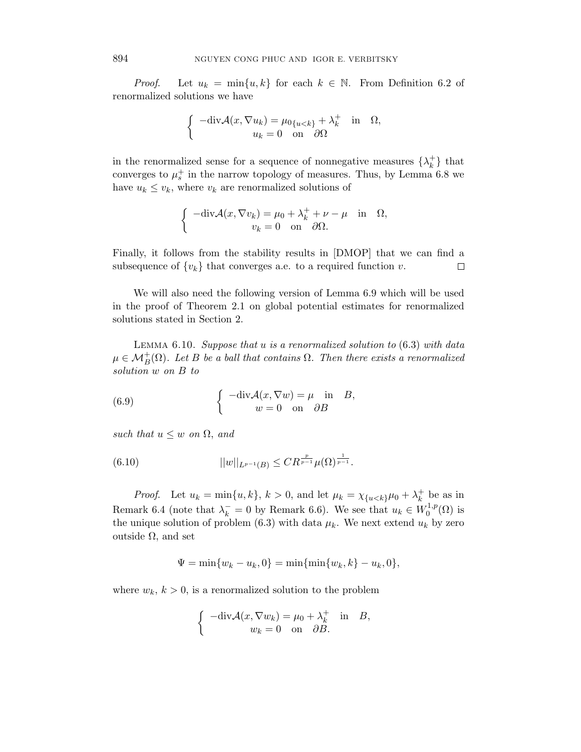*Proof.* Let  $u_k = \min\{u, k\}$  for each  $k \in \mathbb{N}$ . From Definition 6.2 of renormalized solutions we have

$$
\begin{cases}\n-\text{div}\mathcal{A}(x,\nabla u_k) = \mu_{0\{u < k\}} + \lambda_k^+ & \text{in} \quad \Omega, \\
u_k = 0 & \text{on} \quad \partial\Omega\n\end{cases}
$$

in the renormalized sense for a sequence of nonnegative measures  $\{\lambda_k^+\}$  $\{^+_k\}$  that converges to  $\mu_s^+$  in the narrow topology of measures. Thus, by Lemma 6.8 we have  $u_k \leq v_k$ , where  $v_k$  are renormalized solutions of

$$
\begin{cases}\n-\text{div}\mathcal{A}(x,\nabla v_k) = \mu_0 + \lambda_k^+ + \nu - \mu & \text{in} \quad \Omega, \\
v_k = 0 & \text{on} \quad \partial\Omega.\n\end{cases}
$$

Finally, it follows from the stability results in [DMOP] that we can find a subsequence of  $\{v_k\}$  that converges a.e. to a required function v.  $\Box$ 

We will also need the following version of Lemma 6.9 which will be used in the proof of Theorem 2.1 on global potential estimates for renormalized solutions stated in Section 2.

LEMMA  $6.10.$  Suppose that u is a renormalized solution to  $(6.3)$  with data  $\mu \in \mathcal{M}_B^+(\Omega)$ . Let B be a ball that contains  $\Omega$ . Then there exists a renormalized solution w on B to

(6.9) 
$$
\begin{cases}\n-\text{div}\mathcal{A}(x,\nabla w) = \mu \text{ in } B, \\
w = 0 \text{ on } \partial B\n\end{cases}
$$

such that  $u \leq w$  on  $\Omega$ , and

(6.10) 
$$
||w||_{L^{p-1}(B)} \leq CR^{\frac{p}{p-1}}\mu(\Omega)^{\frac{1}{p-1}}.
$$

*Proof.* Let  $u_k = \min\{u, k\}$ ,  $k > 0$ , and let  $\mu_k = \chi_{\{u < k\}}\mu_0 + \lambda_k^+$  $k^+$  be as in Remark 6.4 (note that  $\lambda_k^- = 0$  by Remark 6.6). We see that  $u_k \in W_0^{1,p}$  $\mathfrak{g}^{1,p}(\Omega)$  is the unique solution of problem (6.3) with data  $\mu_k$ . We next extend  $u_k$  by zero outside  $Ω$ , and set

$$
\Psi = \min\{w_k - u_k, 0\} = \min\{\min\{w_k, k\} - u_k, 0\},\
$$

where  $w_k$ ,  $k > 0$ , is a renormalized solution to the problem

$$
\begin{cases}\n-\text{div}\mathcal{A}(x,\nabla w_k) = \mu_0 + \lambda_k^+ & \text{in} \quad B, \\
w_k = 0 & \text{on} \quad \partial B.\n\end{cases}
$$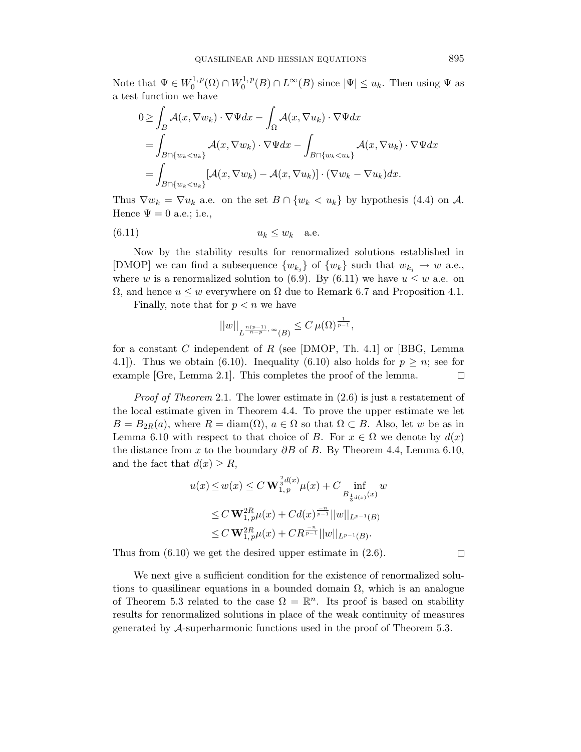Note that  $\Psi \in W_0^{1,p}$  $U_0^{1,\,p}({\Omega})\cap W_0^{1,\,p}$  $\mathbb{Q}_0^{1,p}(B) \cap L^{\infty}(B)$  since  $|\Psi| \leq u_k$ . Then using  $\Psi$  as a test function we have

$$
0 \geq \int_{B} \mathcal{A}(x, \nabla w_k) \cdot \nabla \Psi dx - \int_{\Omega} \mathcal{A}(x, \nabla u_k) \cdot \nabla \Psi dx
$$
  
= 
$$
\int_{B \cap \{w_k < u_k\}} \mathcal{A}(x, \nabla w_k) \cdot \nabla \Psi dx - \int_{B \cap \{w_k < u_k\}} \mathcal{A}(x, \nabla u_k) \cdot \nabla \Psi dx
$$
  
= 
$$
\int_{B \cap \{w_k < u_k\}} [\mathcal{A}(x, \nabla w_k) - \mathcal{A}(x, \nabla u_k)] \cdot (\nabla w_k - \nabla u_k) dx.
$$

Thus  $\nabla w_k = \nabla u_k$  a.e. on the set  $B \cap \{w_k < u_k\}$  by hypothesis (4.4) on A. Hence  $\Psi = 0$  a.e.; i.e.,

$$
(6.11) \t\t u_k \le w_k \t a.e.
$$

Now by the stability results for renormalized solutions established in [DMOP] we can find a subsequence  $\{w_{k_j}\}\$  of  $\{w_k\}$  such that  $w_{k_j} \to w$  a.e., where w is a renormalized solution to (6.9). By (6.11) we have  $u \leq w$  a.e. on  $Ω$ , and hence  $u ≤ w$  everywhere on  $Ω$  due to Remark 6.7 and Proposition 4.1.

Finally, note that for  $p < n$  we have

$$
||w||_{L^{\frac{n(p-1)}{n-p},\infty}(B)} \leq C \,\mu(\Omega)^{\frac{1}{p-1}},
$$

for a constant C independent of R (see [DMOP, Th. 4.1] or [BBG, Lemma 4.1]). Thus we obtain (6.10). Inequality (6.10) also holds for  $p \geq n$ ; see for example [Gre, Lemma 2.1]. This completes the proof of the lemma.  $\Box$ 

*Proof of Theorem* 2.1. The lower estimate in  $(2.6)$  is just a restatement of the local estimate given in Theorem 4.4. To prove the upper estimate we let  $B = B_{2R}(a)$ , where  $R = \text{diam}(\Omega)$ ,  $a \in \Omega$  so that  $\Omega \subset B$ . Also, let w be as in Lemma 6.10 with respect to that choice of B. For  $x \in \Omega$  we denote by  $d(x)$ the distance from x to the boundary  $\partial B$  of B. By Theorem 4.4, Lemma 6.10, and the fact that  $d(x) \geq R$ ,

$$
u(x) \le w(x) \le C \mathbf{W}_{1,p}^{\frac{2}{3}d(x)} \mu(x) + C \inf_{B_{\frac{1}{3}d(x)}(x)} w
$$
  
\n
$$
\le C \mathbf{W}_{1,p}^{2R} \mu(x) + C d(x)^{\frac{-n}{p-1}} ||w||_{L^{p-1}(B)}
$$
  
\n
$$
\le C \mathbf{W}_{1,p}^{2R} \mu(x) + C R^{\frac{-n}{p-1}} ||w||_{L^{p-1}(B)}.
$$

Thus from (6.10) we get the desired upper estimate in (2.6).

We next give a sufficient condition for the existence of renormalized solutions to quasilinear equations in a bounded domain  $\Omega$ , which is an analogue of Theorem 5.3 related to the case  $\Omega = \mathbb{R}^n$ . Its proof is based on stability results for renormalized solutions in place of the weak continuity of measures generated by A-superharmonic functions used in the proof of Theorem 5.3.

 $\Box$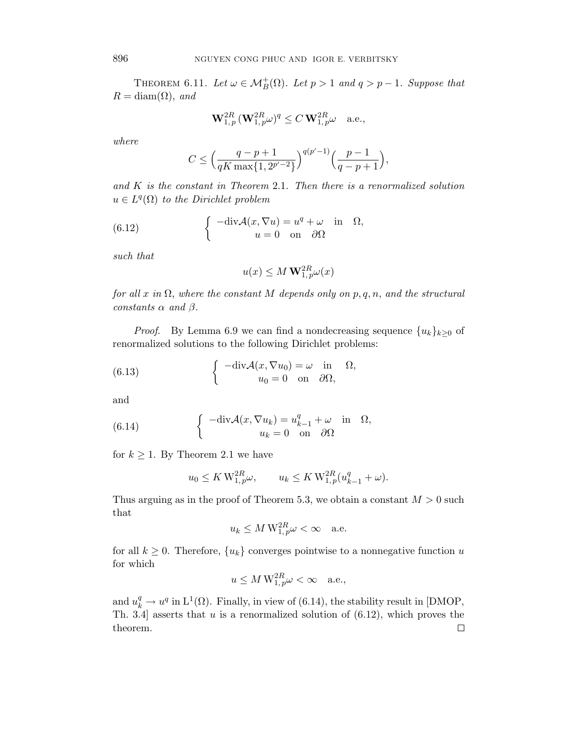THEOREM 6.11. Let  $\omega \in \mathcal{M}_B^+(\Omega)$ . Let  $p > 1$  and  $q > p - 1$ . Suppose that  $R = \text{diam}(\Omega)$ , and

$$
\mathbf{W}_{1,\,p}^{2R} \, (\mathbf{W}_{1,\,p}^{2R} \omega)^q \leq C \, \mathbf{W}_{1,\,p}^{2R} \omega \quad \text{a.e.,}
$$

where

$$
C \le \left(\frac{q-p+1}{qK\max\{1, 2^{p'-2}\}}\right)^{q(p'-1)} \left(\frac{p-1}{q-p+1}\right),\,
$$

and  $K$  is the constant in Theorem 2.1. Then there is a renormalized solution  $u \in L^q(\Omega)$  to the Dirichlet problem

(6.12) 
$$
\begin{cases}\n-\text{div}\mathcal{A}(x,\nabla u) = u^q + \omega & \text{in} \quad \Omega, \\
u = 0 & \text{on} \quad \partial\Omega\n\end{cases}
$$

such that

$$
u(x) \le M \mathbf{W}_{1,p}^{2R} \omega(x)
$$

for all x in  $\Omega$ , where the constant M depends only on p, q, n, and the structural constants  $\alpha$  and  $\beta$ .

*Proof.* By Lemma 6.9 we can find a nondecreasing sequence  $\{u_k\}_{k\geq 0}$  of renormalized solutions to the following Dirichlet problems:

(6.13) 
$$
\begin{cases}\n-\text{div}\mathcal{A}(x,\nabla u_0) = \omega & \text{in} \quad \Omega, \\
u_0 = 0 & \text{on} \quad \partial\Omega,\n\end{cases}
$$

and

(6.14) 
$$
\begin{cases}\n-\text{div}\mathcal{A}(x,\nabla u_k) = u_{k-1}^q + \omega & \text{in} \quad \Omega, \\
u_k = 0 & \text{on} \quad \partial\Omega\n\end{cases}
$$

for  $k \geq 1$ . By Theorem 2.1 we have

$$
u_0 \leq K \, \mathcal{W}_{1,\, p}^{2R} \omega, \qquad u_k \leq K \, \mathcal{W}_{1,\, p}^{2R} (u_{k-1}^q + \omega).
$$

Thus arguing as in the proof of Theorem 5.3, we obtain a constant  $M > 0$  such that

$$
u_k \le M W_{1,p}^{2R} \omega < \infty \quad \text{a.e.}
$$

for all  $k \geq 0$ . Therefore,  $\{u_k\}$  converges pointwise to a nonnegative function u for which

$$
u \le M W_{1,p}^{2R} \omega < \infty \quad \text{a.e.,}
$$

and  $u_k^q \to u^q$  in  $L^1(\Omega)$ . Finally, in view of (6.14), the stability result in [DMOP, Th. 3.4 asserts that  $u$  is a renormalized solution of  $(6.12)$ , which proves the theorem. $\Box$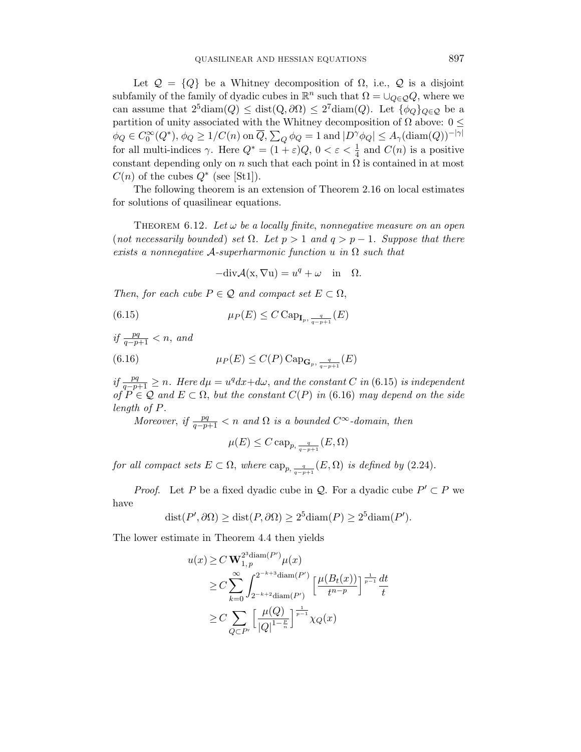Let  $\mathcal{Q} = \{Q\}$  be a Whitney decomposition of  $\Omega$ , i.e.,  $\mathcal{Q}$  is a disjoint subfamily of the family of dyadic cubes in  $\mathbb{R}^n$  such that  $\Omega = \bigcup_{Q \in \mathcal{Q}} Q$ , where we can assume that  $2^5 \text{diam}(Q) \leq \text{dist}(Q, \partial \Omega) \leq 2^7 \text{diam}(Q)$ . Let  $\{\phi_Q\}_{Q \in \mathcal{Q}}$  be a partition of unity associated with the Whitney decomposition of  $\Omega$  above:  $0 \leq$  $\phi_Q \in C_0^{\infty}(Q^*), \phi_Q \geq 1/C(n)$  on  $\overline{Q}, \sum_Q \phi_Q = 1$  and  $|D^{\gamma}\phi_Q| \leq A_{\gamma}(\text{diam}(Q))^{-|\gamma|}$ for all multi-indices  $\gamma$ . Here  $Q^* = (1 + \varepsilon)Q$ ,  $0 < \varepsilon < \frac{1}{4}$  and  $C(n)$  is a positive constant depending only on n such that each point in  $\Omega$  is contained in at most  $C(n)$  of the cubes  $Q^*$  (see [St1]).

The following theorem is an extension of Theorem 2.16 on local estimates for solutions of quasilinear equations.

THEOREM 6.12. Let  $\omega$  be a locally finite, nonnegative measure on an open (not necessarily bounded) set  $\Omega$ . Let  $p > 1$  and  $q > p - 1$ . Suppose that there exists a nonnegative  $A$ -superharmonic function u in  $\Omega$  such that

 $-\text{div}\mathcal{A}(x,\nabla u) = u^q + \omega \text{ in } \Omega.$ 

Then, for each cube  $P \in \mathcal{Q}$  and compact set  $E \subset \Omega$ ,

(6.15) 
$$
\mu_P(E) \leq C \operatorname{Cap}_{\mathbf{I}_p, \frac{q}{q-p+1}}(E)
$$

if  $\frac{pq}{q-p+1} < n$ , and (6.16)  $\mu_P(E) \le C(P) \text{Cap}_{\mathbf{G}_p, \frac{q}{q-p+1}}(E)$ 

if  $\frac{pq}{q-p+1} \geq n$ . Here  $d\mu = u^q dx + d\omega$ , and the constant C in (6.15) is independent of  $P \in \mathcal{Q}$  and  $E \subset \Omega$ , but the constant  $C(P)$  in (6.16) may depend on the side length of P.

Moreover, if  $\frac{pq}{q-p+1} < n$  and  $\Omega$  is a bounded  $C^{\infty}$ -domain, then

$$
\mu(E) \leq C \operatorname{cap}_{p, \frac{q}{q-p+1}}(E, \Omega)
$$

for all compact sets  $E \subset \Omega$ , where  $\text{cap}_{p, \frac{q}{q-p+1}}(E, \Omega)$  is defined by (2.24).

*Proof.* Let P be a fixed dyadic cube in Q. For a dyadic cube  $P' \subset P$  we have

$$
dist(P', \partial \Omega) \geq dist(P, \partial \Omega) \geq 2^5 diam(P) \geq 2^5 diam(P').
$$

The lower estimate in Theorem 4.4 then yields

$$
u(x) \ge C \mathbf{W}_{1,p}^{2^3 \text{diam}(P')} \mu(x)
$$
  
\n
$$
\ge C \sum_{k=0}^{\infty} \int_{2^{-k+3} \text{diam}(P')}^{2^{-k+3} \text{diam}(P')} \left[ \frac{\mu(B_t(x))}{t^{n-p}} \right]^{\frac{1}{p-1}} \frac{dt}{t}
$$
  
\n
$$
\ge C \sum_{Q \subset P'} \left[ \frac{\mu(Q)}{|Q|^{1-\frac{p}{n}}}\right]^{\frac{1}{p-1}} \chi_Q(x)
$$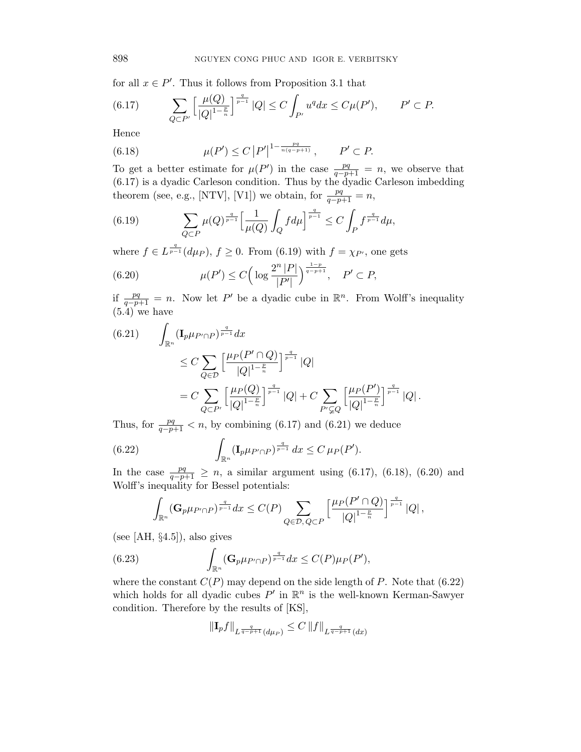for all  $x \in P'$ . Thus it follows from Proposition 3.1 that

(6.17) 
$$
\sum_{Q \subset P'} \left[ \frac{\mu(Q)}{|Q|^{1-\frac{p}{n}}}\right]^{\frac{q}{p-1}} |Q| \le C \int_{P'} u^q dx \le C\mu(P'), \qquad P' \subset P.
$$

Hence

(6.18) 
$$
\mu(P') \le C |P'|^{1 - \frac{pq}{n(q-p+1)}}, \qquad P' \subset P.
$$

To get a better estimate for  $\mu(P')$  in the case  $\frac{pq}{q-p+1} = n$ , we observe that (6.17) is a dyadic Carleson condition. Thus by the dyadic Carleson imbedding theorem (see, e.g., [NTV], [V1]) we obtain, for  $\frac{pq}{q-p+1} = n$ ,

(6.19) 
$$
\sum_{Q \subset P} \mu(Q)^{\frac{q}{p-1}} \Big[ \frac{1}{\mu(Q)} \int_Q f d\mu \Big]^{\frac{q}{p-1}} \leq C \int_P f^{\frac{q}{p-1}} d\mu,
$$

where  $f \in L^{\frac{q}{p-1}}(d\mu_P)$ ,  $f \geq 0$ . From (6.19) with  $f = \chi_{P'}$ , one gets

(6.20) 
$$
\mu(P') \le C \Big( \log \frac{2^n |P|}{|P'|} \Big)^{\frac{1-p}{q-p+1}}, \quad P' \subset P,
$$

if  $\frac{pq}{q-p+1} = n$ . Now let P' be a dyadic cube in  $\mathbb{R}^n$ . From Wolff's inequality  $(5.4)$  we have

$$
(6.21) \qquad \int_{\mathbb{R}^n} (\mathbf{I}_p \mu_{P' \cap P})^{\frac{q}{p-1}} dx
$$
  
\n
$$
\leq C \sum_{Q \in \mathcal{D}} \left[ \frac{\mu_P(P' \cap Q)}{|Q|^{1-\frac{p}{n}}|} \right]^{\frac{q}{p-1}} |Q|
$$
  
\n
$$
= C \sum_{Q \subset P'} \left[ \frac{\mu_P(Q)}{|Q|^{1-\frac{p}{n}}|} \right]^{\frac{q}{p-1}} |Q| + C \sum_{P' \subsetneq Q} \left[ \frac{\mu_P(P')}{|Q|^{1-\frac{p}{n}}|} \right]^{\frac{q}{p-1}} |Q|.
$$

Thus, for  $\frac{pq}{q-p+1} < n$ , by combining (6.17) and (6.21) we deduce

(6.22) 
$$
\int_{\mathbb{R}^n} (\mathbf{I}_p \mu_{P' \cap P})^{\frac{q}{p-1}} dx \leq C \mu_P(P').
$$

In the case  $\frac{pq}{q-p+1} \geq n$ , a similar argument using (6.17), (6.18), (6.20) and Wolff's inequality for Bessel potentials:

$$
\int_{\mathbb{R}^n} (\mathbf{G}_p \mu_{P' \cap P})^{\frac{q}{p-1}} dx \leq C(P) \sum_{Q \in \mathcal{D}, Q \subset P} \left[ \frac{\mu_P(P' \cap Q)}{|Q|^{1-\frac{p}{n}}} \right]^{\frac{q}{p-1}} |Q|,
$$

(see [AH,  $\S 4.5$ ]), also gives

(6.23) 
$$
\int_{\mathbb{R}^n} (\mathbf{G}_p \mu_{P' \cap P})^{\frac{q}{p-1}} dx \leq C(P) \mu_P(P'),
$$

where the constant  $C(P)$  may depend on the side length of P. Note that (6.22) which holds for all dyadic cubes  $P'$  in  $\mathbb{R}^n$  is the well-known Kerman-Sawyer condition. Therefore by the results of [KS],

$$
\|\mathbf{I}_p f\|_{L^{\frac{q}{q-p+1}}(d\mu_P)} \leq C \, \|f\|_{L^{\frac{q}{q-p+1}}(dx)}
$$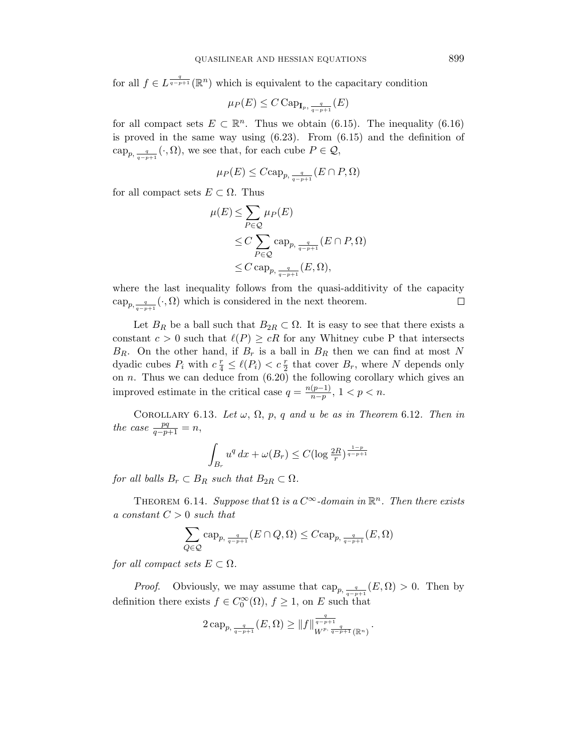for all  $f \in L^{\frac{q}{q-p+1}}(\mathbb{R}^n)$  which is equivalent to the capacitary condition

$$
\mu_P(E) \le C \operatorname{Cap}_{\mathbf{I}_p, \frac{q}{q-p+1}}(E)
$$

for all compact sets  $E \subset \mathbb{R}^n$ . Thus we obtain (6.15). The inequality (6.16) is proved in the same way using  $(6.23)$ . From  $(6.15)$  and the definition of  $\text{cap}_{p,\frac{q}{q-p+1}}(\cdot,\Omega)$ , we see that, for each cube  $P \in \mathcal{Q}$ ,

$$
\mu_P(E) \leq C \cosh_{p, \frac{q}{q-p+1}}(E \cap P, \Omega)
$$

for all compact sets  $E \subset \Omega$ . Thus

$$
\mu(E) \le \sum_{P \in \mathcal{Q}} \mu_P(E)
$$
  
\n
$$
\le C \sum_{P \in \mathcal{Q}} \text{cap}_{p, \frac{q}{q-p+1}} (E \cap P, \Omega)
$$
  
\n
$$
\le C \text{cap}_{p, \frac{q}{q-p+1}} (E, \Omega),
$$

where the last inequality follows from the quasi-additivity of the capacity  $\text{cap}_{p,\frac{q}{q-p+1}}(\cdot,\Omega)$  which is considered in the next theorem.  $\Box$ 

Let  $B_R$  be a ball such that  $B_{2R} \subset \Omega$ . It is easy to see that there exists a constant  $c > 0$  such that  $\ell(P) \geq cR$  for any Whitney cube P that intersects  $B_R$ . On the other hand, if  $B_r$  is a ball in  $B_R$  then we can find at most N dyadic cubes  $P_i$  with  $c \frac{r}{4} \leq \ell(P_i) < c \frac{r}{2}$  that cover  $B_r$ , where N depends only on  $n$ . Thus we can deduce from  $(6.20)$  the following corollary which gives an improved estimate in the critical case  $q = \frac{n(p-1)}{n-p}$  $\frac{(p-1)}{n-p}, 1 < p < n.$ 

COROLLARY 6.13. Let  $\omega$ ,  $\Omega$ ,  $p$ ,  $q$  and  $u$  be as in Theorem 6.12. Then in the case  $\frac{pq}{q-p+1} = n$ ,

$$
\int_{B_r} u^q dx + \omega(B_r) \le C(\log \frac{2R}{r})^{\frac{1-p}{q-p+1}}
$$

for all balls  $B_r \subset B_R$  such that  $B_{2R} \subset \Omega$ .

THEOREM 6.14. Suppose that  $\Omega$  is a  $C^{\infty}$ -domain in  $\mathbb{R}^n$ . Then there exists a constant  $C > 0$  such that

$$
\sum_{Q \in \mathcal{Q}} \text{cap}_{p, \frac{q}{q-p+1}} (E \cap Q, \Omega) \leq C \text{cap}_{p, \frac{q}{q-p+1}} (E, \Omega)
$$

for all compact sets  $E \subset \Omega$ .

*Proof.* Obviously, we may assume that  $\text{cap}_{p, \frac{q}{q-p+1}}(E,\Omega) > 0$ . Then by definition there exists  $f \in C_0^{\infty}(\Omega)$ ,  $f \geq 1$ , on E such that

$$
2\, {\rm cap}_{p,\, \frac{q}{q-p+1}}(E, \Omega) \ge \|f\|_{W^{p,\, \frac{q}{q-p+1}}(\mathbb{R}^n)}^{\frac{q}{q-p+1}}.
$$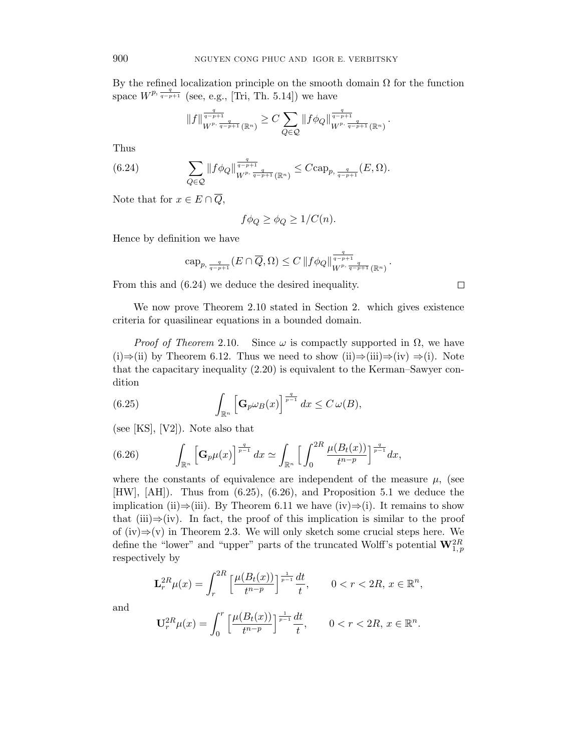By the refined localization principle on the smooth domain  $\Omega$  for the function space  $W^{p, \frac{q}{q-p+1}}$  (see, e.g., [Tri, Th. 5.14]) we have

$$
||f||_{W^{p, \frac{q}{q-p+1}}(\mathbb{R}^n)}^{\frac{q}{q-p+1}} \geq C \sum_{Q \in \mathcal{Q}} ||f \phi_Q||_{W^{p, \frac{q}{q-p+1}}(\mathbb{R}^n)}^{\frac{q}{q-p+1}}
$$

.

Thus

(6.24) 
$$
\sum_{Q\in\mathcal{Q}}\|f\phi_Q\|_{W^{p,\frac{q}{q-p+1}}(\mathbb{R}^n)}^{\frac{q}{q-p+1}}\leq C\mathrm{cap}_{p,\frac{q}{q-p+1}}(E,\Omega).
$$

Note that for  $x \in E \cap \overline{Q}$ ,

$$
f\phi_Q \ge \phi_Q \ge 1/C(n).
$$

Hence by definition we have

$$
\text{cap}_{p, \frac{q}{q-p+1}}(E \cap \overline{Q}, \Omega) \leq C \left\|f\phi_Q\right\|_{W^{p, \frac{q}{q-p+1}}(\mathbb{R}^n)}^{\frac{q}{q-p+1}}.
$$

From this and (6.24) we deduce the desired inequality.

We now prove Theorem 2.10 stated in Section 2. which gives existence criteria for quasilinear equations in a bounded domain.

*Proof of Theorem* 2.10. Since  $\omega$  is compactly supported in  $\Omega$ , we have (i)⇒(ii) by Theorem 6.12. Thus we need to show (ii)⇒(iii)⇒(iv) ⇒(i). Note that the capacitary inequality (2.20) is equivalent to the Kerman–Sawyer condition

(6.25) 
$$
\int_{\mathbb{R}^n} \left[ \mathbf{G}_p \omega_B(x) \right]^{\frac{q}{p-1}} dx \leq C \omega(B),
$$

(see [KS], [V2]). Note also that

(6.26) 
$$
\int_{\mathbb{R}^n} \left[\mathbf{G}_p \mu(x)\right]^{\frac{q}{p-1}} dx \simeq \int_{\mathbb{R}^n} \left[\int_0^{2R} \frac{\mu(B_t(x))}{t^{n-p}}\right]^{\frac{q}{p-1}} dx,
$$

where the constants of equivalence are independent of the measure  $\mu$ , (see [HW], [AH]). Thus from (6.25), (6.26), and Proposition 5.1 we deduce the implication (ii)⇒(iii). By Theorem 6.11 we have (iv)⇒(i). It remains to show that (iii)⇒(iv). In fact, the proof of this implication is similar to the proof of (iv)⇒(v) in Theorem 2.3. We will only sketch some crucial steps here. We define the "lower" and "upper" parts of the truncated Wolff's potential  $\mathbf{W}_{1,p}^{2R}$ respectively by

$$
\mathbf{L}_r^{2R} \mu(x) = \int_r^{2R} \left[ \frac{\mu(B_t(x))}{t^{n-p}} \right]^{\frac{1}{p-1}} \frac{dt}{t}, \qquad 0 < r < 2R, \, x \in \mathbb{R}^n,
$$

and

$$
\mathbf{U}_{r}^{2R}\mu(x)=\int_{0}^{r}\Big[\frac{\mu(B_t(x))}{t^{n-p}}\Big]^{\frac{1}{p-1}}\frac{dt}{t},\qquad 0
$$

 $\Box$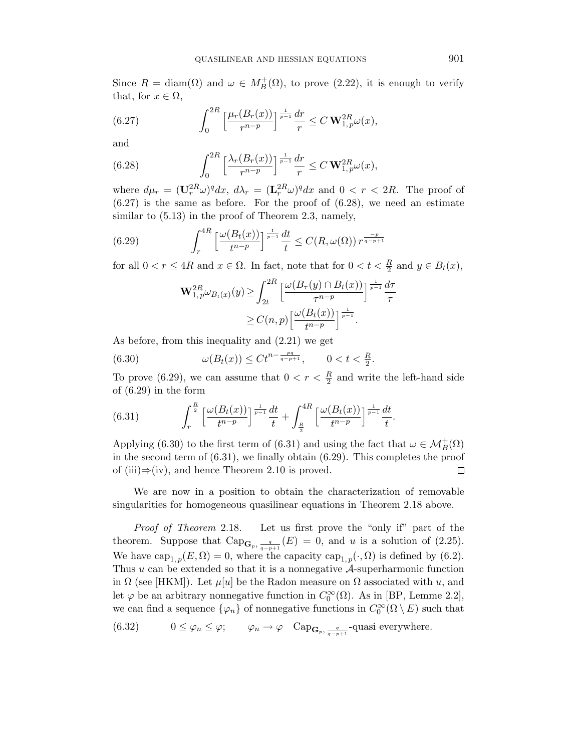Since  $R = \text{diam}(\Omega)$  and  $\omega \in M_B^+(\Omega)$ , to prove (2.22), it is enough to verify that, for  $x \in \Omega$ ,

(6.27) 
$$
\int_0^{2R} \left[ \frac{\mu_r(B_r(x))}{r^{n-p}} \right]^{\frac{1}{p-1}} \frac{dr}{r} \le C \mathbf{W}_{1,p}^{2R} \omega(x),
$$

and

(6.28) 
$$
\int_0^{2R} \left[ \frac{\lambda_r(B_r(x))}{r^{n-p}} \right]^{\frac{1}{p-1}} \frac{dr}{r} \le C \mathbf{W}_{1,p}^{2R} \omega(x),
$$

where  $d\mu_r = (\mathbf{U}_r^{2R}\omega)^q dx$ ,  $d\lambda_r = (\mathbf{L}_r^{2R}\omega)^q dx$  and  $0 < r < 2R$ . The proof of  $(6.27)$  is the same as before. For the proof of  $(6.28)$ , we need an estimate similar to  $(5.13)$  in the proof of Theorem 2.3, namely,

(6.29) 
$$
\int_{r}^{4R} \left[ \frac{\omega(B_t(x))}{t^{n-p}} \right]^{\frac{1}{p-1}} \frac{dt}{t} \leq C(R, \omega(\Omega)) r^{\frac{-p}{q-p+1}}
$$

for all  $0 < r \leq 4R$  and  $x \in \Omega$ . In fact, note that for  $0 < t < \frac{R}{2}$  and  $y \in B_t(x)$ ,

$$
\mathbf{W}_{1,p}^{2R} \omega_{B_t(x)}(y) \ge \int_{2t}^{2R} \left[ \frac{\omega(B_\tau(y) \cap B_t(x))}{\tau^{n-p}} \right]^\frac{1}{p-1} \frac{d\tau}{\tau}
$$

$$
\ge C(n,p) \left[ \frac{\omega(B_t(x))}{t^{n-p}} \right]^\frac{1}{p-1}.
$$

As before, from this inequality and (2.21) we get

(6.30)  $\omega(B_t(x)) \leq Ct^{n-\frac{pq}{q-p+1}}, \qquad 0 < t < \frac{R}{2}.$ 

To prove (6.29), we can assume that  $0 < r < \frac{R}{2}$  and write the left-hand side of (6.29) in the form

(6.31) 
$$
\int_{r}^{\frac{R}{2}} \left[ \frac{\omega(B_t(x))}{t^{n-p}} \right]_{\frac{p-1}{2}} \frac{dt}{t} + \int_{\frac{R}{2}}^{4R} \left[ \frac{\omega(B_t(x))}{t^{n-p}} \right]_{\frac{p-1}{2}} \frac{dt}{t}.
$$

Applying (6.30) to the first term of (6.31) and using the fact that  $\omega \in \mathcal{M}_B^+(\Omega)$ in the second term of (6.31), we finally obtain (6.29). This completes the proof of (iii)⇒(iv), and hence Theorem 2.10 is proved.  $\Box$ 

We are now in a position to obtain the characterization of removable singularities for homogeneous quasilinear equations in Theorem 2.18 above.

Proof of Theorem 2.18. Let us first prove the "only if" part of the theorem. Suppose that  $\text{Cap}_{\mathbf{G}_p, \frac{q}{q-p+1}}(E) = 0$ , and u is a solution of (2.25). We have  $\text{cap}_{1,p}(E,\Omega) = 0$ , where the capacity  $\text{cap}_{1,p}(\cdot,\Omega)$  is defined by (6.2). Thus  $u$  can be extended so that it is a nonnegative  $A$ -superharmonic function in  $\Omega$  (see [HKM]). Let  $\mu[u]$  be the Radon measure on  $\Omega$  associated with u, and let  $\varphi$  be an arbitrary nonnegative function in  $C_0^{\infty}(\Omega)$ . As in [BP, Lemme 2.2], we can find a sequence  $\{\varphi_n\}$  of nonnegative functions in  $C_0^{\infty}(\Omega \setminus E)$  such that

(6.32) 
$$
0 \leq \varphi_n \leq \varphi; \qquad \varphi_n \to \varphi \quad \text{Cap}_{\mathbf{G}_p, \frac{q}{q-p+1}}\text{-quasi everywhere.}
$$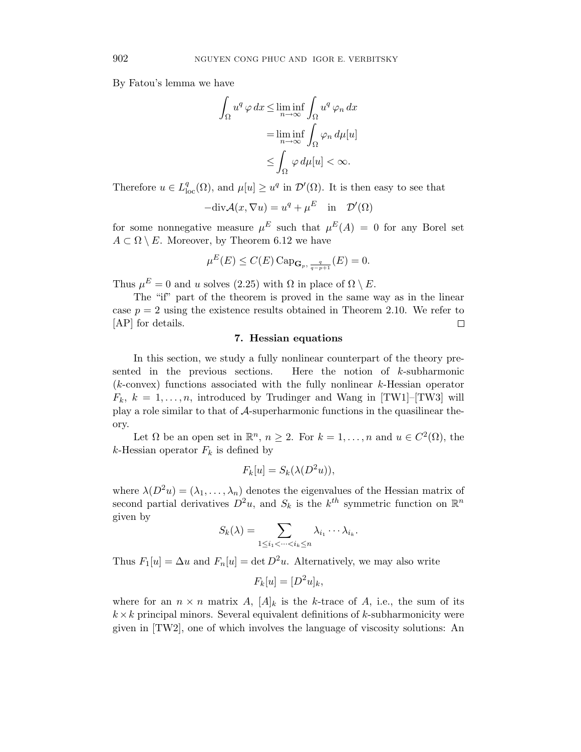By Fatou's lemma we have

$$
\int_{\Omega} u^q \,\varphi \,dx \le \liminf_{n \to \infty} \int_{\Omega} u^q \,\varphi_n \,dx
$$

$$
= \liminf_{n \to \infty} \int_{\Omega} \varphi_n \,d\mu[u]
$$

$$
\le \int_{\Omega} \varphi \,d\mu[u] < \infty.
$$

Therefore  $u \in L^q_{loc}(\Omega)$ , and  $\mu[u] \geq u^q$  in  $\mathcal{D}'(\Omega)$ . It is then easy to see that

$$
-\text{div}\mathcal{A}(x,\nabla u) = u^q + \mu^E \text{ in } \mathcal{D}'(\Omega)
$$

for some nonnegative measure  $\mu^{E}$  such that  $\mu^{E}(A) = 0$  for any Borel set  $A \subset \Omega \setminus E$ . Moreover, by Theorem 6.12 we have

$$
\mu^{E}(E) \le C(E) \operatorname{Cap}_{\mathbf{G}_p, \frac{q}{q-p+1}}(E) = 0.
$$

Thus  $\mu^E = 0$  and u solves (2.25) with  $\Omega$  in place of  $\Omega \setminus E$ .

The "if" part of the theorem is proved in the same way as in the linear case  $p = 2$  using the existence results obtained in Theorem 2.10. We refer to [AP] for details.  $\Box$ 

# 7. Hessian equations

In this section, we study a fully nonlinear counterpart of the theory presented in the previous sections. Here the notion of k-subharmonic (k-convex) functions associated with the fully nonlinear k-Hessian operator  $F_k, k = 1, \ldots, n$ , introduced by Trudinger and Wang in [TW1]–[TW3] will play a role similar to that of A-superharmonic functions in the quasilinear theory.

Let  $\Omega$  be an open set in  $\mathbb{R}^n$ ,  $n \geq 2$ . For  $k = 1, ..., n$  and  $u \in C^2(\Omega)$ , the k-Hessian operator  $F_k$  is defined by

$$
F_k[u] = S_k(\lambda(D^2u)),
$$

where  $\lambda(D^2u) = (\lambda_1, \ldots, \lambda_n)$  denotes the eigenvalues of the Hessian matrix of second partial derivatives  $D^2u$ , and  $S_k$  is the  $k^{th}$  symmetric function on  $\mathbb{R}^n$ given by

$$
S_k(\lambda) = \sum_{1 \leq i_1 < \dots < i_k \leq n} \lambda_{i_1} \dotsm \lambda_{i_k}.
$$

Thus  $F_1[u] = \Delta u$  and  $F_n[u] = \det D^2 u$ . Alternatively, we may also write

$$
F_k[u] = [D^2 u]_k,
$$

where for an  $n \times n$  matrix A,  $[A]_k$  is the k-trace of A, i.e., the sum of its  $k \times k$  principal minors. Several equivalent definitions of k-subharmonicity were given in [TW2], one of which involves the language of viscosity solutions: An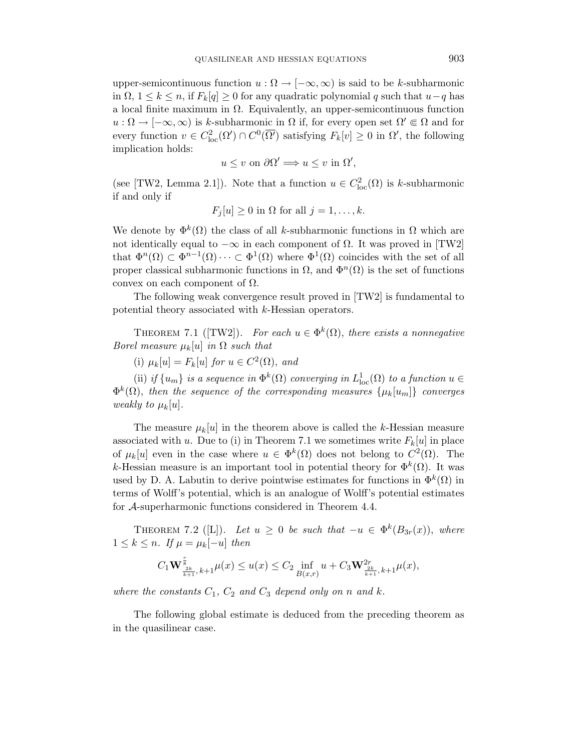upper-semicontinuous function  $u : \Omega \to [-\infty, \infty)$  is said to be k-subharmonic in  $\Omega$ ,  $1 \leq k \leq n$ , if  $F_k[q] \geq 0$  for any quadratic polynomial q such that  $u-q$  has a local finite maximum in  $\Omega$ . Equivalently, an upper-semicontinuous function  $u : \Omega \to [-\infty, \infty)$  is k-subharmonic in  $\Omega$  if, for every open set  $\Omega' \in \Omega$  and for every function  $v \in C^2_{loc}(\Omega') \cap C^0(\overline{\Omega'})$  satisfying  $F_k[v] \geq 0$  in  $\Omega'$ , the following implication holds:

$$
u \leq v
$$
 on  $\partial \Omega' \Longrightarrow u \leq v$  in  $\Omega'$ ,

(see [TW2, Lemma 2.1]). Note that a function  $u \in C^2_{loc}(\Omega)$  is k-subharmonic if and only if

$$
F_j[u] \ge 0 \text{ in } \Omega \text{ for all } j = 1, \dots, k.
$$

We denote by  $\Phi^k(\Omega)$  the class of all k-subharmonic functions in  $\Omega$  which are not identically equal to  $-\infty$  in each component of  $\Omega$ . It was proved in [TW2] that  $\Phi^{n}(\Omega) \subset \Phi^{n-1}(\Omega) \cdots \subset \Phi^{1}(\Omega)$  where  $\Phi^{1}(\Omega)$  coincides with the set of all proper classical subharmonic functions in  $\Omega$ , and  $\Phi^{n}(\Omega)$  is the set of functions convex on each component of  $\Omega$ .

The following weak convergence result proved in [TW2] is fundamental to potential theory associated with k-Hessian operators.

THEOREM 7.1 ([TW2]). For each  $u \in \Phi^k(\Omega)$ , there exists a nonnegative Borel measure  $\mu_k[u]$  in  $\Omega$  such that

(i)  $\mu_k[u] = F_k[u]$  for  $u \in C^2(\Omega)$ , and

(ii) if  $\{u_m\}$  is a sequence in  $\Phi^k(\Omega)$  converging in  $L^1_{loc}(\Omega)$  to a function  $u \in$  $\Phi^k(\Omega)$ , then the sequence of the corresponding measures  $\{\mu_k[u_m]\}$  converges weakly to  $\mu_k[u]$ .

The measure  $\mu_k[u]$  in the theorem above is called the k-Hessian measure associated with u. Due to (i) in Theorem 7.1 we sometimes write  $F_k[u]$  in place of  $\mu_k[u]$  even in the case where  $u \in \Phi^k(\Omega)$  does not belong to  $C^2(\Omega)$ . The k-Hessian measure is an important tool in potential theory for  $\Phi^k(\Omega)$ . It was used by D. A. Labutin to derive pointwise estimates for functions in  $\Phi^k(\Omega)$  in terms of Wolff's potential, which is an analogue of Wolff's potential estimates for A-superharmonic functions considered in Theorem 4.4.

THEOREM 7.2 ([L]). Let  $u \geq 0$  be such that  $-u \in \Phi^k(B_{3r}(x))$ , where  $1 \leq k \leq n$ . If  $\mu = \mu_k[-u]$  then

$$
C_1 \mathbf W^{\frac{r}{8}}_{\frac{2k}{k+1},k+1} \mu(x) \leq u(x) \leq C_2 \inf_{B(x,r)} u + C_3 \mathbf W^{2r}_{\frac{2k}{k+1},k+1} \mu(x),
$$

where the constants  $C_1$ ,  $C_2$  and  $C_3$  depend only on n and k.

The following global estimate is deduced from the preceding theorem as in the quasilinear case.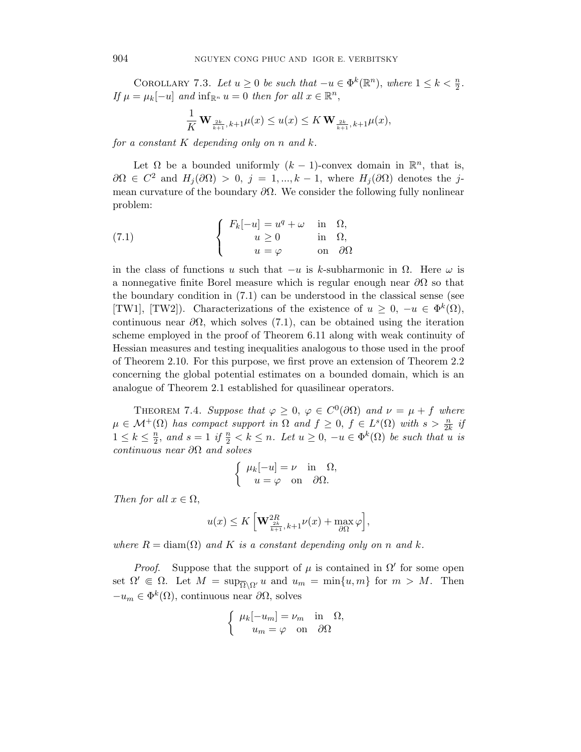COROLLARY 7.3. Let  $u \ge 0$  be such that  $-u \in \Phi^k(\mathbb{R}^n)$ , where  $1 \le k < \frac{n}{2}$ . If  $\mu = \mu_k[-u]$  and  $\inf_{\mathbb{R}^n} u = 0$  then for all  $x \in \mathbb{R}^n$ ,

$$
\frac{1}{K} \mathbf{W}_{\frac{2k}{k+1},k+1} \mu(x) \le u(x) \le K \mathbf{W}_{\frac{2k}{k+1},k+1} \mu(x),
$$

for a constant K depending only on n and  $k$ .

Let  $\Omega$  be a bounded uniformly  $(k-1)$ -convex domain in  $\mathbb{R}^n$ , that is,  $\partial\Omega \in C^2$  and  $H_j(\partial\Omega) > 0$ ,  $j = 1, ..., k-1$ , where  $H_j(\partial\Omega)$  denotes the jmean curvature of the boundary  $\partial\Omega$ . We consider the following fully nonlinear problem:

(7.1) 
$$
\begin{cases} F_k[-u] = u^q + \omega & \text{in } \Omega, \\ u \ge 0 & \text{in } \Omega, \\ u = \varphi & \text{on } \partial\Omega \end{cases}
$$

in the class of functions u such that  $-u$  is k-subharmonic in  $\Omega$ . Here  $\omega$  is a nonnegative finite Borel measure which is regular enough near  $\partial\Omega$  so that the boundary condition in (7.1) can be understood in the classical sense (see [TW1], [TW2]). Characterizations of the existence of  $u \geq 0$ ,  $-u \in \Phi^k(\Omega)$ , continuous near  $\partial\Omega$ , which solves (7.1), can be obtained using the iteration scheme employed in the proof of Theorem 6.11 along with weak continuity of Hessian measures and testing inequalities analogous to those used in the proof of Theorem 2.10. For this purpose, we first prove an extension of Theorem 2.2 concerning the global potential estimates on a bounded domain, which is an analogue of Theorem 2.1 established for quasilinear operators.

THEOREM 7.4. Suppose that  $\varphi \geq 0$ ,  $\varphi \in C^{0}(\partial \Omega)$  and  $\nu = \mu + f$  where  $\mu \in \mathcal{M}^+(\Omega)$  has compact support in  $\Omega$  and  $f \geq 0$ ,  $f \in L^s(\Omega)$  with  $s > \frac{n}{2k}$  if  $1 \leq k \leq \frac{n}{2}$  $\frac{n}{2}$ , and  $s = 1$  if  $\frac{n}{2} < k \leq n$ . Let  $u \geq 0$ ,  $-u \in \Phi^k(\Omega)$  be such that u is continuous near ∂Ω and solves

$$
\begin{cases} \mu_k[-u] = \nu & \text{in } \Omega, \\ u = \varphi & \text{on } \partial\Omega. \end{cases}
$$

Then for all  $x \in \Omega$ ,

$$
u(x) \le K \left[ \mathbf{W}_{\frac{2k}{k+1},k+1}^{2R} \nu(x) + \max_{\partial \Omega} \varphi \right],
$$

where  $R = \text{diam}(\Omega)$  and K is a constant depending only on n and k.

*Proof.* Suppose that the support of  $\mu$  is contained in  $\Omega'$  for some open set  $\Omega' \in \Omega$ . Let  $M = \sup_{\overline{\Omega} \setminus \Omega'} u$  and  $u_m = \min\{u, m\}$  for  $m > M$ . Then  $-u_m \in \Phi^k(\Omega)$ , continuous near  $\partial \Omega$ , solves

$$
\begin{cases} \mu_k[-u_m] = \nu_m & \text{in } \Omega, \\ u_m = \varphi & \text{on } \partial\Omega \end{cases}
$$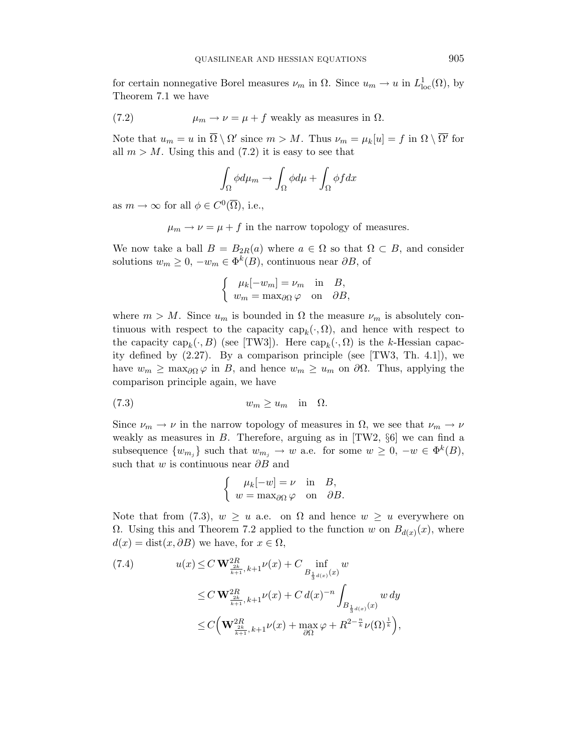for certain nonnegative Borel measures  $\nu_m$  in  $\Omega$ . Since  $u_m \to u$  in  $L^1_{loc}(\Omega)$ , by Theorem 7.1 we have

(7.2) 
$$
\mu_m \to \nu = \mu + f
$$
 weakly as measures in  $\Omega$ .

Note that  $u_m = u$  in  $\overline{\Omega} \setminus \Omega'$  since  $m > M$ . Thus  $\nu_m = \mu_k[u] = f$  in  $\Omega \setminus \overline{\Omega'}$  for all  $m > M$ . Using this and (7.2) it is easy to see that

$$
\int_{\Omega} \phi d\mu_m \to \int_{\Omega} \phi d\mu + \int_{\Omega} \phi f dx
$$

as  $m \to \infty$  for all  $\phi \in C^0(\overline{\Omega})$ , i.e.,

$$
\mu_m \to \nu = \mu + f
$$
 in the narrow topology of measures.

We now take a ball  $B = B_{2R}(a)$  where  $a \in \Omega$  so that  $\Omega \subset B$ , and consider solutions  $w_m \geq 0$ ,  $-w_m \in \Phi^k(B)$ , continuous near  $\partial B$ , of

$$
\begin{cases}\n\mu_k[-w_m] = \nu_m & \text{in} \quad B, \\
w_m = \max_{\partial \Omega} \varphi & \text{on} \quad \partial B,\n\end{cases}
$$

where  $m > M$ . Since  $u_m$  is bounded in  $\Omega$  the measure  $\nu_m$  is absolutely continuous with respect to the capacity  $\text{cap}_k(\cdot, \Omega)$ , and hence with respect to the capacity  $\text{cap}_k(\cdot, B)$  (see [TW3]). Here  $\text{cap}_k(\cdot, \Omega)$  is the k-Hessian capacity defined by (2.27). By a comparison principle (see [TW3, Th. 4.1]), we have  $w_m \geq \max_{\partial \Omega} \varphi$  in B, and hence  $w_m \geq u_m$  on  $\partial \Omega$ . Thus, applying the comparison principle again, we have

$$
(7.3) \t\t\t w_m \ge u_m \t\t in \t\t \Omega.
$$

Since  $\nu_m \to \nu$  in the narrow topology of measures in  $\Omega$ , we see that  $\nu_m \to \nu$ weakly as measures in  $B$ . Therefore, arguing as in [TW2,  $\S6$ ] we can find a subsequence  $\{w_{m_j}\}\$  such that  $w_{m_j} \to w$  a.e. for some  $w \geq 0, -w \in \Phi^k(B)$ , such that w is continuous near  $\partial B$  and

$$
\begin{cases} \mu_k[-w] = \nu & \text{in } B, \\ w = \max_{\partial \Omega} \varphi & \text{on } \partial B. \end{cases}
$$

Note that from (7.3),  $w \geq u$  a.e. on  $\Omega$  and hence  $w \geq u$  everywhere on Ω. Using this and Theorem 7.2 applied to the function w on  $B_{d(x)}(x)$ , where  $d(x) = \text{dist}(x, \partial B)$  we have, for  $x \in \Omega$ ,

$$
(7.4) \t u(x) \le C \mathbf{W}_{\frac{2k}{k+1},k+1}^{2R} \nu(x) + C \inf_{B_{\frac{1}{3}d(x)}(x)} w
$$
  

$$
\le C \mathbf{W}_{\frac{2k}{k+1},k+1}^{2R} \nu(x) + C d(x)^{-n} \int_{B_{\frac{1}{3}d(x)}(x)} w dy
$$
  

$$
\le C \Big(\mathbf{W}_{\frac{2k}{k+1},k+1}^{2R} \nu(x) + \max_{\partial\Omega} \varphi + R^{2-\frac{n}{k}} \nu(\Omega)^{\frac{1}{k}} \Big),
$$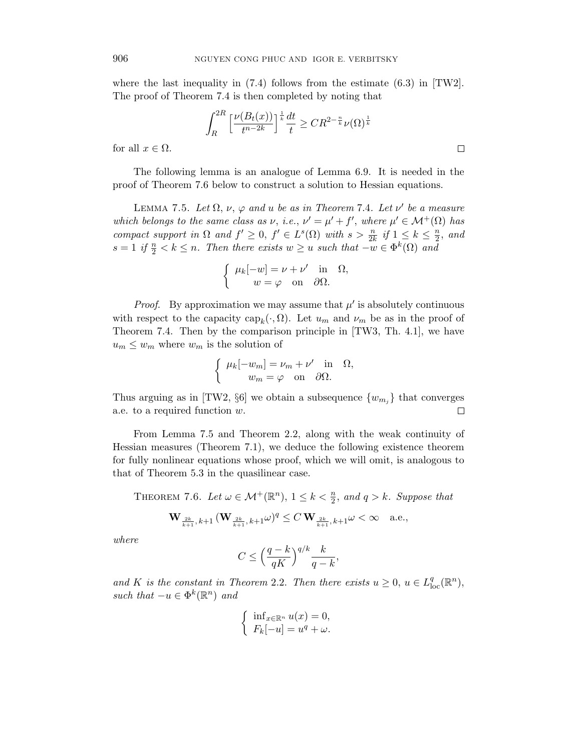where the last inequality in  $(7.4)$  follows from the estimate  $(6.3)$  in  $[TW2]$ . The proof of Theorem 7.4 is then completed by noting that

$$
\int_{R}^{2R} \left[ \frac{\nu(B_t(x))}{t^{n-2k}} \right]^{\frac{1}{k}} \frac{dt}{t} \geq C R^{2 - \frac{n}{k}} \nu(\Omega)^{\frac{1}{k}}
$$

 $\Box$ 

for all  $x \in \Omega$ .

The following lemma is an analogue of Lemma 6.9. It is needed in the proof of Theorem 7.6 below to construct a solution to Hessian equations.

LEMMA 7.5. Let  $\Omega$ ,  $\nu$ ,  $\varphi$  and u be as in Theorem 7.4. Let  $\nu'$  be a measure which belongs to the same class as  $\nu$ , i.e.,  $\nu' = \mu' + f'$ , where  $\mu' \in \mathcal{M}^+(\Omega)$  has compact support in  $\Omega$  and  $f' \geq 0$ ,  $f' \in L^{s}(\Omega)$  with  $s > \frac{n}{2k}$  if  $1 \leq k \leq \frac{n}{2}$  $\frac{n}{2}$ , and  $s = 1$  if  $\frac{n}{2} < k \leq n$ . Then there exists  $w \geq u$  such that  $-w \in \Phi^k(\Omega)$  and

$$
\begin{cases} \mu_k[-w] = \nu + \nu' & \text{in } \Omega, \\ w = \varphi & \text{on } \partial\Omega. \end{cases}
$$

*Proof.* By approximation we may assume that  $\mu'$  is absolutely continuous with respect to the capacity  $\text{cap}_k(\cdot, \Omega)$ . Let  $u_m$  and  $\nu_m$  be as in the proof of Theorem 7.4. Then by the comparison principle in [TW3, Th. 4.1], we have  $u_m \leq w_m$  where  $w_m$  is the solution of

$$
\begin{cases} \mu_k[-w_m] = \nu_m + \nu' & \text{in} \quad \Omega, \\ w_m = \varphi & \text{on} \quad \partial\Omega. \end{cases}
$$

Thus arguing as in [TW2,  $\S6$ ] we obtain a subsequence  $\{w_{m_i}\}\$  that converges a.e. to a required function w.  $\Box$ 

From Lemma 7.5 and Theorem 2.2, along with the weak continuity of Hessian measures (Theorem 7.1), we deduce the following existence theorem for fully nonlinear equations whose proof, which we will omit, is analogous to that of Theorem 5.3 in the quasilinear case.

THEOREM 7.6. Let  $\omega \in \mathcal{M}^+(\mathbb{R}^n)$ ,  $1 \leq k < \frac{n}{2}$ , and  $q > k$ . Suppose that

$$
{\bf W}_{\frac{2k}{k+1},k+1}\,({\bf W}_{\frac{2k}{k+1},k+1}\omega)^q\le C\,{\bf W}_{\frac{2k}{k+1},k+1}\omega<\infty\quad\text{a.e.},
$$

where

$$
C \le \left(\frac{q-k}{qK}\right)^{q/k} \frac{k}{q-k},
$$

and K is the constant in Theorem 2.2. Then there exists  $u \geq 0$ ,  $u \in L^q_{loc}(\mathbb{R}^n)$ , such that  $-u \in \Phi^k(\mathbb{R}^n)$  and

$$
\begin{cases} \inf_{x \in \mathbb{R}^n} u(x) = 0, \\ F_k[-u] = u^q + \omega. \end{cases}
$$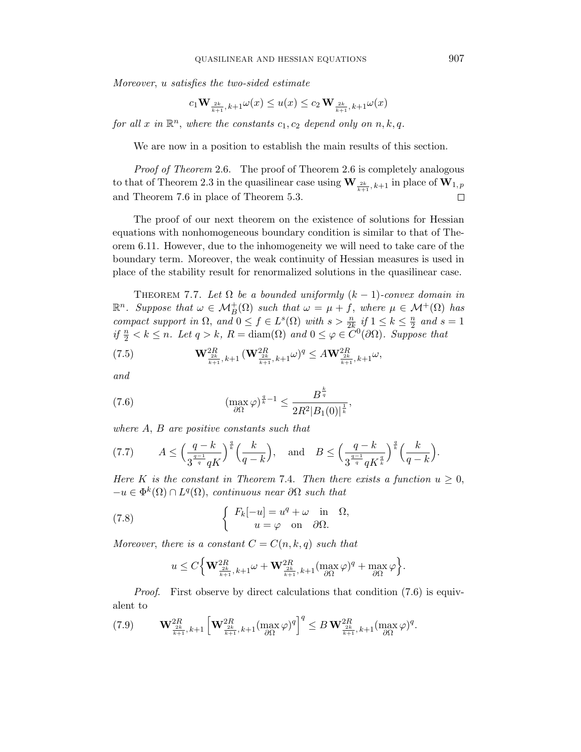Moreover, u satisfies the two-sided estimate

$$
c_1\mathbf{W}_{\frac{2k}{k+1},\,k+1}\omega(x)\leq u(x)\leq c_2\,\mathbf{W}_{\frac{2k}{k+1},\,k+1}\omega(x)
$$

for all x in  $\mathbb{R}^n$ , where the constants  $c_1, c_2$  depend only on  $n, k, q$ .

We are now in a position to establish the main results of this section.

Proof of Theorem 2.6. The proof of Theorem 2.6 is completely analogous to that of Theorem 2.3 in the quasilinear case using  $\mathbf{W}_{\frac{2k}{k+1},k+1}$  in place of  $\mathbf{W}_{1,p}$ and Theorem 7.6 in place of Theorem 5.3.

The proof of our next theorem on the existence of solutions for Hessian equations with nonhomogeneous boundary condition is similar to that of Theorem 6.11. However, due to the inhomogeneity we will need to take care of the boundary term. Moreover, the weak continuity of Hessian measures is used in place of the stability result for renormalized solutions in the quasilinear case.

THEOREM 7.7. Let  $\Omega$  be a bounded uniformly  $(k-1)$ -convex domain in  $\mathbb{R}^n$ . Suppose that  $\omega \in \mathcal{M}_B^+(\Omega)$  such that  $\omega = \mu + f$ , where  $\mu \in \mathcal{M}^+(\Omega)$  has compact support in  $\Omega$ , and  $0 \le f \in L^s(\Omega)$  with  $s > \frac{n}{2k}$  if  $1 \le k \le \frac{n}{2}$  $\frac{n}{2}$  and  $s=1$ if  $\frac{n}{2} < k \leq n$ . Let  $q > k$ ,  $R = \text{diam}(\Omega)$  and  $0 \leq \varphi \in \overline{C}^0(\partial \Omega)$ . Suppose that

(7.5) 
$$
\mathbf{W}_{\frac{2k}{k+1},k+1}^{2R} (\mathbf{W}_{\frac{2k}{k+1},k+1}^{2R} \omega)^q \leq A \mathbf{W}_{\frac{2k}{k+1},k+1}^{2R} \omega,
$$

and

(7.6) 
$$
\left(\max_{\partial\Omega}\varphi\right)^{\frac{q}{k}-1} \leq \frac{B^{\frac{k}{q}}}{2R^2|B_1(0)|^{\frac{1}{k}}},
$$

where A, B are positive constants such that

(7.7) 
$$
A \le \left(\frac{q-k}{3^{\frac{q-1}{q}}qK}\right)^{\frac{q}{k}} \left(\frac{k}{q-k}\right)
$$
, and  $B \le \left(\frac{q-k}{3^{\frac{q-1}{q}}qK^{\frac{q}{k}}}\right)^{\frac{q}{k}} \left(\frac{k}{q-k}\right)$ .

Here K is the constant in Theorem 7.4. Then there exists a function  $u \geq 0$ ,  $-u \in \Phi^k(\Omega) \cap L^q(\Omega)$ , continuous near  $\partial \Omega$  such that

(7.8) 
$$
\begin{cases} F_k[-u] = u^q + \omega & \text{in } \Omega, \\ u = \varphi & \text{on } \partial\Omega. \end{cases}
$$

Moreover, there is a constant  $C = C(n, k, q)$  such that

$$
u \leq C \Big\{ \mathbf{W}_{\frac{2k}{k+1},k+1}^{2R} \omega + \mathbf{W}_{\frac{2k}{k+1},k+1}^{2R} (\max_{\partial \Omega} \varphi)^q + \max_{\partial \Omega} \varphi \Big\}.
$$

Proof. First observe by direct calculations that condition (7.6) is equivalent to

$$
(7.9) \qquad \mathbf{W}^{2R}_{\frac{2k}{k+1},k+1} \left[ \mathbf{W}^{2R}_{\frac{2k}{k+1},k+1} (\max_{\partial \Omega} \varphi)^q \right]^q \leq B \, \mathbf{W}^{2R}_{\frac{2k}{k+1},k+1} (\max_{\partial \Omega} \varphi)^q.
$$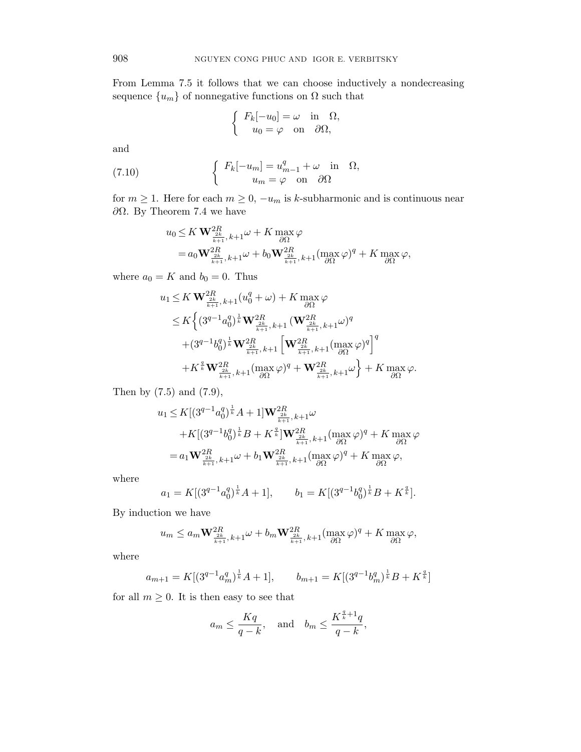From Lemma 7.5 it follows that we can choose inductively a nondecreasing sequence  $\{u_m\}$  of nonnegative functions on  $\Omega$  such that

$$
\begin{cases}\nF_k[-u_0] = \omega & \text{in } \Omega, \\
u_0 = \varphi & \text{on } \partial\Omega,\n\end{cases}
$$

and

(7.10) 
$$
\begin{cases} F_k[-u_m] = u_{m-1}^q + \omega \text{ in } \Omega, \\ u_m = \varphi \text{ on } \partial\Omega \end{cases}
$$

for  $m \ge 1$ . Here for each  $m \ge 0$ ,  $-u_m$  is k-subharmonic and is continuous near ∂Ω. By Theorem 7.4 we have

$$
u_0 \leq K \mathbf{W}_{\frac{2k}{k+1},k+1}^{2R} \omega + K \max_{\partial \Omega} \varphi
$$
  
=  $a_0 \mathbf{W}_{\frac{2k}{k+1},k+1}^{2R} \omega + b_0 \mathbf{W}_{\frac{2k}{k+1},k+1}^{2R} (\max_{\partial \Omega} \varphi)^q + K \max_{\partial \Omega} \varphi,$ 

where  $a_0 = K$  and  $b_0 = 0$ . Thus

$$
u_{1} \leq K \mathbf{W}^{2R}_{\frac{2k}{k+1},k+1}(u_{0}^{q} + \omega) + K \max_{\partial\Omega} \varphi
$$
  
\n
$$
\leq K \Big\{ (3^{q-1}a_{0}^{q})^{\frac{1}{k}} \mathbf{W}^{2R}_{\frac{2k}{k+1},k+1} (\mathbf{W}^{2R}_{\frac{2k}{k+1},k+1}\omega)^{q}
$$
  
\n
$$
+ (3^{q-1}b_{0}^{q})^{\frac{1}{k}} \mathbf{W}^{2R}_{\frac{2k}{k+1},k+1} \left[ \mathbf{W}^{2R}_{\frac{2k}{k+1},k+1}(\max_{\partial\Omega} \varphi)^{q} \right]^{q}
$$
  
\n
$$
+ K^{\frac{q}{k}} \mathbf{W}^{2R}_{\frac{2k}{k+1},k+1}(\max_{\partial\Omega} \varphi)^{q} + \mathbf{W}^{2R}_{\frac{2k}{k+1},k+1}\omega \Big\} + K \max_{\partial\Omega} \varphi.
$$

Then by (7.5) and (7.9),

$$
u_1 \le K[(3^{q-1}a_0^q)^{\frac{1}{k}}A + 1] \mathbf{W}_{\frac{2k}{k+1},k+1}^{2R} \omega + K[(3^{q-1}b_0^q)^{\frac{1}{k}}B + K^{\frac{q}{k}}] \mathbf{W}_{\frac{2k}{k+1},k+1}^{2R}(\max_{\partial\Omega}\varphi)^q + K \max_{\partial\Omega}\varphi = a_1 \mathbf{W}_{\frac{2k}{k+1},k+1}^{2R} \omega + b_1 \mathbf{W}_{\frac{2k}{k+1},k+1}^{2R}(\max_{\partial\Omega}\varphi)^q + K \max_{\partial\Omega}\varphi,
$$

where

$$
a_1 = K[(3^{q-1}a_0^q)^{\frac{1}{k}}A + 1], \qquad b_1 = K[(3^{q-1}b_0^q)^{\frac{1}{k}}B + K^{\frac{q}{k}}].
$$

By induction we have

$$
u_m \le a_m \mathbf{W}_{\frac{2k}{k+1},k+1}^{2R} \omega + b_m \mathbf{W}_{\frac{2k}{k+1},k+1}^{2R} (\max_{\partial \Omega} \varphi)^q + K \max_{\partial \Omega} \varphi,
$$

where

$$
a_{m+1} = K[(3^{q-1}a_m^q)^{\frac{1}{k}}A+1], \qquad b_{m+1} = K[(3^{q-1}b_m^q)^{\frac{1}{k}}B+K^{\frac{q}{k}}]
$$

for all  $m \geq 0$ . It is then easy to see that

$$
a_m \le \frac{Kq}{q-k}
$$
, and  $b_m \le \frac{K^{\frac{q}{k}+1}q}{q-k}$ ,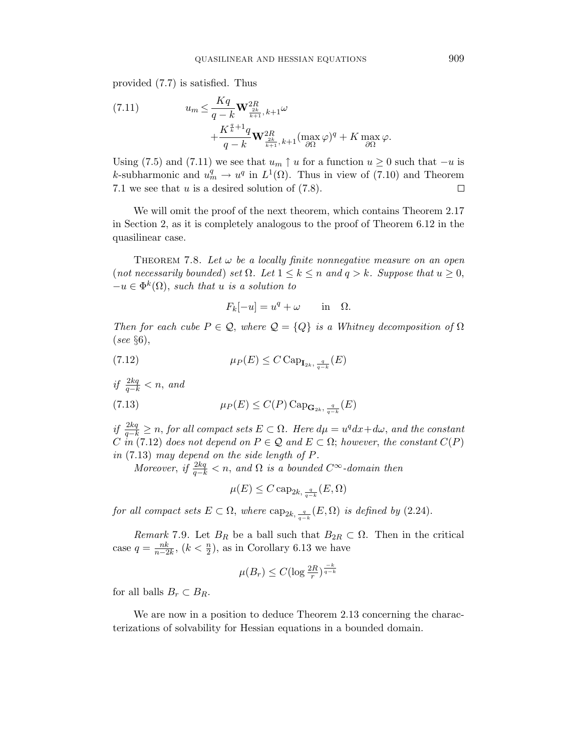provided (7.7) is satisfied. Thus

(7.11) 
$$
u_m \leq \frac{Kq}{q-k} \mathbf{W}_{\frac{2k}{k+1},k+1}^{2R} \omega + \frac{K^{\frac{q}{k}+1}q}{q-k} \mathbf{W}_{\frac{2k}{k+1},k+1}^{2R} (\max_{\partial \Omega} \varphi)^q + K \max_{\partial \Omega} \varphi.
$$

Using (7.5) and (7.11) we see that  $u_m \uparrow u$  for a function  $u \geq 0$  such that  $-u$  is k-subharmonic and  $u_m^q \to u^q$  in  $L^1(\Omega)$ . Thus in view of (7.10) and Theorem 7.1 we see that  $u$  is a desired solution of  $(7.8)$ .  $\Box$ 

We will omit the proof of the next theorem, which contains Theorem 2.17 in Section 2, as it is completely analogous to the proof of Theorem 6.12 in the quasilinear case.

THEOREM 7.8. Let  $\omega$  be a locally finite nonnegative measure on an open (not necessarily bounded) set  $\Omega$ . Let  $1 \leq k \leq n$  and  $q > k$ . Suppose that  $u \geq 0$ ,  $-u \in \Phi^k(\Omega)$ , such that u is a solution to

$$
F_k[-u] = u^q + \omega \quad \text{in} \quad \Omega.
$$

Then for each cube  $P \in \mathcal{Q}$ , where  $\mathcal{Q} = \{Q\}$  is a Whitney decomposition of  $\Omega$ (see §6),

$$
\mu_P(E) \le C \operatorname{Cap}_{\mathbf{I}_{2k}, \frac{q}{q-k}}(E)
$$

if  $\frac{2kq}{q-k} < n$ , and

(7.13) 
$$
\mu_P(E) \leq C(P) \operatorname{Cap}_{\mathbf{G}_{2k}, \frac{q}{q-k}}(E)
$$

if  $\frac{2kq}{q-k} \geq n$ , for all compact sets  $E \subset \Omega$ . Here  $d\mu = u^q dx + d\omega$ , and the constant C in (7.12) does not depend on  $P \in \mathcal{Q}$  and  $E \subset \Omega$ ; however, the constant  $C(P)$ in (7.13) may depend on the side length of P.

Moreover, if  $\frac{2kq}{q-k} < n$ , and  $\Omega$  is a bounded  $C^{\infty}$ -domain then

$$
\mu(E) \leq C \, \text{cap}_{2k, \frac{q}{q-k}}(E, \Omega)
$$

for all compact sets  $E \subset \Omega$ , where  $\text{cap}_{2k, \frac{q}{q-k}}(E, \Omega)$  is defined by (2.24).

Remark 7.9. Let  $B_R$  be a ball such that  $B_{2R} \subset \Omega$ . Then in the critical case  $q = \frac{nk}{n-2k}$ ,  $(k < \frac{n}{2})$ , as in Corollary 6.13 we have

$$
\mu(B_r) \le C(\log \frac{2R}{r})^{\frac{-k}{q-k}}
$$

for all balls  $B_r \subset B_R$ .

We are now in a position to deduce Theorem 2.13 concerning the characterizations of solvability for Hessian equations in a bounded domain.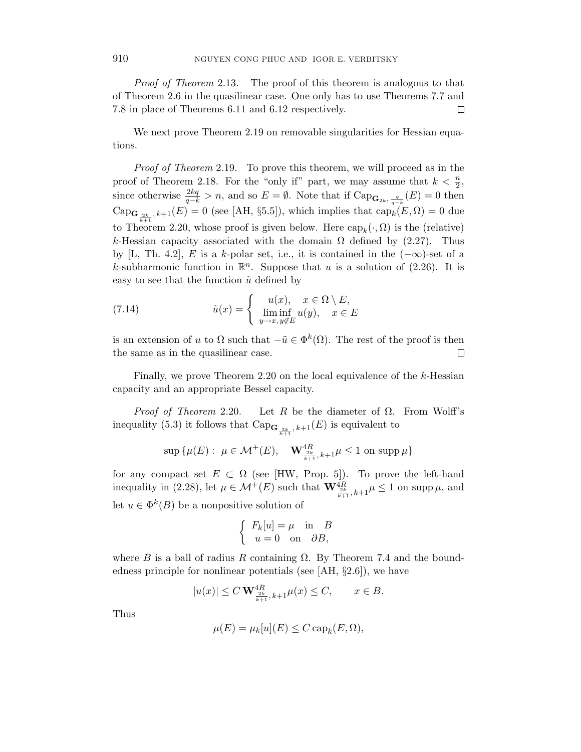Proof of Theorem 2.13. The proof of this theorem is analogous to that of Theorem 2.6 in the quasilinear case. One only has to use Theorems 7.7 and 7.8 in place of Theorems 6.11 and 6.12 respectively.  $\Box$ 

We next prove Theorem 2.19 on removable singularities for Hessian equations.

Proof of Theorem 2.19. To prove this theorem, we will proceed as in the proof of Theorem 2.18. For the "only if" part, we may assume that  $k < \frac{n}{2}$ , since otherwise  $\frac{2kq}{q-k} > n$ , and so  $E = \emptyset$ . Note that if Cap<sub>**G**<sub>2k</sub>,  $\frac{q}{q-k}(E) = 0$  then</sub>  $\text{Cap}_{\mathbf{G}_{\frac{2k}{k+1}},k+1}(E) = 0$  (see [AH, §5.5]), which implies that  $\text{cap}_k(E,\Omega) = 0$  due to Theorem 2.20, whose proof is given below. Here  $\text{cap}_k(\cdot, \Omega)$  is the (relative) k-Hessian capacity associated with the domain  $\Omega$  defined by (2.27). Thus by [L, Th. 4.2], E is a k-polar set, i.e., it is contained in the  $(-\infty)$ -set of a k-subharmonic function in  $\mathbb{R}^n$ . Suppose that u is a solution of (2.26). It is easy to see that the function  $\tilde{u}$  defined by

(7.14) 
$$
\tilde{u}(x) = \begin{cases} u(x), & x \in \Omega \setminus E, \\ \liminf_{y \to x, y \notin E} u(y), & x \in E \end{cases}
$$

is an extension of u to  $\Omega$  such that  $-\tilde{u} \in \Phi^k(\Omega)$ . The rest of the proof is then the same as in the quasilinear case.  $\Box$ 

Finally, we prove Theorem 2.20 on the local equivalence of the k-Hessian capacity and an appropriate Bessel capacity.

*Proof of Theorem* 2.20. Let R be the diameter of  $\Omega$ . From Wolff's inequality (5.3) it follows that  $\text{Cap}_{\mathbf{G}_{\frac{2k}{k+1}},k+1}(E)$  is equivalent to

$$
\sup\,\{\mu(E):\ \mu\in\mathcal{M}^+(E),\quad {\bf W}^{4R}_{\frac{2k}{k+1},\,k+1}\mu\leq 1\ \text{on}\ \operatorname{supp}\mu\}
$$

for any compact set  $E \subset \Omega$  (see [HW, Prop. 5]). To prove the left-hand inequality in (2.28), let  $\mu \in \mathcal{M}^+(E)$  such that  $\mathbf{W}^{4R}_{\frac{2k}{k+1},k+1} \mu \leq 1$  on supp  $\mu$ , and let  $u \in \Phi^k(B)$  be a nonpositive solution of

$$
\begin{cases}\nF_k[u] = \mu & \text{in} \quad B \\
u = 0 & \text{on} \quad \partial B,\n\end{cases}
$$

where B is a ball of radius R containing  $\Omega$ . By Theorem 7.4 and the boundedness principle for nonlinear potentials (see [AH, §2.6]), we have

$$
|u(x)| \le C \mathbf{W}_{\frac{2k}{k+1},k+1}^{4R} \mu(x) \le C, \qquad x \in B.
$$

Thus

$$
\mu(E) = \mu_k[u](E) \le C \operatorname{cap}_k(E, \Omega),
$$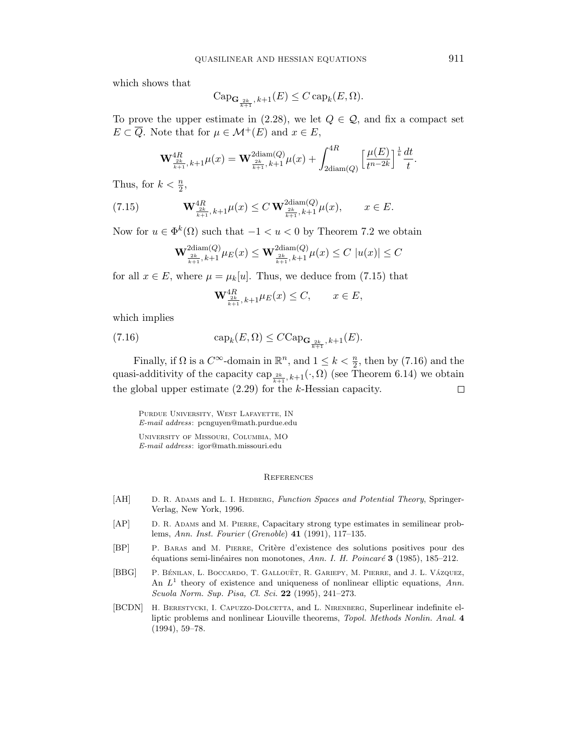which shows that

$$
\mathrm{Cap}_{\mathbf{G}_{\frac{2k}{k+1}},k+1}(E) \leq C \operatorname{cap}_k(E,\Omega).
$$

To prove the upper estimate in (2.28), we let  $Q \in \mathcal{Q}$ , and fix a compact set  $E \subset \overline{Q}$ . Note that for  $\mu \in \mathcal{M}^+(E)$  and  $x \in E$ ,

$$
\mathbf{W}^{4R}_{\frac{2k}{k+1},k+1}\mu(x) = \mathbf{W}^{2\text{diam}(Q)}_{\frac{2k}{k+1},k+1}\mu(x) + \int_{2\text{diam}(Q)}^{4R} \left[\frac{\mu(E)}{t^{n-2k}}\right]^{\frac{1}{k}}\frac{dt}{t}.
$$

Thus, for  $k < \frac{n}{2}$ ,

(7.15) 
$$
\mathbf{W}^{4R}_{\frac{2k}{k+1},k+1}\mu(x) \leq C \mathbf{W}^{2\text{diam}(Q)}_{\frac{2k}{k+1},k+1}\mu(x), \qquad x \in E.
$$

Now for  $u \in \Phi^k(\Omega)$  such that  $-1 < u < 0$  by Theorem 7.2 we obtain

$$
\mathbf{W}^{2\mathrm{diam}(Q)}_{\frac{2k}{k+1},k+1}\mu_E(x) \leq \mathbf{W}^{2\mathrm{diam}(Q)}_{\frac{2k}{k+1},k+1}\mu(x) \leq C |u(x)| \leq C
$$

for all  $x \in E$ , where  $\mu = \mu_k[u]$ . Thus, we deduce from (7.15) that

$$
\mathbf{W}^{4R}_{\frac{2k}{k+1},k+1} \mu_E(x) \le C, \qquad x \in E,
$$

which implies

(7.16) 
$$
\operatorname{cap}_k(E,\Omega) \leq C \operatorname{Cap}_{\mathbf{G}_{\frac{2k}{k+1}},k+1}(E).
$$

Finally, if  $\Omega$  is a  $C^{\infty}$ -domain in  $\mathbb{R}^n$ , and  $1 \leq k < \frac{n}{2}$ , then by (7.16) and the quasi-additivity of the capacity cap  $_{\frac{2k}{k+1},k+1}(\cdot,\Omega)$  (see Theorem 6.14) we obtain the global upper estimate  $(2.29)$  for the k-Hessian capacity.  $\Box$ 

Purdue University, West Lafayette, IN E-mail address: pcnguyen@math.purdue.edu University of Missouri, Columbia, MO E-mail address: igor@math.missouri.edu

### **REFERENCES**

- [AH] D. R. ADAMS and L. I. HEDBERG, Function Spaces and Potential Theory, Springer-Verlag, New York, 1996.
- [AP] D. R. Adams and M. Pierre, Capacitary strong type estimates in semilinear problems, Ann. Inst. Fourier (Grenoble) 41 (1991), 117–135.
- [BP] P. Baras and M. Pierre, Crit`ere d'existence des solutions positives pour des  $\acute{e}$ quations semi-linéaires non monotones, Ann. I. H. Poincaré 3 (1985), 185–212.
- [BBG] P. BÉNILAN, L. BOCCARDO, T. GALLOUËT, R. GARIEPY, M. PIERRE, and J. L. VÁZQUEZ, An  $L^1$  theory of existence and uniqueness of nonlinear elliptic equations, Ann. Scuola Norm. Sup. Pisa, Cl. Sci. 22 (1995), 241–273.
- [BCDN] H. BERESTYCKI, I. CAPUZZO-DOLCETTA, and L. NIRENBERG, Superlinear indefinite elliptic problems and nonlinear Liouville theorems, Topol. Methods Nonlin. Anal. 4 (1994), 59–78.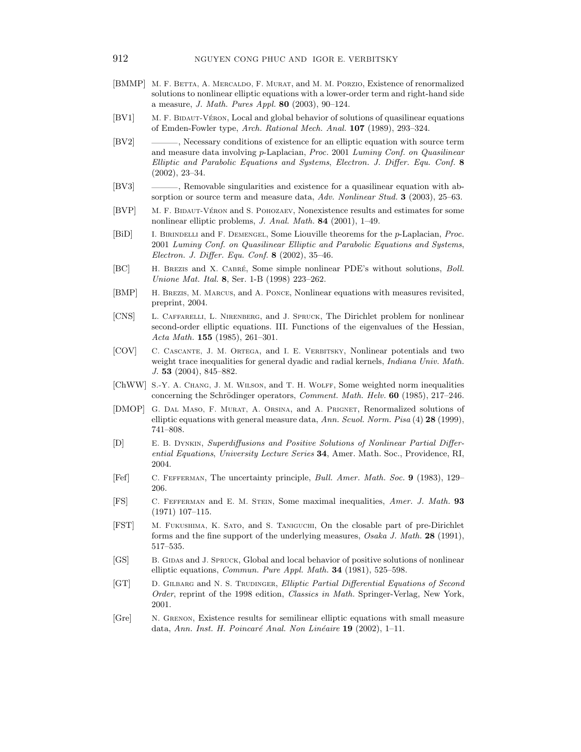- [BMMP] M. F. BETTA, A. MERCALDO, F. MURAT, and M. M. PORZIO, Existence of renormalized solutions to nonlinear elliptic equations with a lower-order term and right-hand side a measure, J. Math. Pures Appl. 80 (2003), 90–124.
- [BV1] M. F. BIDAUT-VÉRON, Local and global behavior of solutions of quasilinear equations of Emden-Fowler type, Arch. Rational Mech. Anal. 107 (1989), 293–324.
- [BV2] ———, Necessary conditions of existence for an elliptic equation with source term and measure data involving p-Laplacian, Proc. 2001 Luminy Conf. on Quasilinear Elliptic and Parabolic Equations and Systems, Electron. J. Differ. Equ. Conf. 8 (2002), 23–34.
- [BV3] ———, Removable singularities and existence for a quasilinear equation with absorption or source term and measure data, Adv. Nonlinear Stud. 3 (2003), 25–63.
- [BVP] M. F. BIDAUT-VÉRON and S. POHOZAEV, Nonexistence results and estimates for some nonlinear elliptic problems, J. Anal. Math. 84 (2001), 1–49.
- [BiD] I. Birindelli and F. Demengel, Some Liouville theorems for the p-Laplacian, Proc. 2001 Luminy Conf. on Quasilinear Elliptic and Parabolic Equations and Systems, Electron. J. Differ. Equ. Conf. 8 (2002), 35–46.
- [BC] H. BREZIS and X. CABRÉ, Some simple nonlinear PDE's without solutions, *Boll.* Unione Mat. Ital. 8, Ser. 1-B (1998) 223–262.
- [BMP] H. Brezis, M. Marcus, and A. Ponce, Nonlinear equations with measures revisited, preprint, 2004.
- [CNS] L. Caffarelli, L. Nirenberg, and J. Spruck, The Dirichlet problem for nonlinear second-order elliptic equations. III. Functions of the eigenvalues of the Hessian, Acta Math. 155 (1985), 261–301.
- [COV] C. Cascante, J. M. Ortega, and I. E. Verbitsky, Nonlinear potentials and two weight trace inequalities for general dyadic and radial kernels, *Indiana Univ. Math.* J. 53 (2004), 845–882.
- [ChWW] S.-Y. A. CHANG, J. M. WILSON, and T. H. WOLFF, Some weighted norm inequalities concerning the Schrödinger operators, *Comment. Math. Helv.* 60 (1985), 217–246.
- [DMOP] G. Dal Maso, F. Murat, A. Orsina, and A. Prignet, Renormalized solutions of elliptic equations with general measure data, Ann. Scuol. Norm. Pisa (4) 28 (1999), 741–808.
- [D] E. B. Dynkin, Superdiffusions and Positive Solutions of Nonlinear Partial Differential Equations, University Lecture Series 34, Amer. Math. Soc., Providence, RI, 2004.
- [Fef] C. Fefferman, The uncertainty principle, Bull. Amer. Math. Soc. 9 (1983), 129– 206.
- [FS] C. Fefferman and E. M. Stein, Some maximal inequalities, Amer. J. Math. 93 (1971) 107–115.
- [FST] M. Fukushima, K. Sato, and S. Taniguchi, On the closable part of pre-Dirichlet forms and the fine support of the underlying measures, Osaka J. Math. 28 (1991), 517–535.
- [GS] B. GIDAS and J. SPRUCK, Global and local behavior of positive solutions of nonlinear elliptic equations, Commun. Pure Appl. Math. 34 (1981), 525–598.
- [GT] D. GILBARG and N. S. TRUDINGER, Elliptic Partial Differential Equations of Second Order, reprint of the 1998 edition, Classics in Math. Springer-Verlag, New York, 2001.
- [Gre] N. Grenon, Existence results for semilinear elliptic equations with small measure data, Ann. Inst. H. Poincaré Anal. Non Linéaire 19 (2002),  $1-11$ .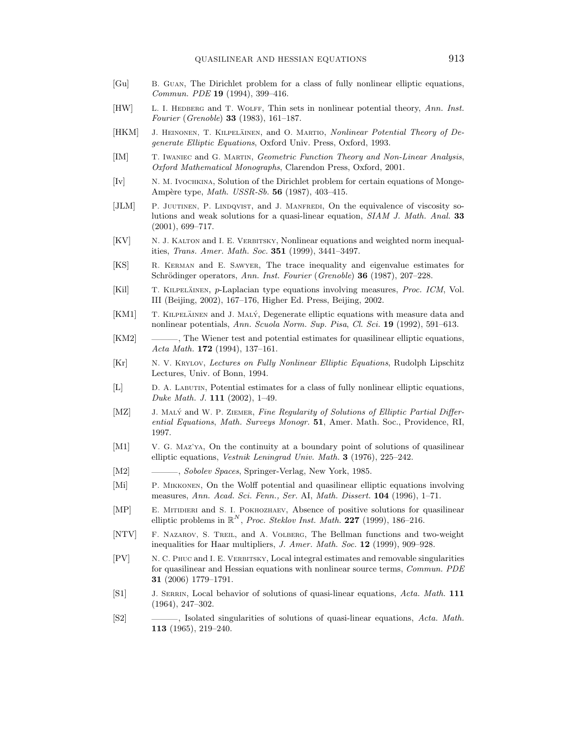- [Gu] B. Guan, The Dirichlet problem for a class of fully nonlinear elliptic equations, Commun. PDE 19 (1994), 399–416.
- [HW] L. I. HEDBERG and T. WOLFF, Thin sets in nonlinear potential theory, Ann. Inst. Fourier (Grenoble) 33 (1983), 161–187.
- [HKM] J. HEINONEN, T. KILPELÄINEN, and O. MARTIO, *Nonlinear Potential Theory of De*generate Elliptic Equations, Oxford Univ. Press, Oxford, 1993.
- [IM] T. Iwaniec and G. Martin, Geometric Function Theory and Non-Linear Analysis, Oxford Mathematical Monographs, Clarendon Press, Oxford, 2001.
- [Iv] N. M. Ivochkina, Solution of the Dirichlet problem for certain equations of Monge-Ampère type, *Math. USSR-Sb.* **56** (1987), 403-415.
- [JLM] P. JUUTINEN, P. LINDQVIST, and J. MANFREDI, On the equivalence of viscosity solutions and weak solutions for a quasi-linear equation, SIAM J. Math. Anal. 33 (2001), 699–717.
- [KV] N. J. KALTON and I. E. VERBITSKY, Nonlinear equations and weighted norm inequalities, Trans. Amer. Math. Soc. 351 (1999), 3441–3497.
- [KS] R. Kerman and E. Sawyer, The trace inequality and eigenvalue estimates for Schrödinger operators, Ann. Inst. Fourier (Grenoble) 36 (1987), 207–228.
- [Kil] T. KILPELÄINEN, p-Laplacian type equations involving measures, Proc. ICM, Vol. III (Beijing, 2002), 167–176, Higher Ed. Press, Beijing, 2002.
- [KM1] T. KILPELÄINEN and J. MALÝ, Degenerate elliptic equations with measure data and nonlinear potentials, Ann. Scuola Norm. Sup. Pisa, Cl. Sci. 19 (1992), 591–613.
- [KM2] ———, The Wiener test and potential estimates for quasilinear elliptic equations, Acta Math. 172 (1994), 137–161.
- [Kr] N. V. Krylov, Lectures on Fully Nonlinear Elliptic Equations, Rudolph Lipschitz Lectures, Univ. of Bonn, 1994.
- [L] D. A. Labutin, Potential estimates for a class of fully nonlinear elliptic equations, Duke Math. J. 111 (2002), 1–49.
- [MZ] J. MALÝ and W. P. ZIEMER, Fine Regularity of Solutions of Elliptic Partial Differential Equations, Math. Surveys Monogr. 51, Amer. Math. Soc., Providence, RI, 1997.
- [M1] V. G. Maz'ya, On the continuity at a boundary point of solutions of quasilinear elliptic equations, Vestnik Leningrad Univ. Math. 3 (1976), 225–242.
- [M2] ———, Sobolev Spaces, Springer-Verlag, New York, 1985.
- [Mi] P. Mikkonen, On the Wolff potential and quasilinear elliptic equations involving measures, Ann. Acad. Sci. Fenn., Ser. AI, Math. Dissert. 104 (1996), 1–71.
- [MP] E. MITIDIERI and S. I. POKHOZHAEV, Absence of positive solutions for quasilinear elliptic problems in  $\mathbb{R}^N$ , Proc. Steklov Inst. Math. 227 (1999), 186-216.
- [NTV] F. Nazarov, S. Treil, and A. Volberg, The Bellman functions and two-weight inequalities for Haar multipliers, J. Amer. Math. Soc. 12 (1999), 909–928.
- [PV] N. C. PHUC and I. E. VERBITSKY, Local integral estimates and removable singularities for quasilinear and Hessian equations with nonlinear source terms, Commun. PDE 31 (2006) 1779–1791.
- [S1] J. Serrin, Local behavior of solutions of quasi-linear equations, Acta. Math. 111 (1964), 247–302.
- [S2] ———, Isolated singularities of solutions of quasi-linear equations, Acta. Math. 113 (1965), 219–240.